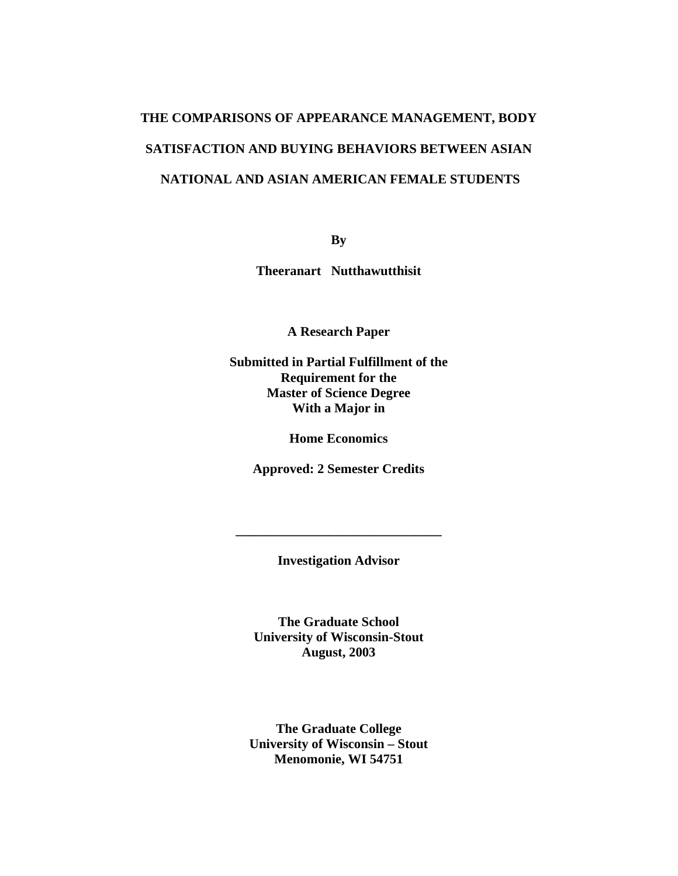# **THE COMPARISONS OF APPEARANCE MANAGEMENT, BODY SATISFACTION AND BUYING BEHAVIORS BETWEEN ASIAN NATIONAL AND ASIAN AMERICAN FEMALE STUDENTS**

**By** 

**Theeranart Nutthawutthisit** 

**A Research Paper** 

**Submitted in Partial Fulfillment of the Requirement for the Master of Science Degree With a Major in** 

**Home Economics** 

**Approved: 2 Semester Credits** 

**Investigation Advisor** 

**\_\_\_\_\_\_\_\_\_\_\_\_\_\_\_\_\_\_\_\_\_\_\_\_\_\_\_\_\_\_\_** 

**The Graduate School University of Wisconsin-Stout August, 2003** 

**The Graduate College University of Wisconsin – Stout Menomonie, WI 54751**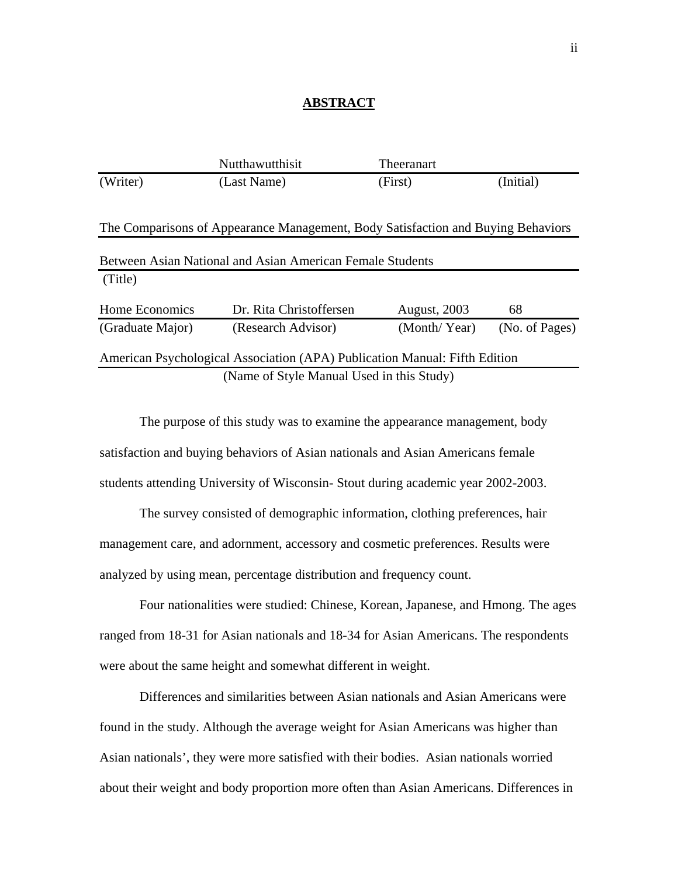#### **ABSTRACT**

|                                                                            | Nutthawutthisit                                                                  | Theeranart          |                |
|----------------------------------------------------------------------------|----------------------------------------------------------------------------------|---------------------|----------------|
| (Writer)                                                                   | (Last Name)                                                                      | (First)             | (Initial)      |
|                                                                            |                                                                                  |                     |                |
|                                                                            | The Comparisons of Appearance Management, Body Satisfaction and Buying Behaviors |                     |                |
| Between Asian National and Asian American Female Students                  |                                                                                  |                     |                |
| (Title)                                                                    |                                                                                  |                     |                |
| Home Economics                                                             | Dr. Rita Christoffersen                                                          | <b>August, 2003</b> | 68             |
| (Graduate Major)                                                           | (Research Advisor)                                                               | (Month/Year)        | (No. of Pages) |
|                                                                            |                                                                                  |                     |                |
| American Psychological Association (APA) Publication Manual: Fifth Edition |                                                                                  |                     |                |
| (Name of Style Manual Used in this Study)                                  |                                                                                  |                     |                |

 The purpose of this study was to examine the appearance management, body satisfaction and buying behaviors of Asian nationals and Asian Americans female students attending University of Wisconsin- Stout during academic year 2002-2003.

The survey consisted of demographic information, clothing preferences, hair management care, and adornment, accessory and cosmetic preferences. Results were analyzed by using mean, percentage distribution and frequency count.

Four nationalities were studied: Chinese, Korean, Japanese, and Hmong. The ages ranged from 18-31 for Asian nationals and 18-34 for Asian Americans. The respondents were about the same height and somewhat different in weight.

Differences and similarities between Asian nationals and Asian Americans were found in the study. Although the average weight for Asian Americans was higher than Asian nationals', they were more satisfied with their bodies. Asian nationals worried about their weight and body proportion more often than Asian Americans. Differences in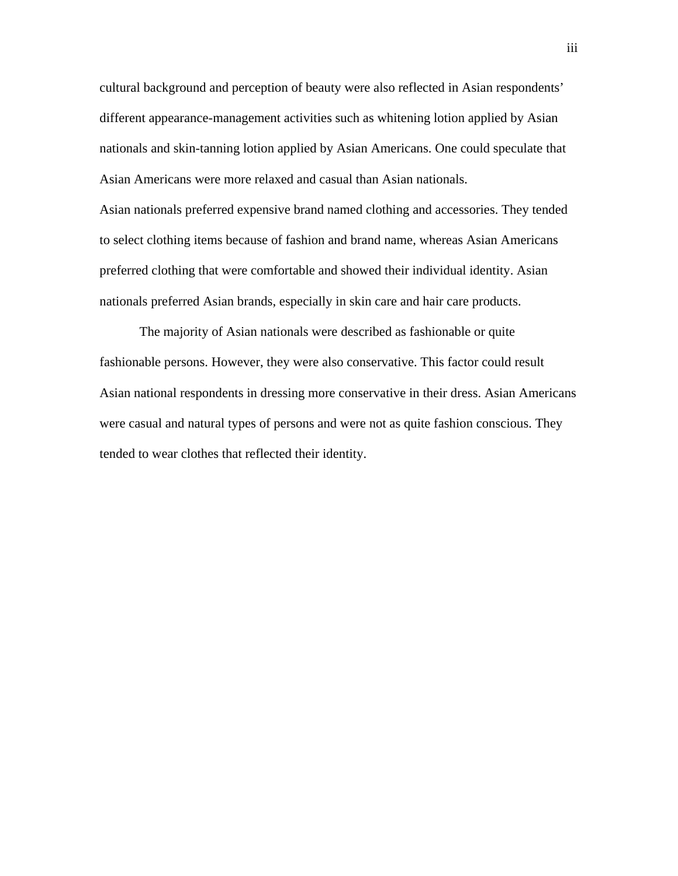cultural background and perception of beauty were also reflected in Asian respondents' different appearance-management activities such as whitening lotion applied by Asian nationals and skin-tanning lotion applied by Asian Americans. One could speculate that Asian Americans were more relaxed and casual than Asian nationals. Asian nationals preferred expensive brand named clothing and accessories. They tended to select clothing items because of fashion and brand name, whereas Asian Americans preferred clothing that were comfortable and showed their individual identity. Asian nationals preferred Asian brands, especially in skin care and hair care products.

The majority of Asian nationals were described as fashionable or quite fashionable persons. However, they were also conservative. This factor could result Asian national respondents in dressing more conservative in their dress. Asian Americans were casual and natural types of persons and were not as quite fashion conscious. They tended to wear clothes that reflected their identity.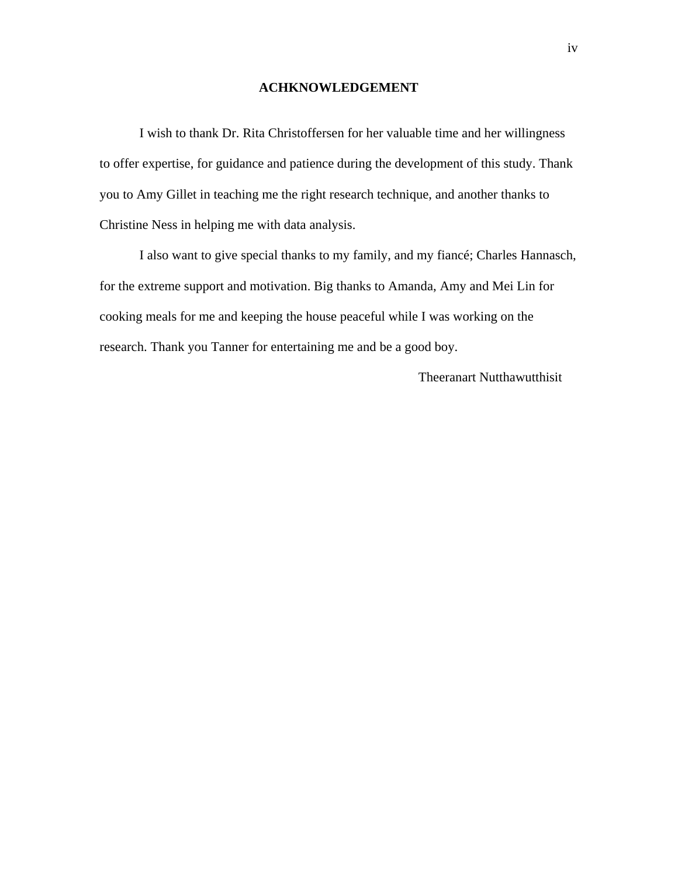#### **ACHKNOWLEDGEMENT**

I wish to thank Dr. Rita Christoffersen for her valuable time and her willingness to offer expertise, for guidance and patience during the development of this study. Thank you to Amy Gillet in teaching me the right research technique, and another thanks to Christine Ness in helping me with data analysis.

 I also want to give special thanks to my family, and my fiancé; Charles Hannasch, for the extreme support and motivation. Big thanks to Amanda, Amy and Mei Lin for cooking meals for me and keeping the house peaceful while I was working on the research. Thank you Tanner for entertaining me and be a good boy.

Theeranart Nutthawutthisit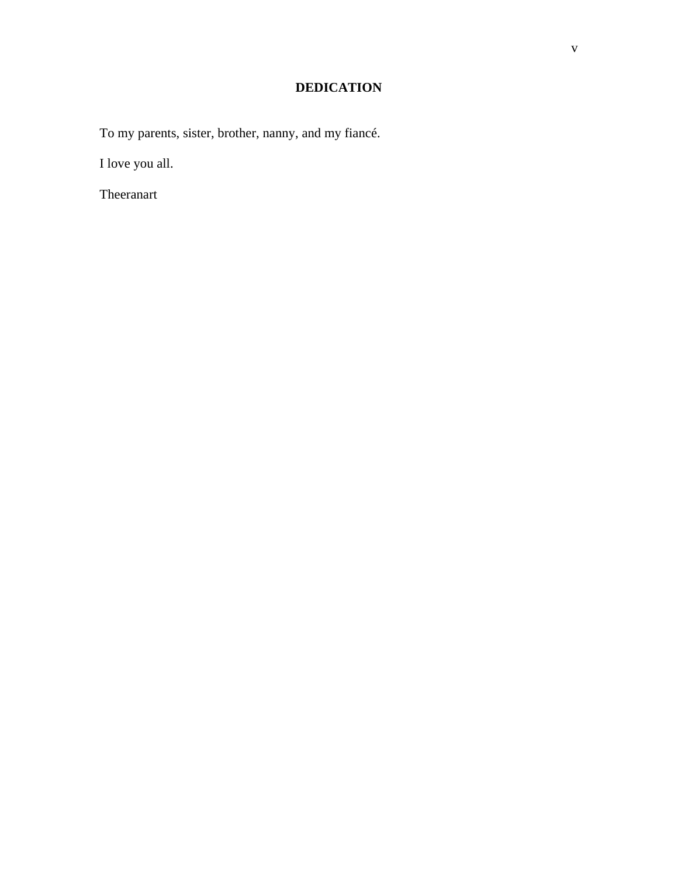# **DEDICATION**

To my parents, sister, brother, nanny, and my fiancé.

I love you all.

Theeranart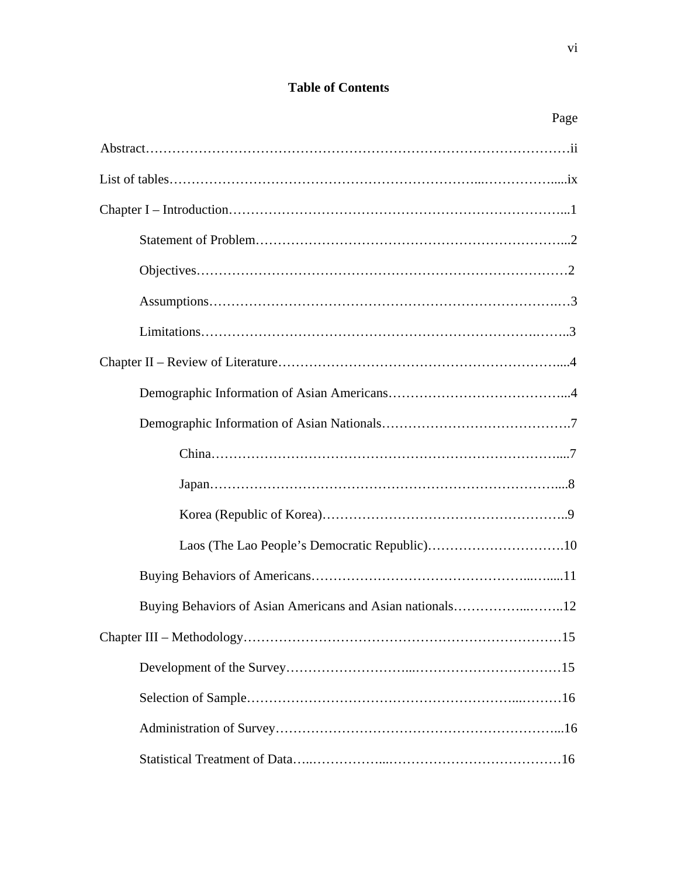# **Table of Contents**

| Page                                                           |
|----------------------------------------------------------------|
|                                                                |
|                                                                |
|                                                                |
|                                                                |
|                                                                |
|                                                                |
|                                                                |
|                                                                |
|                                                                |
|                                                                |
|                                                                |
|                                                                |
|                                                                |
|                                                                |
|                                                                |
| Buying Behaviors of Asian Americans and Asian nationals<br>.12 |
|                                                                |
|                                                                |
|                                                                |
|                                                                |
|                                                                |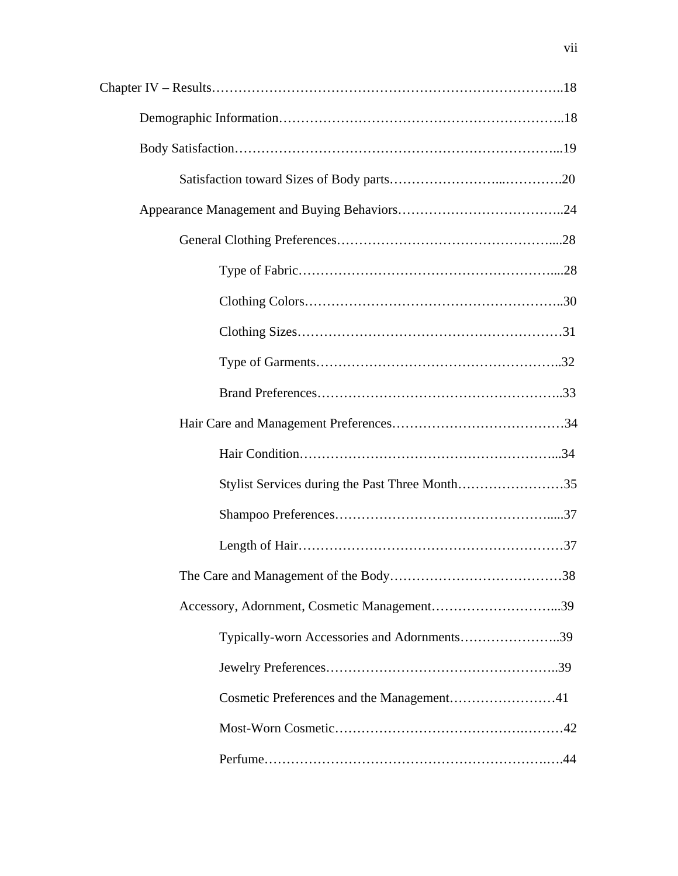| Stylist Services during the Past Three Month35 |
|------------------------------------------------|
|                                                |
|                                                |
|                                                |
|                                                |
| Typically-worn Accessories and Adornments39    |
|                                                |
|                                                |
|                                                |
|                                                |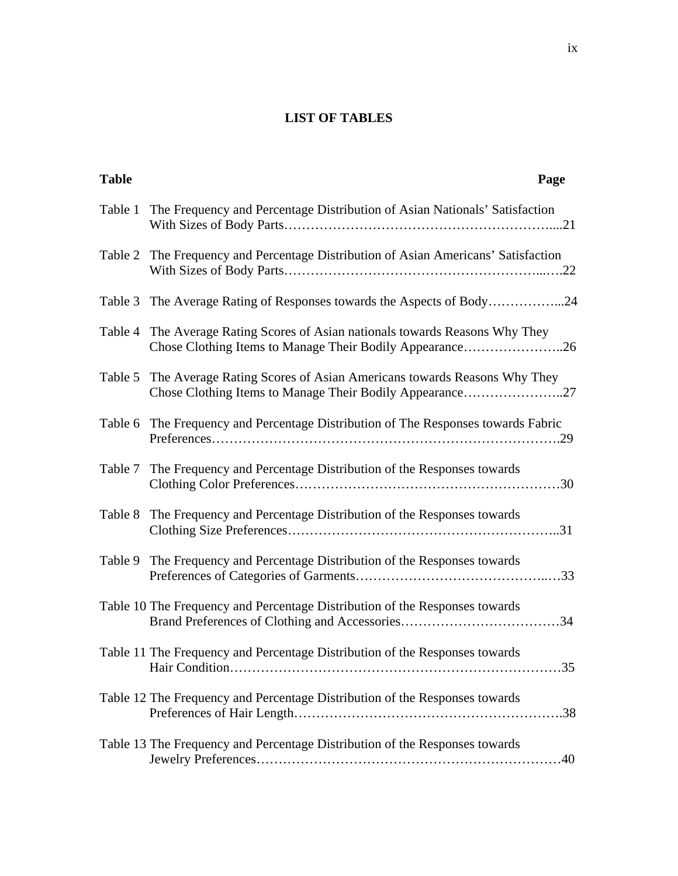# **LIST OF TABLES**

| <b>Table</b> | Page                                                                                                                                      |
|--------------|-------------------------------------------------------------------------------------------------------------------------------------------|
| Table 1      | The Frequency and Percentage Distribution of Asian Nationals' Satisfaction                                                                |
|              | Table 2 The Frequency and Percentage Distribution of Asian Americans' Satisfaction                                                        |
| Table 3      | The Average Rating of Responses towards the Aspects of Body24                                                                             |
| Table 4      | The Average Rating Scores of Asian nationals towards Reasons Why They<br>Chose Clothing Items to Manage Their Bodily Appearance26         |
|              | Table 5 The Average Rating Scores of Asian Americans towards Reasons Why They<br>Chose Clothing Items to Manage Their Bodily Appearance27 |
| Table 6      | The Frequency and Percentage Distribution of The Responses towards Fabric                                                                 |
|              | Table 7 The Frequency and Percentage Distribution of the Responses towards                                                                |
| Table 8      | The Frequency and Percentage Distribution of the Responses towards                                                                        |
|              | Table 9 The Frequency and Percentage Distribution of the Responses towards                                                                |
|              | Table 10 The Frequency and Percentage Distribution of the Responses towards                                                               |
|              | Table 11 The Frequency and Percentage Distribution of the Responses towards<br>35<br><b>Hair Condition</b>                                |
|              | Table 12 The Frequency and Percentage Distribution of the Responses towards                                                               |
|              | Table 13 The Frequency and Percentage Distribution of the Responses towards                                                               |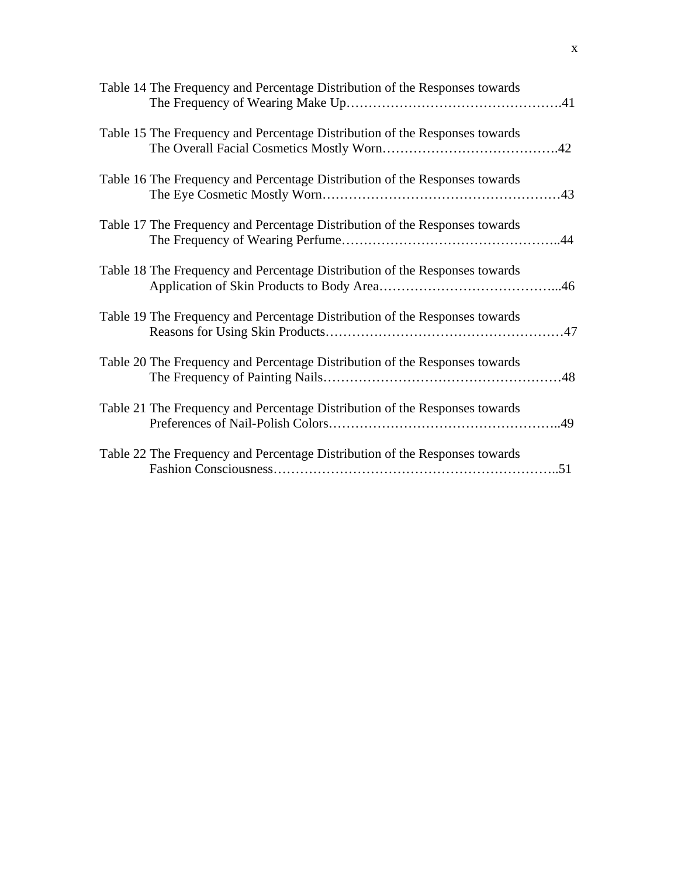| Table 14 The Frequency and Percentage Distribution of the Responses towards |
|-----------------------------------------------------------------------------|
| Table 15 The Frequency and Percentage Distribution of the Responses towards |
| Table 16 The Frequency and Percentage Distribution of the Responses towards |
| Table 17 The Frequency and Percentage Distribution of the Responses towards |
| Table 18 The Frequency and Percentage Distribution of the Responses towards |
| Table 19 The Frequency and Percentage Distribution of the Responses towards |
| Table 20 The Frequency and Percentage Distribution of the Responses towards |
| Table 21 The Frequency and Percentage Distribution of the Responses towards |
| Table 22 The Frequency and Percentage Distribution of the Responses towards |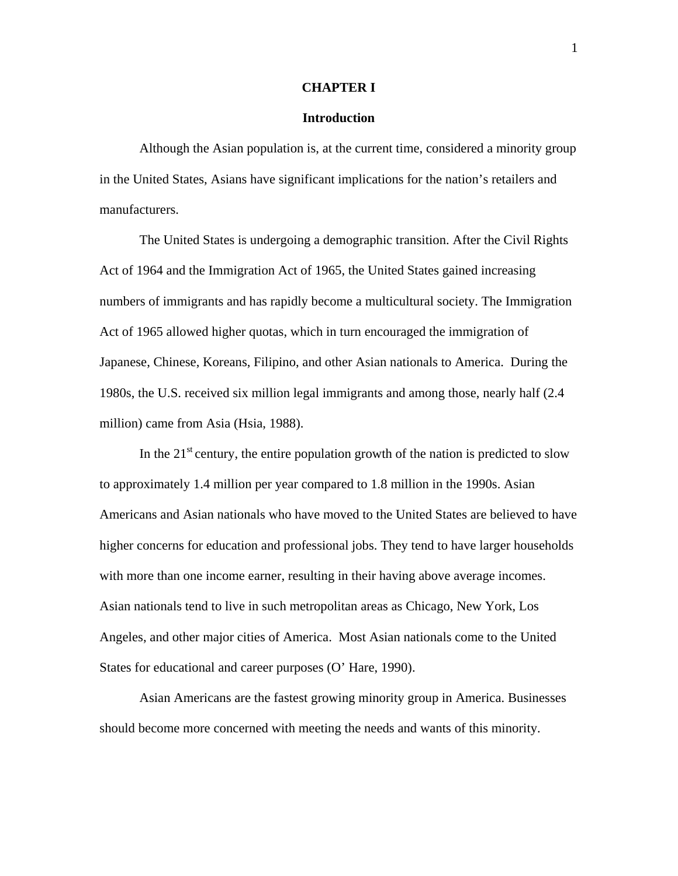#### **CHAPTER I**

#### **Introduction**

 Although the Asian population is, at the current time, considered a minority group in the United States, Asians have significant implications for the nation's retailers and manufacturers.

 The United States is undergoing a demographic transition. After the Civil Rights Act of 1964 and the Immigration Act of 1965, the United States gained increasing numbers of immigrants and has rapidly become a multicultural society. The Immigration Act of 1965 allowed higher quotas, which in turn encouraged the immigration of Japanese, Chinese, Koreans, Filipino, and other Asian nationals to America. During the 1980s, the U.S. received six million legal immigrants and among those, nearly half (2.4 million) came from Asia (Hsia, 1988).

In the  $21<sup>st</sup>$  century, the entire population growth of the nation is predicted to slow to approximately 1.4 million per year compared to 1.8 million in the 1990s. Asian Americans and Asian nationals who have moved to the United States are believed to have higher concerns for education and professional jobs. They tend to have larger households with more than one income earner, resulting in their having above average incomes. Asian nationals tend to live in such metropolitan areas as Chicago, New York, Los Angeles, and other major cities of America. Most Asian nationals come to the United States for educational and career purposes (O' Hare, 1990).

 Asian Americans are the fastest growing minority group in America. Businesses should become more concerned with meeting the needs and wants of this minority.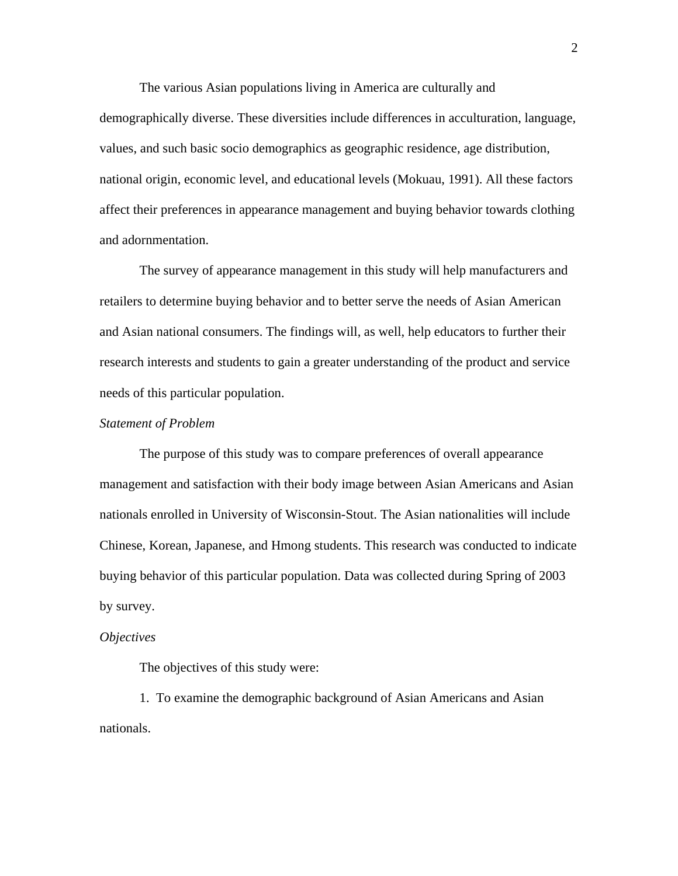The various Asian populations living in America are culturally and demographically diverse. These diversities include differences in acculturation, language, values, and such basic socio demographics as geographic residence, age distribution, national origin, economic level, and educational levels (Mokuau, 1991). All these factors affect their preferences in appearance management and buying behavior towards clothing and adornmentation.

 The survey of appearance management in this study will help manufacturers and retailers to determine buying behavior and to better serve the needs of Asian American and Asian national consumers. The findings will, as well, help educators to further their research interests and students to gain a greater understanding of the product and service needs of this particular population.

#### *Statement of Problem*

 The purpose of this study was to compare preferences of overall appearance management and satisfaction with their body image between Asian Americans and Asian nationals enrolled in University of Wisconsin-Stout. The Asian nationalities will include Chinese, Korean, Japanese, and Hmong students. This research was conducted to indicate buying behavior of this particular population. Data was collected during Spring of 2003 by survey.

#### *Objectives*

The objectives of this study were:

1. To examine the demographic background of Asian Americans and Asian nationals.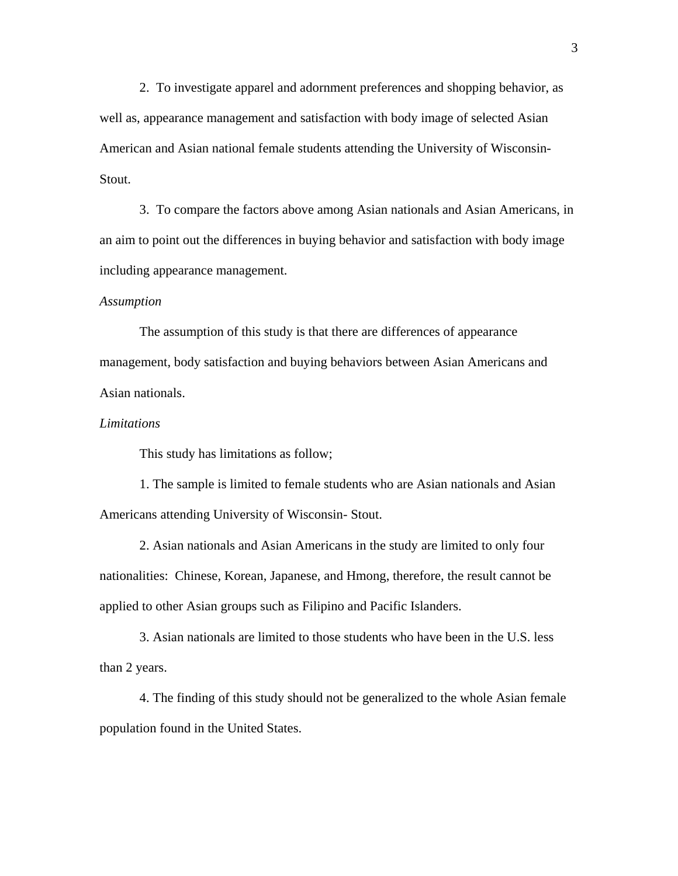2. To investigate apparel and adornment preferences and shopping behavior, as well as, appearance management and satisfaction with body image of selected Asian American and Asian national female students attending the University of Wisconsin-Stout.

3. To compare the factors above among Asian nationals and Asian Americans, in an aim to point out the differences in buying behavior and satisfaction with body image including appearance management.

#### *Assumption*

 The assumption of this study is that there are differences of appearance management, body satisfaction and buying behaviors between Asian Americans and Asian nationals.

#### *Limitations*

This study has limitations as follow;

1. The sample is limited to female students who are Asian nationals and Asian Americans attending University of Wisconsin- Stout.

2. Asian nationals and Asian Americans in the study are limited to only four nationalities: Chinese, Korean, Japanese, and Hmong, therefore, the result cannot be applied to other Asian groups such as Filipino and Pacific Islanders.

3. Asian nationals are limited to those students who have been in the U.S. less than 2 years.

4. The finding of this study should not be generalized to the whole Asian female population found in the United States.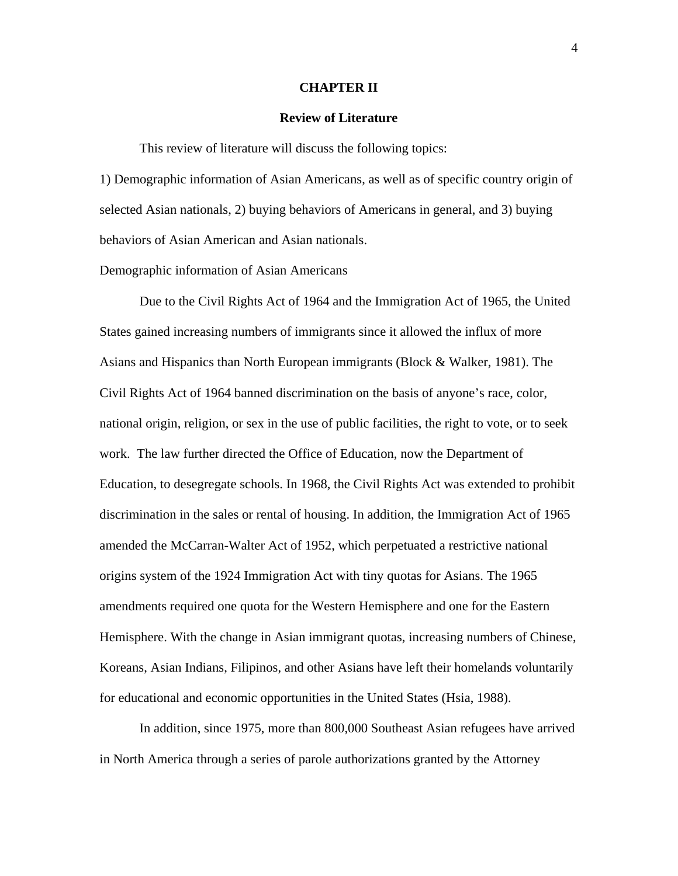#### **CHAPTER II**

#### **Review of Literature**

This review of literature will discuss the following topics:

1) Demographic information of Asian Americans, as well as of specific country origin of selected Asian nationals, 2) buying behaviors of Americans in general, and 3) buying behaviors of Asian American and Asian nationals.

Demographic information of Asian Americans

 Due to the Civil Rights Act of 1964 and the Immigration Act of 1965, the United States gained increasing numbers of immigrants since it allowed the influx of more Asians and Hispanics than North European immigrants (Block & Walker, 1981). The Civil Rights Act of 1964 banned discrimination on the basis of anyone's race, color, national origin, religion, or sex in the use of public facilities, the right to vote, or to seek work. The law further directed the Office of Education, now the Department of Education, to desegregate schools. In 1968, the Civil Rights Act was extended to prohibit discrimination in the sales or rental of housing. In addition, the Immigration Act of 1965 amended the McCarran-Walter Act of 1952, which perpetuated a restrictive national origins system of the 1924 Immigration Act with tiny quotas for Asians. The 1965 amendments required one quota for the Western Hemisphere and one for the Eastern Hemisphere. With the change in Asian immigrant quotas, increasing numbers of Chinese, Koreans, Asian Indians, Filipinos, and other Asians have left their homelands voluntarily for educational and economic opportunities in the United States (Hsia, 1988).

 In addition, since 1975, more than 800,000 Southeast Asian refugees have arrived in North America through a series of parole authorizations granted by the Attorney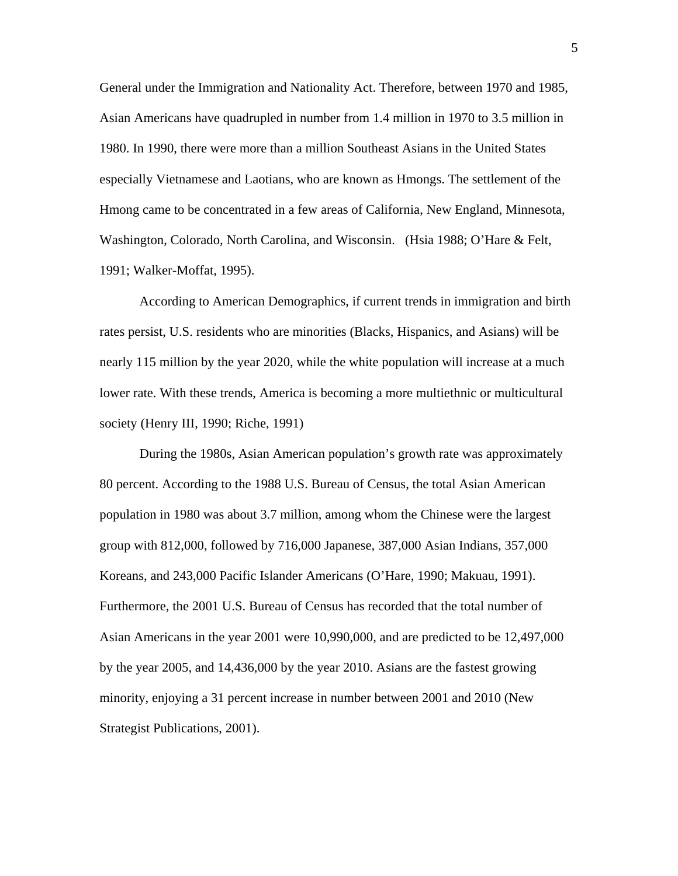General under the Immigration and Nationality Act. Therefore, between 1970 and 1985, Asian Americans have quadrupled in number from 1.4 million in 1970 to 3.5 million in 1980. In 1990, there were more than a million Southeast Asians in the United States especially Vietnamese and Laotians, who are known as Hmongs. The settlement of the Hmong came to be concentrated in a few areas of California, New England, Minnesota, Washington, Colorado, North Carolina, and Wisconsin. (Hsia 1988; O'Hare & Felt, 1991; Walker-Moffat, 1995).

 According to American Demographics, if current trends in immigration and birth rates persist, U.S. residents who are minorities (Blacks, Hispanics, and Asians) will be nearly 115 million by the year 2020, while the white population will increase at a much lower rate. With these trends, America is becoming a more multiethnic or multicultural society (Henry III, 1990; Riche, 1991)

During the 1980s, Asian American population's growth rate was approximately 80 percent. According to the 1988 U.S. Bureau of Census, the total Asian American population in 1980 was about 3.7 million, among whom the Chinese were the largest group with 812,000, followed by 716,000 Japanese, 387,000 Asian Indians, 357,000 Koreans, and 243,000 Pacific Islander Americans (O'Hare, 1990; Makuau, 1991). Furthermore, the 2001 U.S. Bureau of Census has recorded that the total number of Asian Americans in the year 2001 were 10,990,000, and are predicted to be 12,497,000 by the year 2005, and 14,436,000 by the year 2010. Asians are the fastest growing minority, enjoying a 31 percent increase in number between 2001 and 2010 (New Strategist Publications, 2001).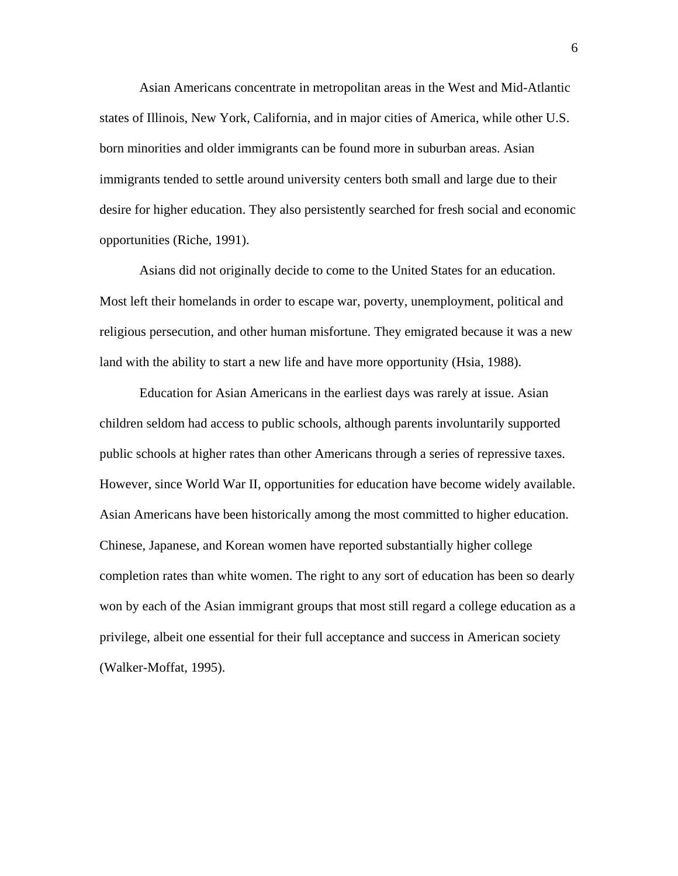Asian Americans concentrate in metropolitan areas in the West and Mid-Atlantic states of Illinois, New York, California, and in major cities of America, while other U.S. born minorities and older immigrants can be found more in suburban areas. Asian immigrants tended to settle around university centers both small and large due to their desire for higher education. They also persistently searched for fresh social and economic opportunities (Riche, 1991).

 Asians did not originally decide to come to the United States for an education. Most left their homelands in order to escape war, poverty, unemployment, political and religious persecution, and other human misfortune. They emigrated because it was a new land with the ability to start a new life and have more opportunity (Hsia, 1988).

 Education for Asian Americans in the earliest days was rarely at issue. Asian children seldom had access to public schools, although parents involuntarily supported public schools at higher rates than other Americans through a series of repressive taxes. However, since World War II, opportunities for education have become widely available. Asian Americans have been historically among the most committed to higher education. Chinese, Japanese, and Korean women have reported substantially higher college completion rates than white women. The right to any sort of education has been so dearly won by each of the Asian immigrant groups that most still regard a college education as a privilege, albeit one essential for their full acceptance and success in American society (Walker-Moffat, 1995).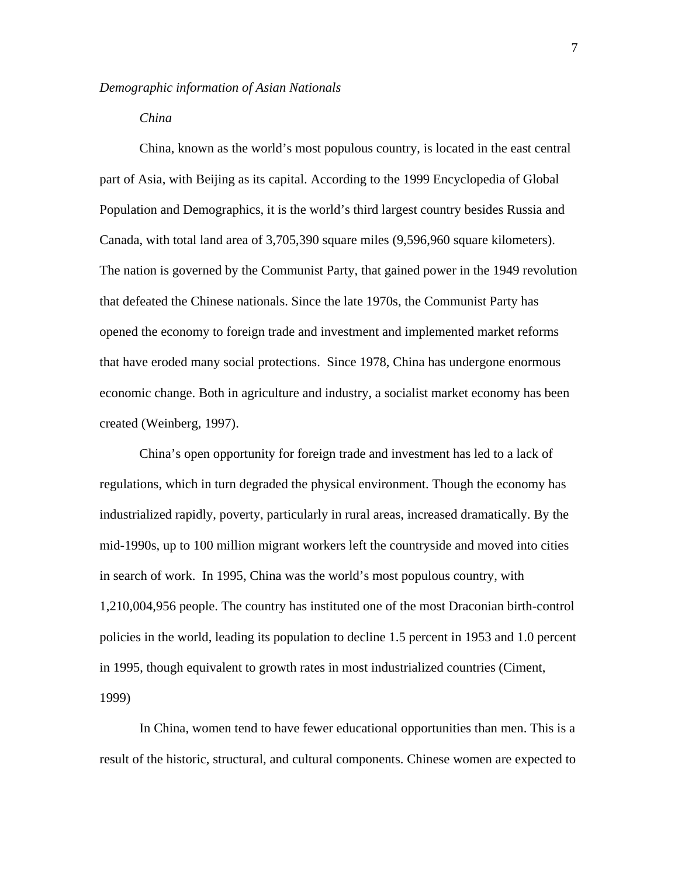#### *China*

 China, known as the world's most populous country, is located in the east central part of Asia, with Beijing as its capital. According to the 1999 Encyclopedia of Global Population and Demographics, it is the world's third largest country besides Russia and Canada, with total land area of 3,705,390 square miles (9,596,960 square kilometers). The nation is governed by the Communist Party, that gained power in the 1949 revolution that defeated the Chinese nationals. Since the late 1970s, the Communist Party has opened the economy to foreign trade and investment and implemented market reforms that have eroded many social protections. Since 1978, China has undergone enormous economic change. Both in agriculture and industry, a socialist market economy has been created (Weinberg, 1997).

 China's open opportunity for foreign trade and investment has led to a lack of regulations, which in turn degraded the physical environment. Though the economy has industrialized rapidly, poverty, particularly in rural areas, increased dramatically. By the mid-1990s, up to 100 million migrant workers left the countryside and moved into cities in search of work. In 1995, China was the world's most populous country, with 1,210,004,956 people. The country has instituted one of the most Draconian birth-control policies in the world, leading its population to decline 1.5 percent in 1953 and 1.0 percent in 1995, though equivalent to growth rates in most industrialized countries (Ciment, 1999)

 In China, women tend to have fewer educational opportunities than men. This is a result of the historic, structural, and cultural components. Chinese women are expected to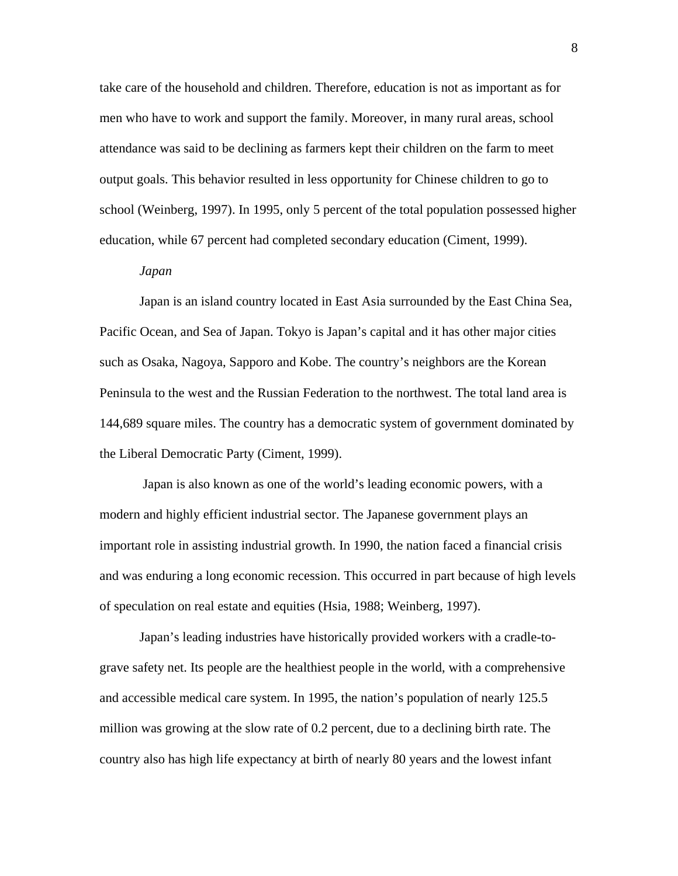take care of the household and children. Therefore, education is not as important as for men who have to work and support the family. Moreover, in many rural areas, school attendance was said to be declining as farmers kept their children on the farm to meet output goals. This behavior resulted in less opportunity for Chinese children to go to school (Weinberg, 1997). In 1995, only 5 percent of the total population possessed higher education, while 67 percent had completed secondary education (Ciment, 1999).

#### *Japan*

 Japan is an island country located in East Asia surrounded by the East China Sea, Pacific Ocean, and Sea of Japan. Tokyo is Japan's capital and it has other major cities such as Osaka, Nagoya, Sapporo and Kobe. The country's neighbors are the Korean Peninsula to the west and the Russian Federation to the northwest. The total land area is 144,689 square miles. The country has a democratic system of government dominated by the Liberal Democratic Party (Ciment, 1999).

 Japan is also known as one of the world's leading economic powers, with a modern and highly efficient industrial sector. The Japanese government plays an important role in assisting industrial growth. In 1990, the nation faced a financial crisis and was enduring a long economic recession. This occurred in part because of high levels of speculation on real estate and equities (Hsia, 1988; Weinberg, 1997).

Japan's leading industries have historically provided workers with a cradle-tograve safety net. Its people are the healthiest people in the world, with a comprehensive and accessible medical care system. In 1995, the nation's population of nearly 125.5 million was growing at the slow rate of 0.2 percent, due to a declining birth rate. The country also has high life expectancy at birth of nearly 80 years and the lowest infant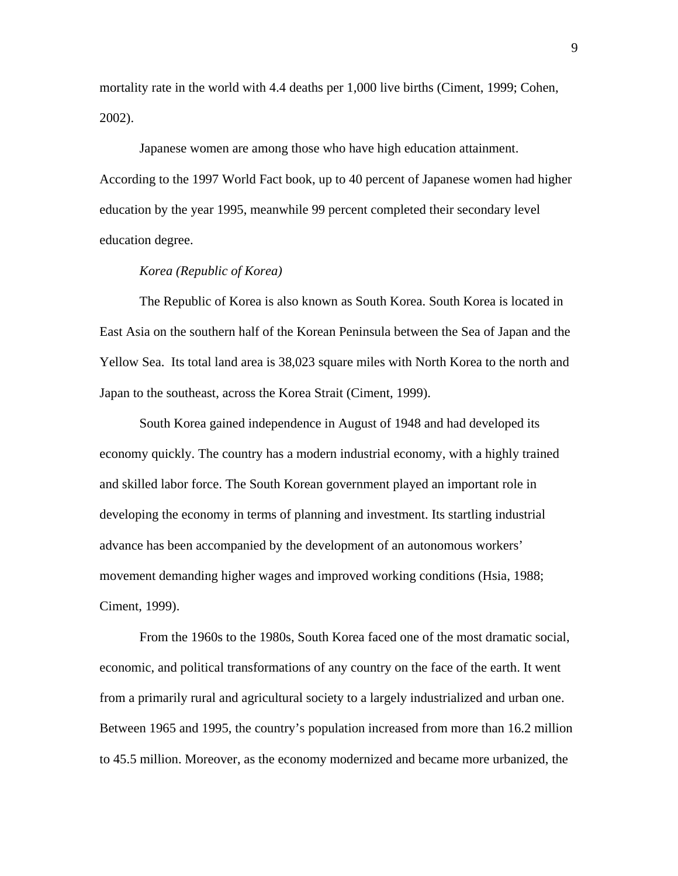mortality rate in the world with 4.4 deaths per 1,000 live births (Ciment, 1999; Cohen, 2002).

Japanese women are among those who have high education attainment. According to the 1997 World Fact book, up to 40 percent of Japanese women had higher education by the year 1995, meanwhile 99 percent completed their secondary level education degree.

#### *Korea (Republic of Korea)*

 The Republic of Korea is also known as South Korea. South Korea is located in East Asia on the southern half of the Korean Peninsula between the Sea of Japan and the Yellow Sea. Its total land area is 38,023 square miles with North Korea to the north and Japan to the southeast, across the Korea Strait (Ciment, 1999).

 South Korea gained independence in August of 1948 and had developed its economy quickly. The country has a modern industrial economy, with a highly trained and skilled labor force. The South Korean government played an important role in developing the economy in terms of planning and investment. Its startling industrial advance has been accompanied by the development of an autonomous workers' movement demanding higher wages and improved working conditions (Hsia, 1988; Ciment, 1999).

 From the 1960s to the 1980s, South Korea faced one of the most dramatic social, economic, and political transformations of any country on the face of the earth. It went from a primarily rural and agricultural society to a largely industrialized and urban one. Between 1965 and 1995, the country's population increased from more than 16.2 million to 45.5 million. Moreover, as the economy modernized and became more urbanized, the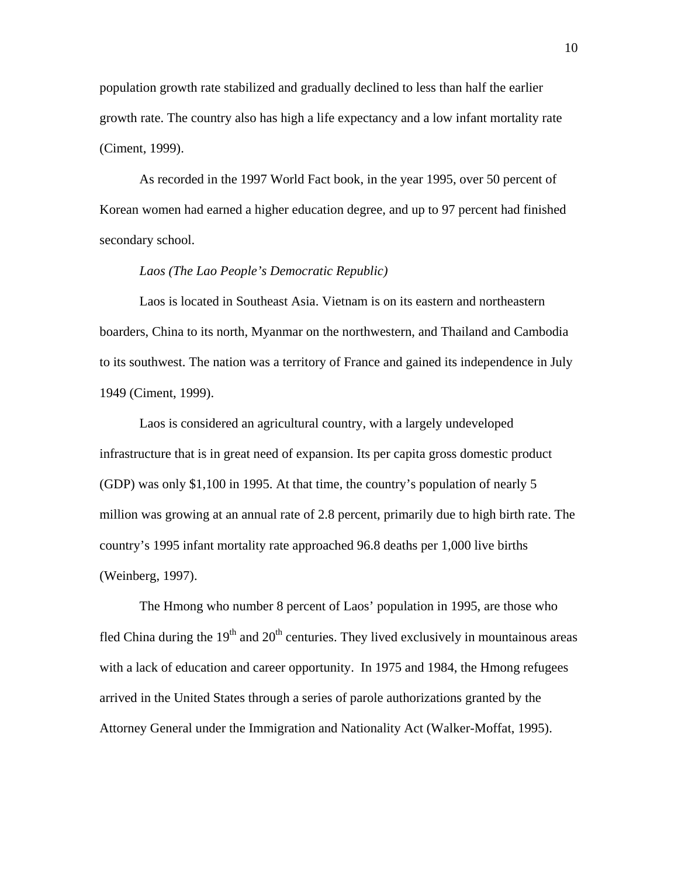population growth rate stabilized and gradually declined to less than half the earlier growth rate. The country also has high a life expectancy and a low infant mortality rate (Ciment, 1999).

 As recorded in the 1997 World Fact book, in the year 1995, over 50 percent of Korean women had earned a higher education degree, and up to 97 percent had finished secondary school.

#### *Laos (The Lao People's Democratic Republic)*

Laos is located in Southeast Asia. Vietnam is on its eastern and northeastern boarders, China to its north, Myanmar on the northwestern, and Thailand and Cambodia to its southwest. The nation was a territory of France and gained its independence in July 1949 (Ciment, 1999).

 Laos is considered an agricultural country, with a largely undeveloped infrastructure that is in great need of expansion. Its per capita gross domestic product (GDP) was only \$1,100 in 1995. At that time, the country's population of nearly 5 million was growing at an annual rate of 2.8 percent, primarily due to high birth rate. The country's 1995 infant mortality rate approached 96.8 deaths per 1,000 live births (Weinberg, 1997).

 The Hmong who number 8 percent of Laos' population in 1995, are those who fled China during the  $19<sup>th</sup>$  and  $20<sup>th</sup>$  centuries. They lived exclusively in mountainous areas with a lack of education and career opportunity. In 1975 and 1984, the Hmong refugees arrived in the United States through a series of parole authorizations granted by the Attorney General under the Immigration and Nationality Act (Walker-Moffat, 1995).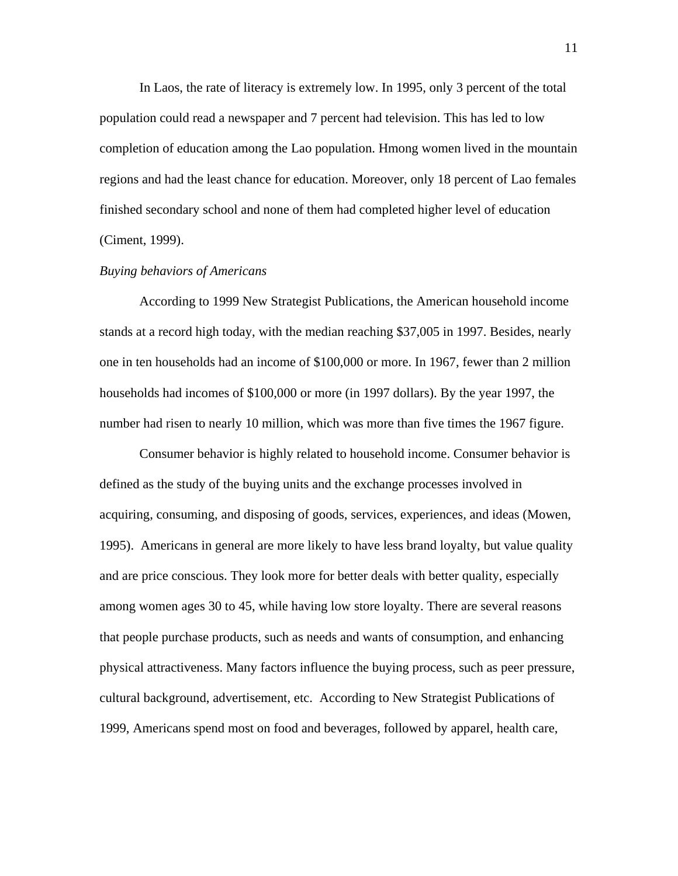In Laos, the rate of literacy is extremely low. In 1995, only 3 percent of the total population could read a newspaper and 7 percent had television. This has led to low completion of education among the Lao population. Hmong women lived in the mountain regions and had the least chance for education. Moreover, only 18 percent of Lao females finished secondary school and none of them had completed higher level of education (Ciment, 1999).

#### *Buying behaviors of Americans*

 According to 1999 New Strategist Publications, the American household income stands at a record high today, with the median reaching \$37,005 in 1997. Besides, nearly one in ten households had an income of \$100,000 or more. In 1967, fewer than 2 million households had incomes of \$100,000 or more (in 1997 dollars). By the year 1997, the number had risen to nearly 10 million, which was more than five times the 1967 figure.

 Consumer behavior is highly related to household income. Consumer behavior is defined as the study of the buying units and the exchange processes involved in acquiring, consuming, and disposing of goods, services, experiences, and ideas (Mowen, 1995). Americans in general are more likely to have less brand loyalty, but value quality and are price conscious. They look more for better deals with better quality, especially among women ages 30 to 45, while having low store loyalty. There are several reasons that people purchase products, such as needs and wants of consumption, and enhancing physical attractiveness. Many factors influence the buying process, such as peer pressure, cultural background, advertisement, etc. According to New Strategist Publications of 1999, Americans spend most on food and beverages, followed by apparel, health care,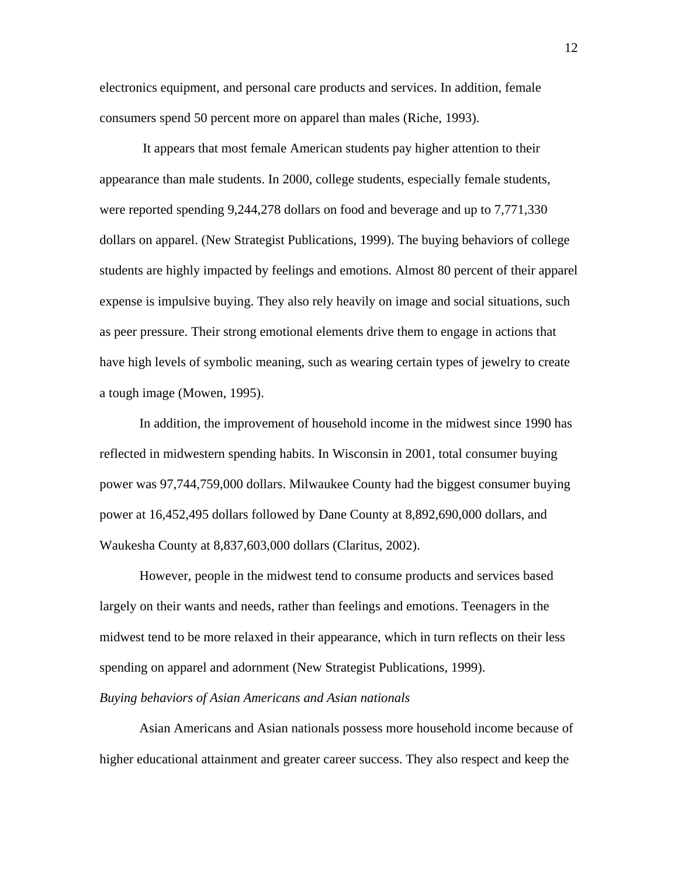electronics equipment, and personal care products and services. In addition, female consumers spend 50 percent more on apparel than males (Riche, 1993).

 It appears that most female American students pay higher attention to their appearance than male students. In 2000, college students, especially female students, were reported spending 9,244,278 dollars on food and beverage and up to 7,771,330 dollars on apparel. (New Strategist Publications, 1999). The buying behaviors of college students are highly impacted by feelings and emotions. Almost 80 percent of their apparel expense is impulsive buying. They also rely heavily on image and social situations, such as peer pressure. Their strong emotional elements drive them to engage in actions that have high levels of symbolic meaning, such as wearing certain types of jewelry to create a tough image (Mowen, 1995).

 In addition, the improvement of household income in the midwest since 1990 has reflected in midwestern spending habits. In Wisconsin in 2001, total consumer buying power was 97,744,759,000 dollars. Milwaukee County had the biggest consumer buying power at 16,452,495 dollars followed by Dane County at 8,892,690,000 dollars, and Waukesha County at 8,837,603,000 dollars (Claritus, 2002).

 However, people in the midwest tend to consume products and services based largely on their wants and needs, rather than feelings and emotions. Teenagers in the midwest tend to be more relaxed in their appearance, which in turn reflects on their less spending on apparel and adornment (New Strategist Publications, 1999).

#### *Buying behaviors of Asian Americans and Asian nationals*

Asian Americans and Asian nationals possess more household income because of higher educational attainment and greater career success. They also respect and keep the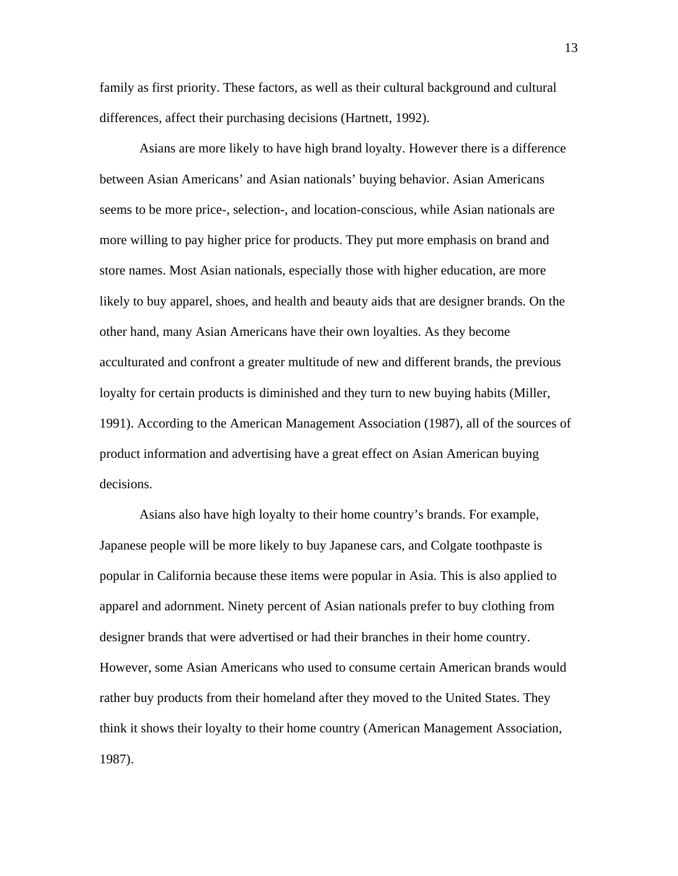family as first priority. These factors, as well as their cultural background and cultural differences, affect their purchasing decisions (Hartnett, 1992).

 Asians are more likely to have high brand loyalty. However there is a difference between Asian Americans' and Asian nationals' buying behavior. Asian Americans seems to be more price-, selection-, and location-conscious, while Asian nationals are more willing to pay higher price for products. They put more emphasis on brand and store names. Most Asian nationals, especially those with higher education, are more likely to buy apparel, shoes, and health and beauty aids that are designer brands. On the other hand, many Asian Americans have their own loyalties. As they become acculturated and confront a greater multitude of new and different brands, the previous loyalty for certain products is diminished and they turn to new buying habits (Miller, 1991). According to the American Management Association (1987), all of the sources of product information and advertising have a great effect on Asian American buying decisions.

 Asians also have high loyalty to their home country's brands. For example, Japanese people will be more likely to buy Japanese cars, and Colgate toothpaste is popular in California because these items were popular in Asia. This is also applied to apparel and adornment. Ninety percent of Asian nationals prefer to buy clothing from designer brands that were advertised or had their branches in their home country. However, some Asian Americans who used to consume certain American brands would rather buy products from their homeland after they moved to the United States. They think it shows their loyalty to their home country (American Management Association, 1987).

13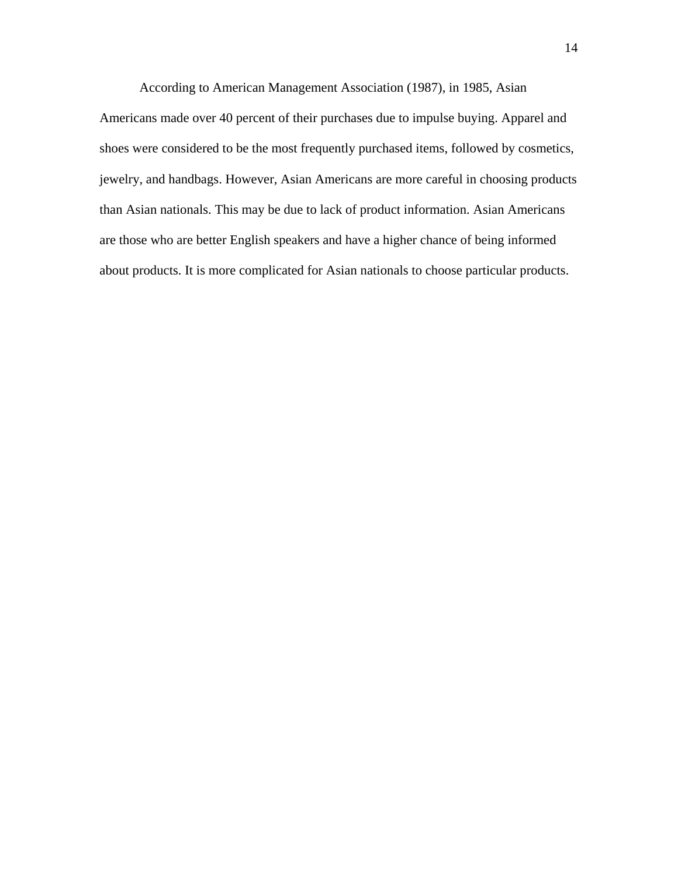According to American Management Association (1987), in 1985, Asian Americans made over 40 percent of their purchases due to impulse buying. Apparel and shoes were considered to be the most frequently purchased items, followed by cosmetics, jewelry, and handbags. However, Asian Americans are more careful in choosing products than Asian nationals. This may be due to lack of product information. Asian Americans are those who are better English speakers and have a higher chance of being informed about products. It is more complicated for Asian nationals to choose particular products.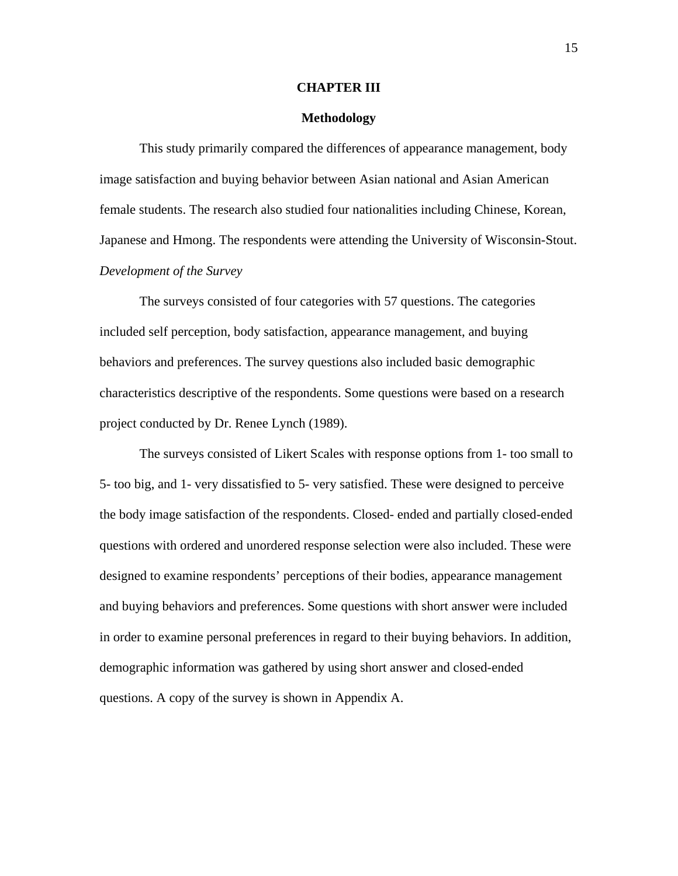#### **CHAPTER III**

#### **Methodology**

 This study primarily compared the differences of appearance management, body image satisfaction and buying behavior between Asian national and Asian American female students. The research also studied four nationalities including Chinese, Korean, Japanese and Hmong. The respondents were attending the University of Wisconsin-Stout. *Development of the Survey* 

 The surveys consisted of four categories with 57 questions. The categories included self perception, body satisfaction, appearance management, and buying behaviors and preferences. The survey questions also included basic demographic characteristics descriptive of the respondents. Some questions were based on a research project conducted by Dr. Renee Lynch (1989).

 The surveys consisted of Likert Scales with response options from 1- too small to 5- too big, and 1- very dissatisfied to 5- very satisfied. These were designed to perceive the body image satisfaction of the respondents. Closed- ended and partially closed-ended questions with ordered and unordered response selection were also included. These were designed to examine respondents' perceptions of their bodies, appearance management and buying behaviors and preferences. Some questions with short answer were included in order to examine personal preferences in regard to their buying behaviors. In addition, demographic information was gathered by using short answer and closed-ended questions. A copy of the survey is shown in Appendix A.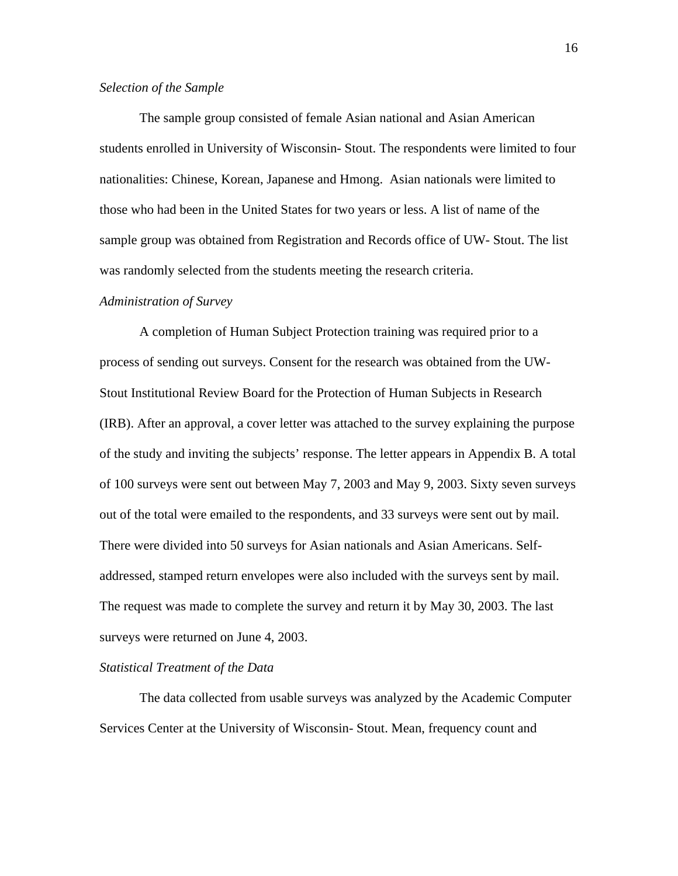#### *Selection of the Sample*

 The sample group consisted of female Asian national and Asian American students enrolled in University of Wisconsin- Stout. The respondents were limited to four nationalities: Chinese, Korean, Japanese and Hmong. Asian nationals were limited to those who had been in the United States for two years or less. A list of name of the sample group was obtained from Registration and Records office of UW- Stout. The list was randomly selected from the students meeting the research criteria.

#### *Administration of Survey*

 A completion of Human Subject Protection training was required prior to a process of sending out surveys. Consent for the research was obtained from the UW-Stout Institutional Review Board for the Protection of Human Subjects in Research (IRB). After an approval, a cover letter was attached to the survey explaining the purpose of the study and inviting the subjects' response. The letter appears in Appendix B. A total of 100 surveys were sent out between May 7, 2003 and May 9, 2003. Sixty seven surveys out of the total were emailed to the respondents, and 33 surveys were sent out by mail. There were divided into 50 surveys for Asian nationals and Asian Americans. Selfaddressed, stamped return envelopes were also included with the surveys sent by mail. The request was made to complete the survey and return it by May 30, 2003. The last surveys were returned on June 4, 2003.

#### *Statistical Treatment of the Data*

The data collected from usable surveys was analyzed by the Academic Computer Services Center at the University of Wisconsin- Stout. Mean, frequency count and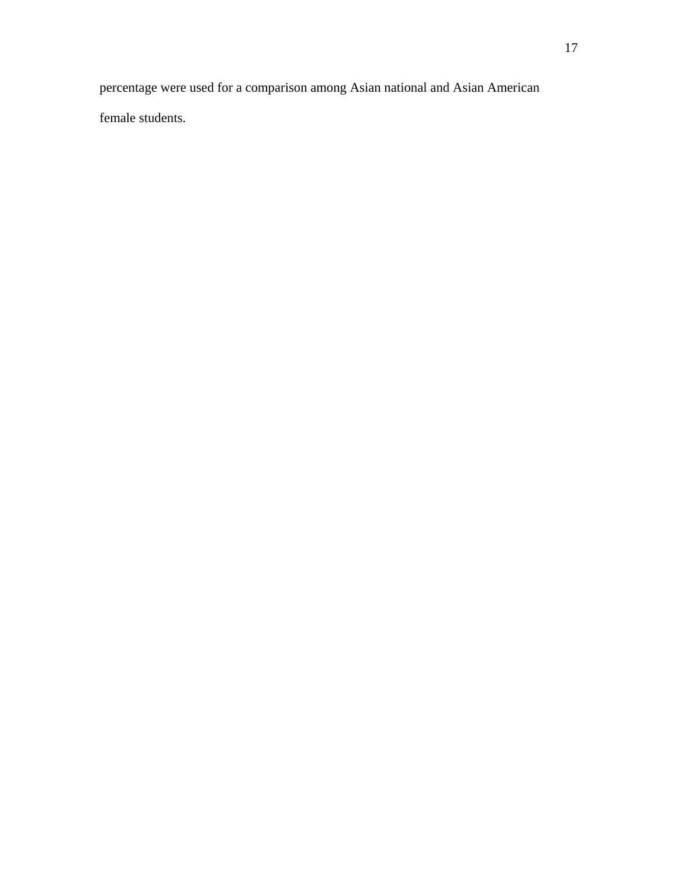percentage were used for a comparison among Asian national and Asian American

female students.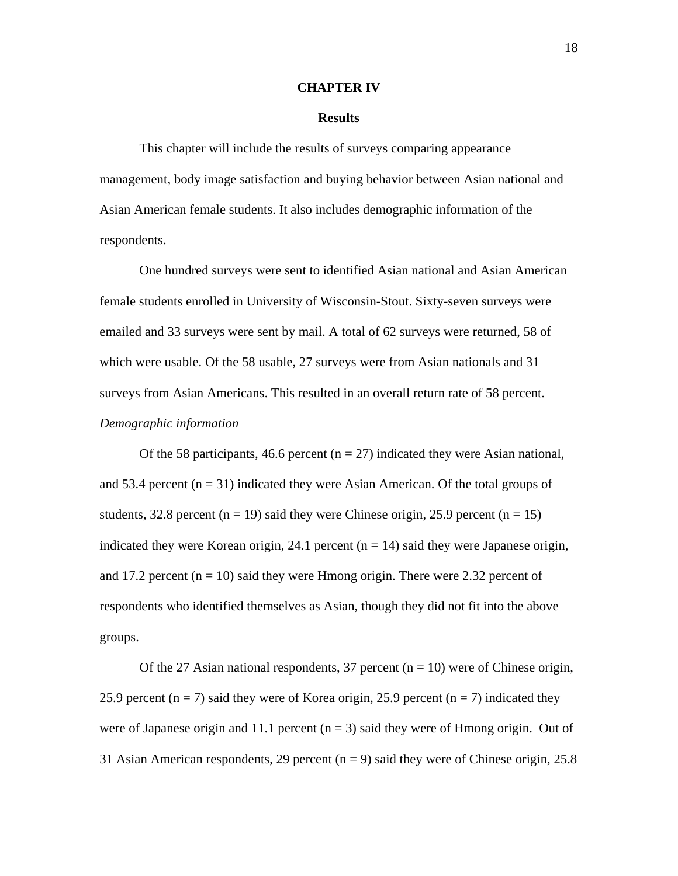#### **CHAPTER IV**

#### **Results**

This chapter will include the results of surveys comparing appearance management, body image satisfaction and buying behavior between Asian national and Asian American female students. It also includes demographic information of the respondents.

 One hundred surveys were sent to identified Asian national and Asian American female students enrolled in University of Wisconsin-Stout. Sixty-seven surveys were emailed and 33 surveys were sent by mail. A total of 62 surveys were returned, 58 of which were usable. Of the 58 usable, 27 surveys were from Asian nationals and 31 surveys from Asian Americans. This resulted in an overall return rate of 58 percent. *Demographic information* 

Of the 58 participants, 46.6 percent ( $n = 27$ ) indicated they were Asian national, and 53.4 percent  $(n = 31)$  indicated they were Asian American. Of the total groups of students, 32.8 percent ( $n = 19$ ) said they were Chinese origin, 25.9 percent ( $n = 15$ ) indicated they were Korean origin, 24.1 percent  $(n = 14)$  said they were Japanese origin, and 17.2 percent  $(n = 10)$  said they were Hmong origin. There were 2.32 percent of respondents who identified themselves as Asian, though they did not fit into the above groups.

Of the 27 Asian national respondents, 37 percent ( $n = 10$ ) were of Chinese origin, 25.9 percent ( $n = 7$ ) said they were of Korea origin, 25.9 percent ( $n = 7$ ) indicated they were of Japanese origin and 11.1 percent  $(n = 3)$  said they were of Hmong origin. Out of 31 Asian American respondents, 29 percent ( $n = 9$ ) said they were of Chinese origin, 25.8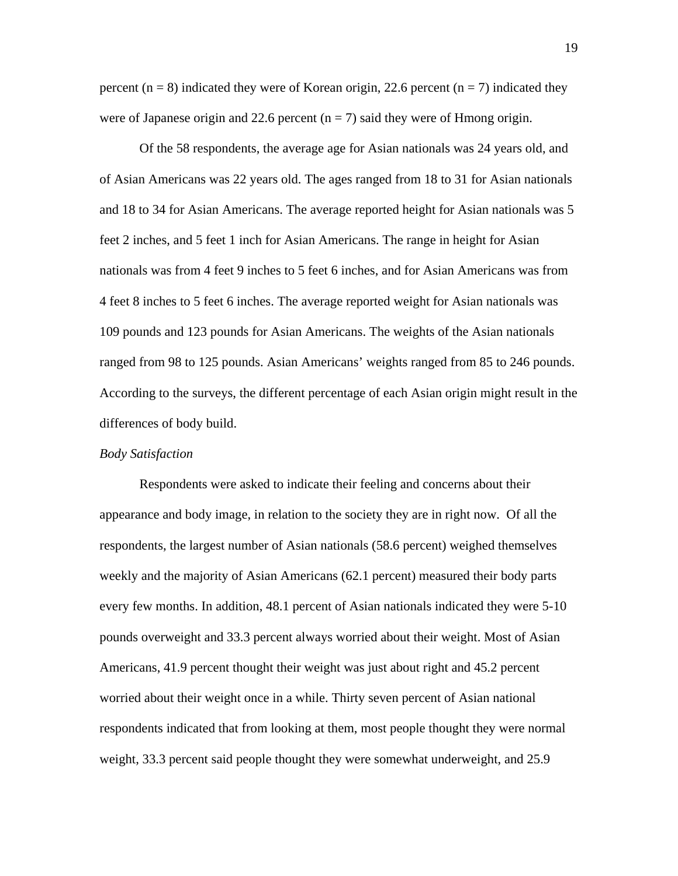percent ( $n = 8$ ) indicated they were of Korean origin, 22.6 percent ( $n = 7$ ) indicated they were of Japanese origin and 22.6 percent  $(n = 7)$  said they were of Hmong origin.

Of the 58 respondents, the average age for Asian nationals was 24 years old, and of Asian Americans was 22 years old. The ages ranged from 18 to 31 for Asian nationals and 18 to 34 for Asian Americans. The average reported height for Asian nationals was 5 feet 2 inches, and 5 feet 1 inch for Asian Americans. The range in height for Asian nationals was from 4 feet 9 inches to 5 feet 6 inches, and for Asian Americans was from 4 feet 8 inches to 5 feet 6 inches. The average reported weight for Asian nationals was 109 pounds and 123 pounds for Asian Americans. The weights of the Asian nationals ranged from 98 to 125 pounds. Asian Americans' weights ranged from 85 to 246 pounds. According to the surveys, the different percentage of each Asian origin might result in the differences of body build.

#### *Body Satisfaction*

Respondents were asked to indicate their feeling and concerns about their appearance and body image, in relation to the society they are in right now. Of all the respondents, the largest number of Asian nationals (58.6 percent) weighed themselves weekly and the majority of Asian Americans (62.1 percent) measured their body parts every few months. In addition, 48.1 percent of Asian nationals indicated they were 5-10 pounds overweight and 33.3 percent always worried about their weight. Most of Asian Americans, 41.9 percent thought their weight was just about right and 45.2 percent worried about their weight once in a while. Thirty seven percent of Asian national respondents indicated that from looking at them, most people thought they were normal weight, 33.3 percent said people thought they were somewhat underweight, and 25.9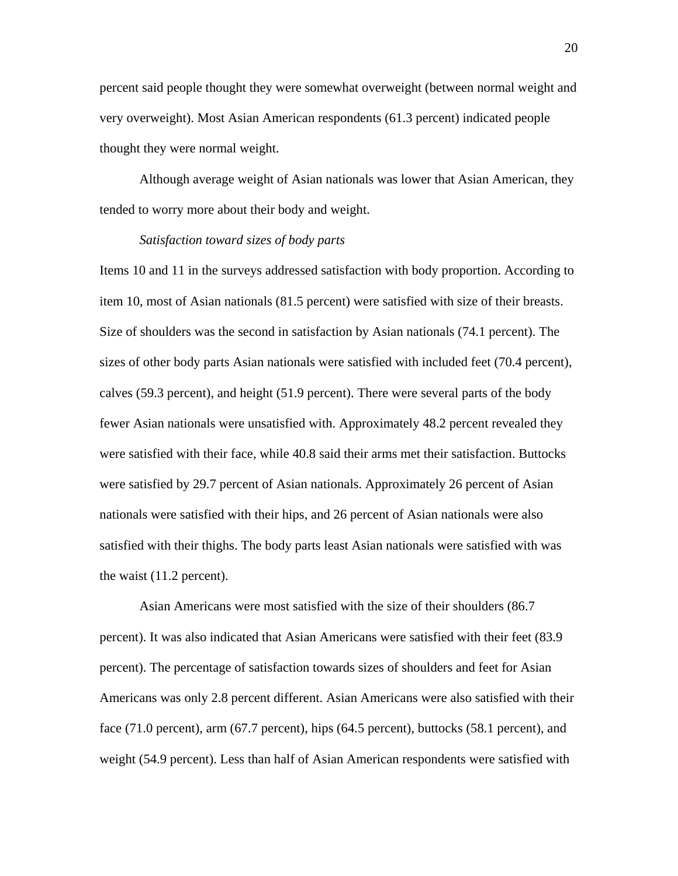percent said people thought they were somewhat overweight (between normal weight and very overweight). Most Asian American respondents (61.3 percent) indicated people thought they were normal weight.

 Although average weight of Asian nationals was lower that Asian American, they tended to worry more about their body and weight.

#### *Satisfaction toward sizes of body parts*

Items 10 and 11 in the surveys addressed satisfaction with body proportion. According to item 10, most of Asian nationals (81.5 percent) were satisfied with size of their breasts. Size of shoulders was the second in satisfaction by Asian nationals (74.1 percent). The sizes of other body parts Asian nationals were satisfied with included feet (70.4 percent), calves (59.3 percent), and height (51.9 percent). There were several parts of the body fewer Asian nationals were unsatisfied with. Approximately 48.2 percent revealed they were satisfied with their face, while 40.8 said their arms met their satisfaction. Buttocks were satisfied by 29.7 percent of Asian nationals. Approximately 26 percent of Asian nationals were satisfied with their hips, and 26 percent of Asian nationals were also satisfied with their thighs. The body parts least Asian nationals were satisfied with was the waist (11.2 percent).

Asian Americans were most satisfied with the size of their shoulders (86.7 percent). It was also indicated that Asian Americans were satisfied with their feet (83.9 percent). The percentage of satisfaction towards sizes of shoulders and feet for Asian Americans was only 2.8 percent different. Asian Americans were also satisfied with their face (71.0 percent), arm (67.7 percent), hips (64.5 percent), buttocks (58.1 percent), and weight (54.9 percent). Less than half of Asian American respondents were satisfied with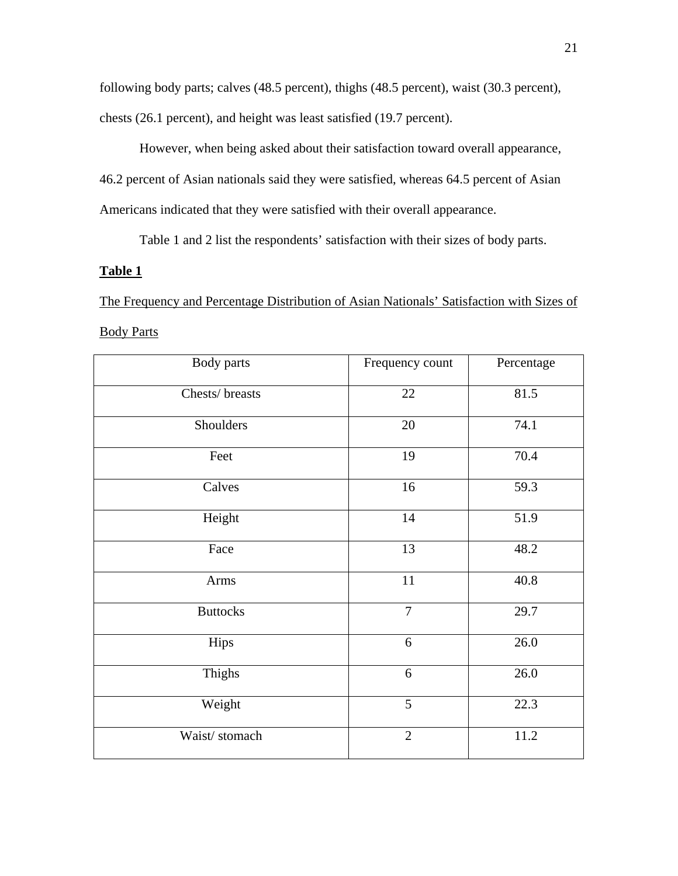following body parts; calves (48.5 percent), thighs (48.5 percent), waist (30.3 percent), chests (26.1 percent), and height was least satisfied (19.7 percent).

However, when being asked about their satisfaction toward overall appearance, 46.2 percent of Asian nationals said they were satisfied, whereas 64.5 percent of Asian Americans indicated that they were satisfied with their overall appearance.

Table 1 and 2 list the respondents' satisfaction with their sizes of body parts.

### **Table 1**

The Frequency and Percentage Distribution of Asian Nationals' Satisfaction with Sizes of

### Body Parts

| Body parts      | Frequency count | Percentage |
|-----------------|-----------------|------------|
| Chests/breasts  | $22\,$          | 81.5       |
| Shoulders       | 20              | 74.1       |
| Feet            | 19              | 70.4       |
| Calves          | 16              | 59.3       |
| Height          | 14              | 51.9       |
| Face            | 13              | 48.2       |
| Arms            | 11              | 40.8       |
| <b>Buttocks</b> | $\overline{7}$  | 29.7       |
| Hips            | 6               | 26.0       |
| Thighs          | 6               | 26.0       |
| Weight          | $\overline{5}$  | 22.3       |
| Waist/stomach   | $\overline{2}$  | 11.2       |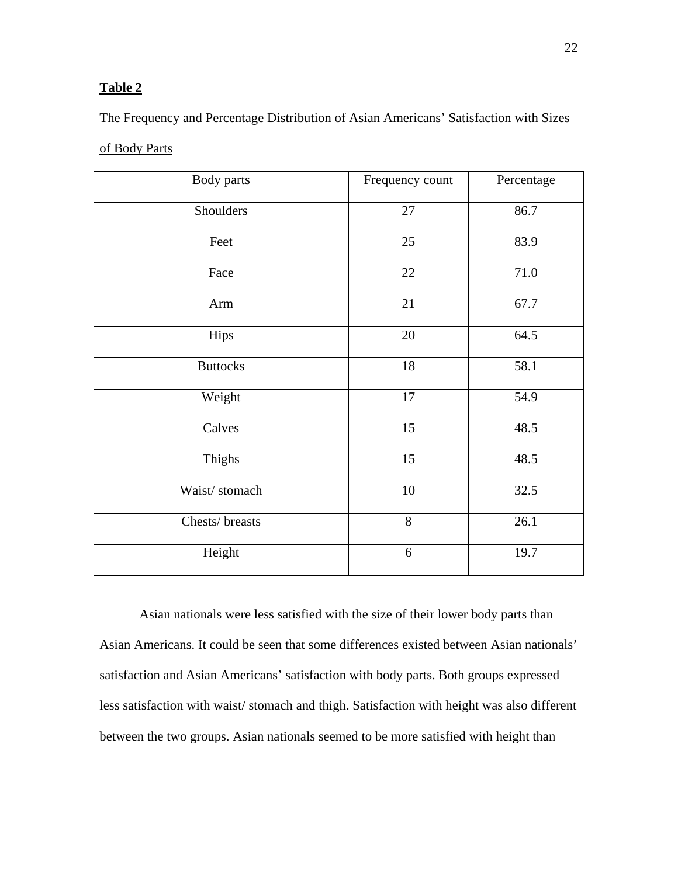### **Table 2**

# The Frequency and Percentage Distribution of Asian Americans' Satisfaction with Sizes

### of Body Parts

| Body parts      | Frequency count | Percentage |
|-----------------|-----------------|------------|
| Shoulders       | 27              | 86.7       |
| Feet            | 25              | 83.9       |
| Face            | 22              | 71.0       |
| Arm             | 21              | 67.7       |
| Hips            | 20              | 64.5       |
| <b>Buttocks</b> | 18              | 58.1       |
| Weight          | 17              | 54.9       |
| Calves          | 15              | 48.5       |
| Thighs          | 15              | 48.5       |
| Waist/stomach   | 10              | 32.5       |
| Chests/breasts  | 8               | 26.1       |
| Height          | 6               | 19.7       |

 Asian nationals were less satisfied with the size of their lower body parts than Asian Americans. It could be seen that some differences existed between Asian nationals' satisfaction and Asian Americans' satisfaction with body parts. Both groups expressed less satisfaction with waist/ stomach and thigh. Satisfaction with height was also different between the two groups. Asian nationals seemed to be more satisfied with height than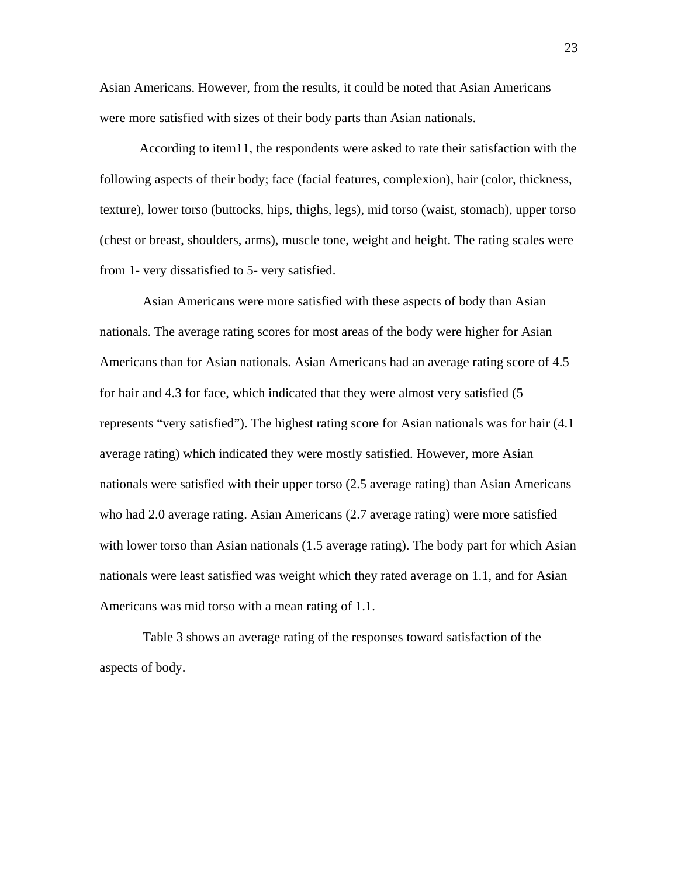Asian Americans. However, from the results, it could be noted that Asian Americans were more satisfied with sizes of their body parts than Asian nationals.

According to item11, the respondents were asked to rate their satisfaction with the following aspects of their body; face (facial features, complexion), hair (color, thickness, texture), lower torso (buttocks, hips, thighs, legs), mid torso (waist, stomach), upper torso (chest or breast, shoulders, arms), muscle tone, weight and height. The rating scales were from 1- very dissatisfied to 5- very satisfied.

 Asian Americans were more satisfied with these aspects of body than Asian nationals. The average rating scores for most areas of the body were higher for Asian Americans than for Asian nationals. Asian Americans had an average rating score of 4.5 for hair and 4.3 for face, which indicated that they were almost very satisfied (5 represents "very satisfied"). The highest rating score for Asian nationals was for hair (4.1 average rating) which indicated they were mostly satisfied. However, more Asian nationals were satisfied with their upper torso (2.5 average rating) than Asian Americans who had 2.0 average rating. Asian Americans (2.7 average rating) were more satisfied with lower torso than Asian nationals (1.5 average rating). The body part for which Asian nationals were least satisfied was weight which they rated average on 1.1, and for Asian Americans was mid torso with a mean rating of 1.1.

 Table 3 shows an average rating of the responses toward satisfaction of the aspects of body.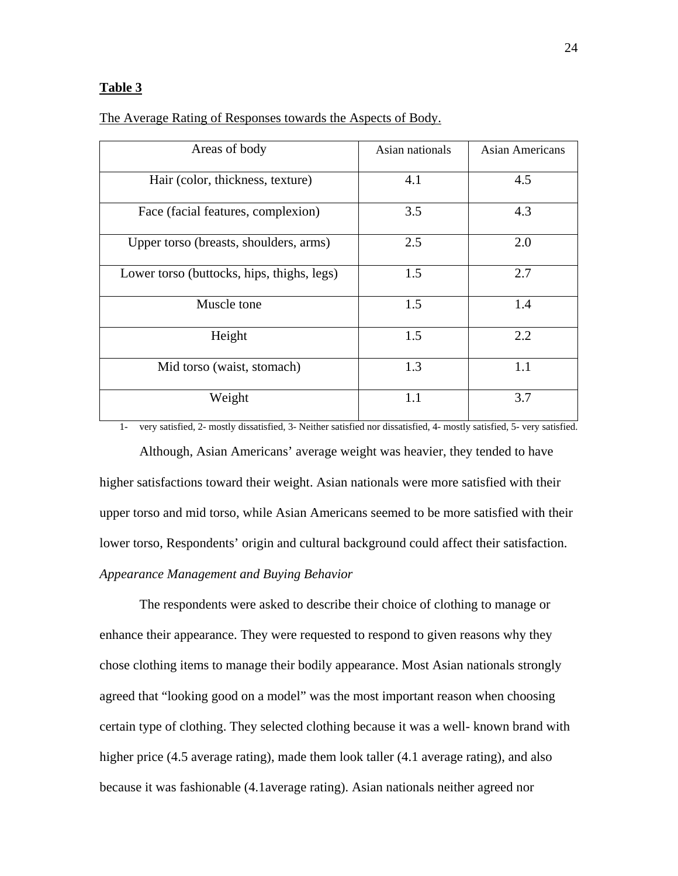#### **Table 3**

| Areas of body                              | Asian nationals | Asian Americans |
|--------------------------------------------|-----------------|-----------------|
| Hair (color, thickness, texture)           | 4.1             | 4.5             |
| Face (facial features, complexion)         | 3.5             | 4.3             |
| Upper torso (breasts, shoulders, arms)     | 2.5             | 2.0             |
| Lower torso (buttocks, hips, thighs, legs) | 1.5             | 2.7             |
| Muscle tone                                | 1.5             | 1.4             |
| Height                                     | 1.5             | 2.2             |
| Mid torso (waist, stomach)                 | 1.3             | 1.1             |
| Weight                                     | 1.1             | 3.7             |

The Average Rating of Responses towards the Aspects of Body.

1- very satisfied, 2- mostly dissatisfied, 3- Neither satisfied nor dissatisfied, 4- mostly satisfied, 5- very satisfied.

 Although, Asian Americans' average weight was heavier, they tended to have higher satisfactions toward their weight. Asian nationals were more satisfied with their upper torso and mid torso, while Asian Americans seemed to be more satisfied with their lower torso, Respondents' origin and cultural background could affect their satisfaction. *Appearance Management and Buying Behavior* 

The respondents were asked to describe their choice of clothing to manage or enhance their appearance. They were requested to respond to given reasons why they chose clothing items to manage their bodily appearance. Most Asian nationals strongly agreed that "looking good on a model" was the most important reason when choosing certain type of clothing. They selected clothing because it was a well- known brand with higher price (4.5 average rating), made them look taller (4.1 average rating), and also because it was fashionable (4.1average rating). Asian nationals neither agreed nor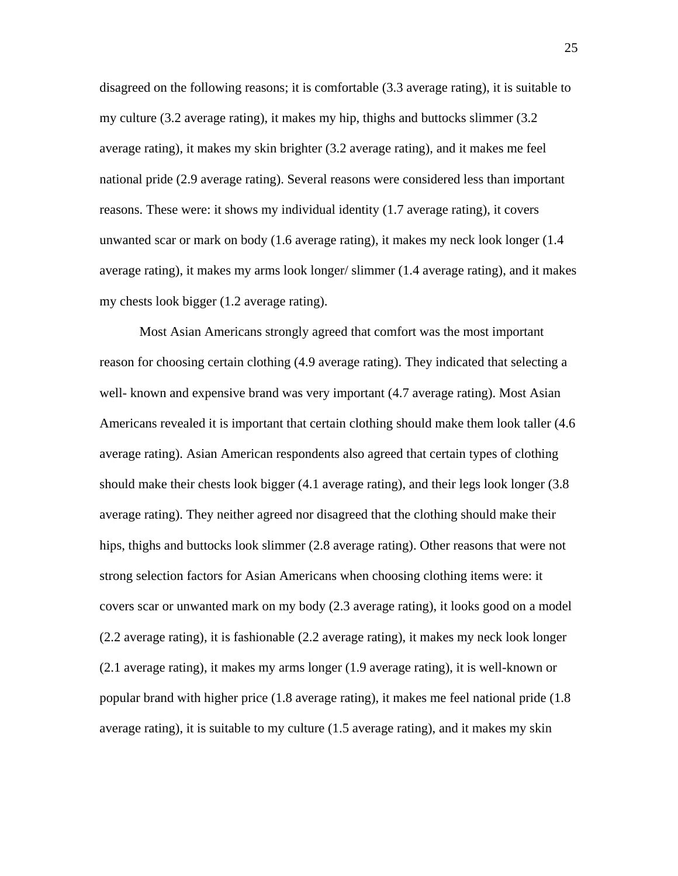disagreed on the following reasons; it is comfortable (3.3 average rating), it is suitable to my culture (3.2 average rating), it makes my hip, thighs and buttocks slimmer (3.2 average rating), it makes my skin brighter (3.2 average rating), and it makes me feel national pride (2.9 average rating). Several reasons were considered less than important reasons. These were: it shows my individual identity (1.7 average rating), it covers unwanted scar or mark on body (1.6 average rating), it makes my neck look longer (1.4 average rating), it makes my arms look longer/ slimmer (1.4 average rating), and it makes my chests look bigger (1.2 average rating).

 Most Asian Americans strongly agreed that comfort was the most important reason for choosing certain clothing (4.9 average rating). They indicated that selecting a well- known and expensive brand was very important  $(4.7$  average rating). Most Asian Americans revealed it is important that certain clothing should make them look taller (4.6 average rating). Asian American respondents also agreed that certain types of clothing should make their chests look bigger (4.1 average rating), and their legs look longer (3.8 average rating). They neither agreed nor disagreed that the clothing should make their hips, thighs and buttocks look slimmer (2.8 average rating). Other reasons that were not strong selection factors for Asian Americans when choosing clothing items were: it covers scar or unwanted mark on my body (2.3 average rating), it looks good on a model (2.2 average rating), it is fashionable (2.2 average rating), it makes my neck look longer (2.1 average rating), it makes my arms longer (1.9 average rating), it is well-known or popular brand with higher price (1.8 average rating), it makes me feel national pride (1.8 average rating), it is suitable to my culture (1.5 average rating), and it makes my skin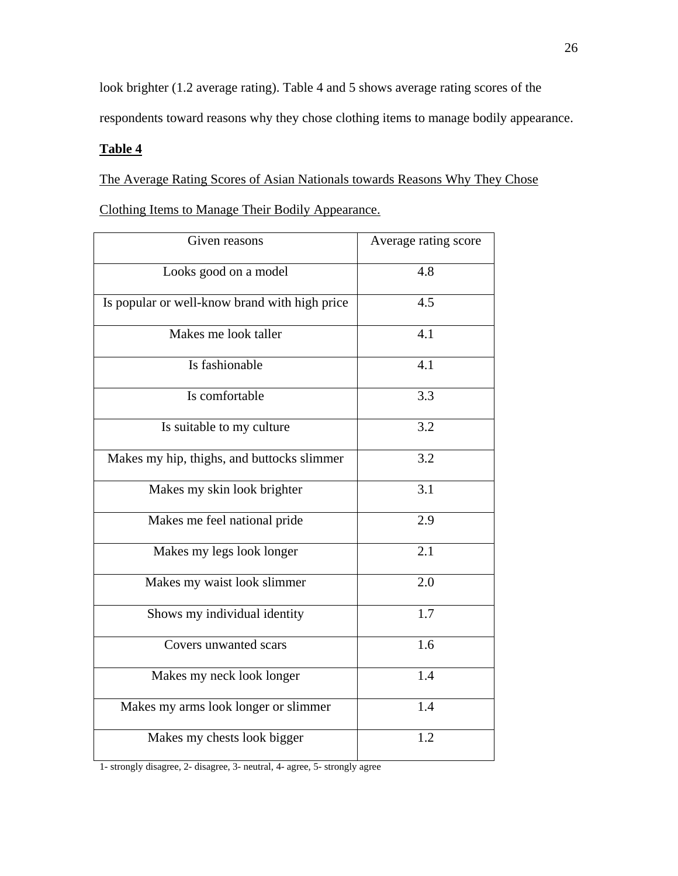look brighter (1.2 average rating). Table 4 and 5 shows average rating scores of the respondents toward reasons why they chose clothing items to manage bodily appearance.

## **Table 4**

The Average Rating Scores of Asian Nationals towards Reasons Why They Chose Clothing Items to Manage Their Bodily Appearance.

| Given reasons                                 | Average rating score |
|-----------------------------------------------|----------------------|
| Looks good on a model                         | 4.8                  |
| Is popular or well-know brand with high price | 4.5                  |
| Makes me look taller                          | 4.1                  |
| Is fashionable                                | 4.1                  |
| Is comfortable                                | 3.3                  |
| Is suitable to my culture                     | 3.2                  |
| Makes my hip, thighs, and buttocks slimmer    | 3.2                  |
| Makes my skin look brighter                   | 3.1                  |
| Makes me feel national pride                  | 2.9                  |
| Makes my legs look longer                     | 2.1                  |
| Makes my waist look slimmer                   | 2.0                  |
| Shows my individual identity                  | 1.7                  |
| Covers unwanted scars                         | 1.6                  |
| Makes my neck look longer                     | 1.4                  |
| Makes my arms look longer or slimmer          | 1.4                  |
| Makes my chests look bigger                   | 1.2                  |

1- strongly disagree, 2- disagree, 3- neutral, 4- agree, 5- strongly agree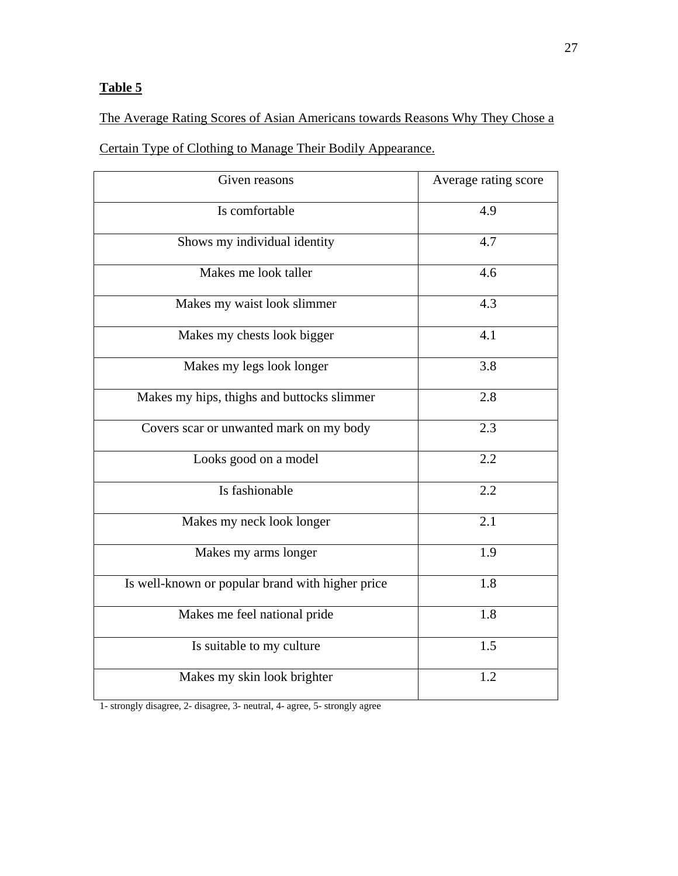# The Average Rating Scores of Asian Americans towards Reasons Why They Chose a

Certain Type of Clothing to Manage Their Bodily Appearance.

| Given reasons                                    | Average rating score |
|--------------------------------------------------|----------------------|
| Is comfortable                                   | 4.9                  |
| Shows my individual identity                     | 4.7                  |
| Makes me look taller                             | 4.6                  |
| Makes my waist look slimmer                      | 4.3                  |
| Makes my chests look bigger                      | 4.1                  |
| Makes my legs look longer                        | 3.8                  |
| Makes my hips, thighs and buttocks slimmer       | 2.8                  |
| Covers scar or unwanted mark on my body          | 2.3                  |
| Looks good on a model                            | 2.2                  |
| Is fashionable                                   | 2.2                  |
| Makes my neck look longer                        | 2.1                  |
| Makes my arms longer                             | 1.9                  |
| Is well-known or popular brand with higher price | 1.8                  |
| Makes me feel national pride                     | 1.8                  |
| Is suitable to my culture                        | 1.5                  |
| Makes my skin look brighter                      | 1.2                  |

1- strongly disagree, 2- disagree, 3- neutral, 4- agree, 5- strongly agree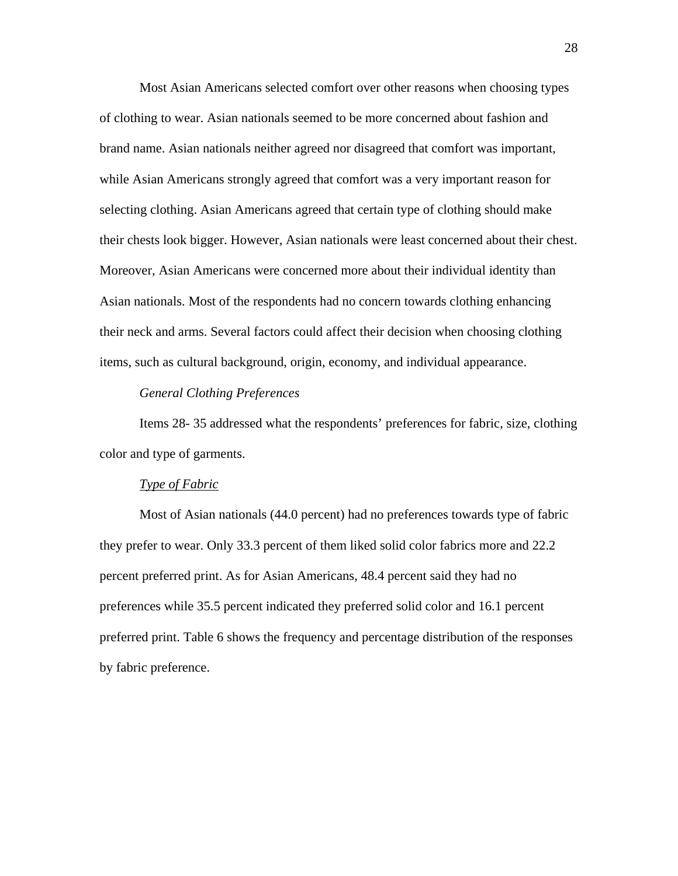Most Asian Americans selected comfort over other reasons when choosing types of clothing to wear. Asian nationals seemed to be more concerned about fashion and brand name. Asian nationals neither agreed nor disagreed that comfort was important, while Asian Americans strongly agreed that comfort was a very important reason for selecting clothing. Asian Americans agreed that certain type of clothing should make their chests look bigger. However, Asian nationals were least concerned about their chest. Moreover, Asian Americans were concerned more about their individual identity than Asian nationals. Most of the respondents had no concern towards clothing enhancing their neck and arms. Several factors could affect their decision when choosing clothing items, such as cultural background, origin, economy, and individual appearance.

### *General Clothing Preferences*

Items 28- 35 addressed what the respondents' preferences for fabric, size, clothing color and type of garments.

### *Type of Fabric*

Most of Asian nationals (44.0 percent) had no preferences towards type of fabric they prefer to wear. Only 33.3 percent of them liked solid color fabrics more and 22.2 percent preferred print. As for Asian Americans, 48.4 percent said they had no preferences while 35.5 percent indicated they preferred solid color and 16.1 percent preferred print. Table 6 shows the frequency and percentage distribution of the responses by fabric preference.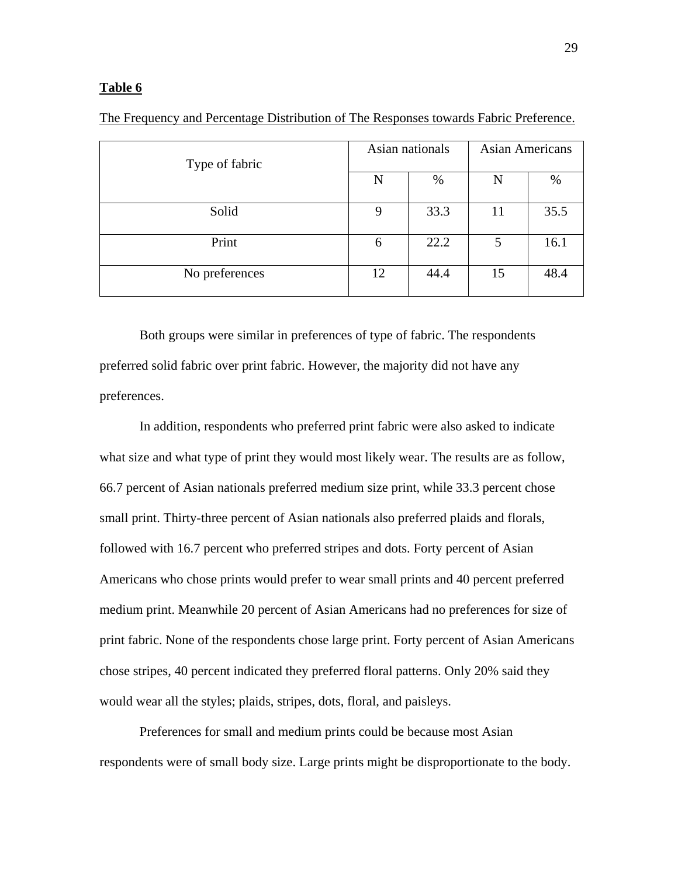| Type of fabric |    | Asian nationals | <b>Asian Americans</b> |      |
|----------------|----|-----------------|------------------------|------|
|                | N  | $\%$            | N                      | $\%$ |
| Solid          | 9  | 33.3            | 11                     | 35.5 |
| Print          | 6  | 22.2            | 5                      | 16.1 |
| No preferences | 12 | 44.4            | 15                     | 48.4 |

The Frequency and Percentage Distribution of The Responses towards Fabric Preference.

 Both groups were similar in preferences of type of fabric. The respondents preferred solid fabric over print fabric. However, the majority did not have any preferences.

 In addition, respondents who preferred print fabric were also asked to indicate what size and what type of print they would most likely wear. The results are as follow, 66.7 percent of Asian nationals preferred medium size print, while 33.3 percent chose small print. Thirty-three percent of Asian nationals also preferred plaids and florals, followed with 16.7 percent who preferred stripes and dots. Forty percent of Asian Americans who chose prints would prefer to wear small prints and 40 percent preferred medium print. Meanwhile 20 percent of Asian Americans had no preferences for size of print fabric. None of the respondents chose large print. Forty percent of Asian Americans chose stripes, 40 percent indicated they preferred floral patterns. Only 20% said they would wear all the styles; plaids, stripes, dots, floral, and paisleys.

Preferences for small and medium prints could be because most Asian respondents were of small body size. Large prints might be disproportionate to the body.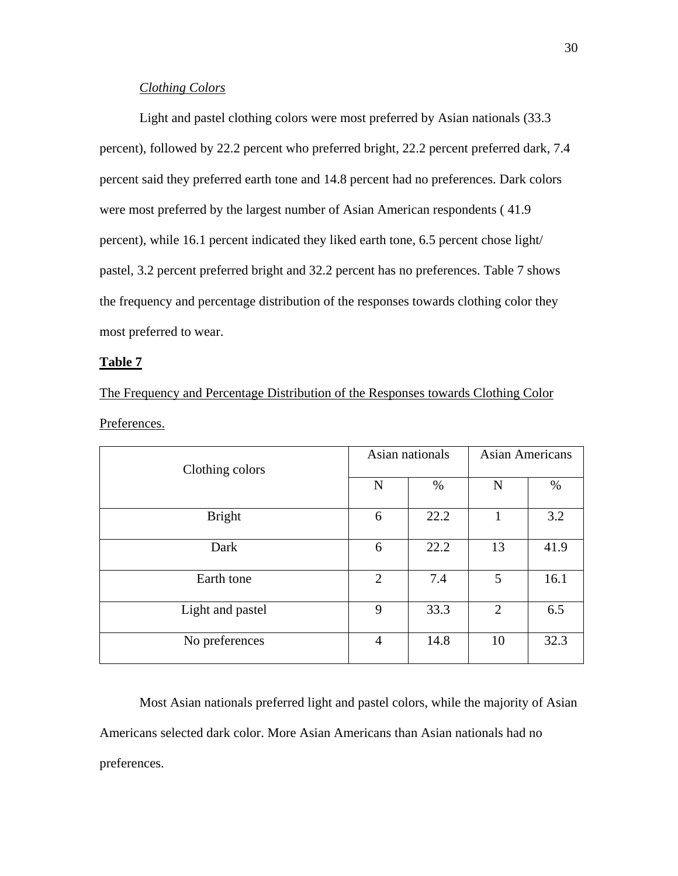## *Clothing Colors*

 Light and pastel clothing colors were most preferred by Asian nationals (33.3 percent), followed by 22.2 percent who preferred bright, 22.2 percent preferred dark, 7.4 percent said they preferred earth tone and 14.8 percent had no preferences. Dark colors were most preferred by the largest number of Asian American respondents ( 41.9 percent), while 16.1 percent indicated they liked earth tone, 6.5 percent chose light/ pastel, 3.2 percent preferred bright and 32.2 percent has no preferences. Table 7 shows the frequency and percentage distribution of the responses towards clothing color they most preferred to wear.

#### **Table 7**

The Frequency and Percentage Distribution of the Responses towards Clothing Color Preferences.

| Clothing colors  |                | Asian nationals | <b>Asian Americans</b> |      |
|------------------|----------------|-----------------|------------------------|------|
|                  | N              | $\%$            | N                      | $\%$ |
| <b>Bright</b>    | 6              | 22.2            | 1                      | 3.2  |
| Dark             | 6              | 22.2            | 13                     | 41.9 |
| Earth tone       | $\overline{2}$ | 7.4             | 5                      | 16.1 |
| Light and pastel | 9              | 33.3            | 2                      | 6.5  |
| No preferences   | $\overline{4}$ | 14.8            | 10                     | 32.3 |

 Most Asian nationals preferred light and pastel colors, while the majority of Asian Americans selected dark color. More Asian Americans than Asian nationals had no preferences.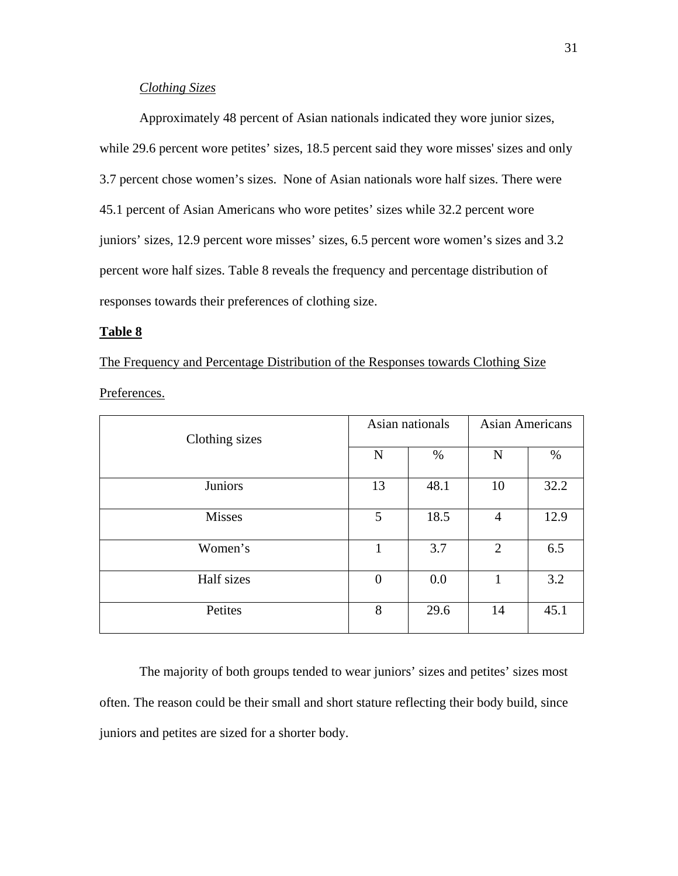## *Clothing Sizes*

Approximately 48 percent of Asian nationals indicated they wore junior sizes, while 29.6 percent wore petites' sizes, 18.5 percent said they wore misses' sizes and only 3.7 percent chose women's sizes. None of Asian nationals wore half sizes. There were 45.1 percent of Asian Americans who wore petites' sizes while 32.2 percent wore juniors' sizes, 12.9 percent wore misses' sizes, 6.5 percent wore women's sizes and 3.2 percent wore half sizes. Table 8 reveals the frequency and percentage distribution of responses towards their preferences of clothing size.

#### **Table 8**

The Frequency and Percentage Distribution of the Responses towards Clothing Size Preferences.

| Clothing sizes |          | Asian nationals | <b>Asian Americans</b> |      |
|----------------|----------|-----------------|------------------------|------|
|                | N        | $\%$            | $\mathbf N$            | %    |
| Juniors        | 13       | 48.1            | 10                     | 32.2 |
| <b>Misses</b>  | 5        | 18.5            | $\overline{4}$         | 12.9 |
| Women's        | 1        | 3.7             | 2                      | 6.5  |
| Half sizes     | $\theta$ | 0.0             | 1                      | 3.2  |
| Petites        | 8        | 29.6            | 14                     | 45.1 |

The majority of both groups tended to wear juniors' sizes and petites' sizes most often. The reason could be their small and short stature reflecting their body build, since juniors and petites are sized for a shorter body.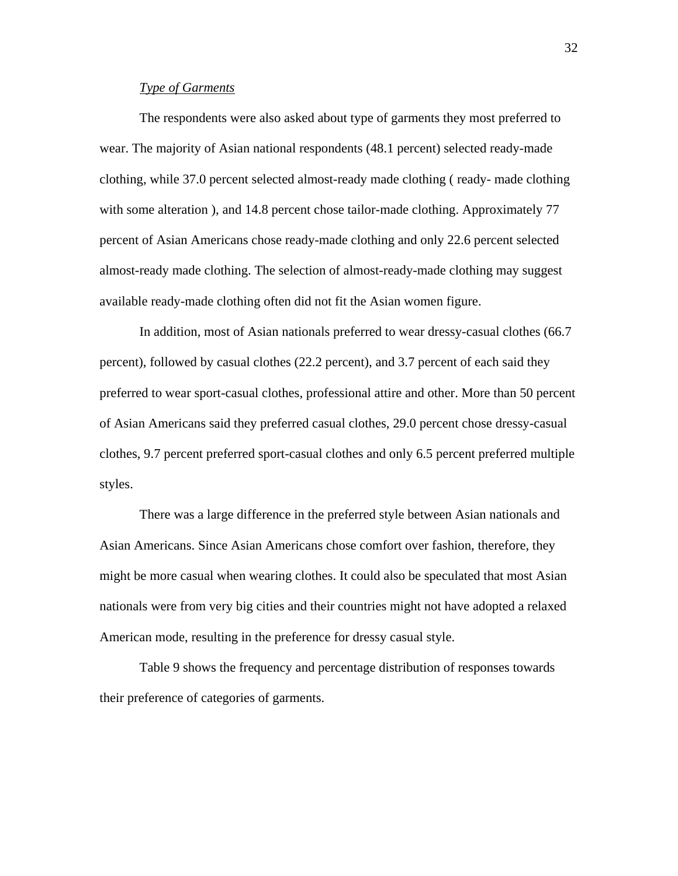## *Type of Garments*

The respondents were also asked about type of garments they most preferred to wear. The majority of Asian national respondents (48.1 percent) selected ready-made clothing, while 37.0 percent selected almost-ready made clothing ( ready- made clothing with some alteration ), and 14.8 percent chose tailor-made clothing. Approximately 77 percent of Asian Americans chose ready-made clothing and only 22.6 percent selected almost-ready made clothing. The selection of almost-ready-made clothing may suggest available ready-made clothing often did not fit the Asian women figure.

 In addition, most of Asian nationals preferred to wear dressy-casual clothes (66.7 percent), followed by casual clothes (22.2 percent), and 3.7 percent of each said they preferred to wear sport-casual clothes, professional attire and other. More than 50 percent of Asian Americans said they preferred casual clothes, 29.0 percent chose dressy-casual clothes, 9.7 percent preferred sport-casual clothes and only 6.5 percent preferred multiple styles.

 There was a large difference in the preferred style between Asian nationals and Asian Americans. Since Asian Americans chose comfort over fashion, therefore, they might be more casual when wearing clothes. It could also be speculated that most Asian nationals were from very big cities and their countries might not have adopted a relaxed American mode, resulting in the preference for dressy casual style.

Table 9 shows the frequency and percentage distribution of responses towards their preference of categories of garments.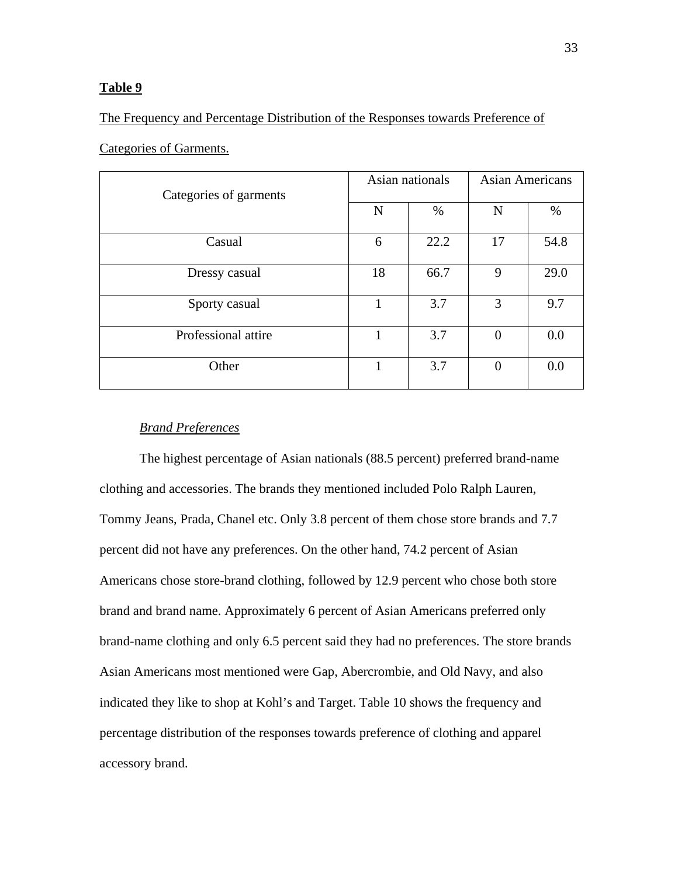## The Frequency and Percentage Distribution of the Responses towards Preference of

| Categories of garments |    | Asian nationals<br><b>Asian Americans</b> |          |      |
|------------------------|----|-------------------------------------------|----------|------|
|                        | N  | %                                         | N        | $\%$ |
| Casual                 | 6  | 22.2                                      | 17       | 54.8 |
| Dressy casual          | 18 | 66.7                                      | 9        | 29.0 |
| Sporty casual          |    | 3.7                                       | 3        | 9.7  |
| Professional attire    | 1  | 3.7                                       | $\theta$ | 0.0  |
| Other                  |    | 3.7                                       | $\theta$ | 0.0  |

## Categories of Garments.

## *Brand Preferences*

The highest percentage of Asian nationals (88.5 percent) preferred brand-name clothing and accessories. The brands they mentioned included Polo Ralph Lauren, Tommy Jeans, Prada, Chanel etc. Only 3.8 percent of them chose store brands and 7.7 percent did not have any preferences. On the other hand, 74.2 percent of Asian Americans chose store-brand clothing, followed by 12.9 percent who chose both store brand and brand name. Approximately 6 percent of Asian Americans preferred only brand-name clothing and only 6.5 percent said they had no preferences. The store brands Asian Americans most mentioned were Gap, Abercrombie, and Old Navy, and also indicated they like to shop at Kohl's and Target. Table 10 shows the frequency and percentage distribution of the responses towards preference of clothing and apparel accessory brand.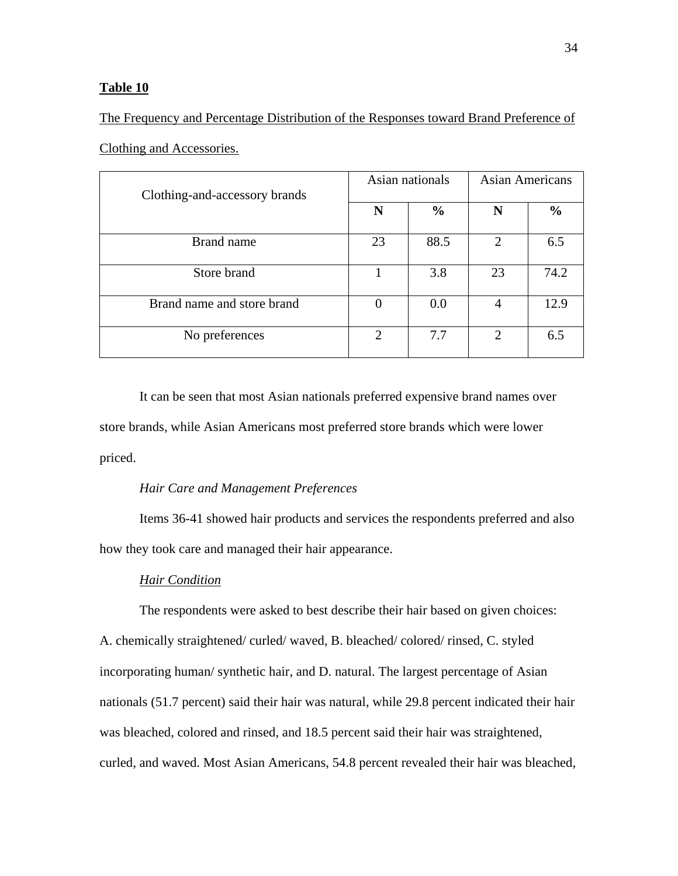Clothing and Accessories.

The Frequency and Percentage Distribution of the Responses toward Brand Preference of

| Clothing-and-accessory brands |          | Asian nationals<br><b>Asian Americans</b> |                |               |
|-------------------------------|----------|-------------------------------------------|----------------|---------------|
|                               | N        | $\frac{6}{9}$                             | N              | $\frac{6}{9}$ |
| Brand name                    | 23       | 88.5                                      | $\overline{2}$ | 6.5           |
| Store brand                   |          | 3.8                                       | 23             | 74.2          |
| Brand name and store brand    | $\theta$ | 0.0                                       | 4              | 12.9          |
| No preferences                | 2        | 7.7                                       | 2              | 6.5           |

It can be seen that most Asian nationals preferred expensive brand names over store brands, while Asian Americans most preferred store brands which were lower priced.

## *Hair Care and Management Preferences*

Items 36-41 showed hair products and services the respondents preferred and also how they took care and managed their hair appearance.

## *Hair Condition*

The respondents were asked to best describe their hair based on given choices: A. chemically straightened/ curled/ waved, B. bleached/ colored/ rinsed, C. styled incorporating human/ synthetic hair, and D. natural. The largest percentage of Asian nationals (51.7 percent) said their hair was natural, while 29.8 percent indicated their hair was bleached, colored and rinsed, and 18.5 percent said their hair was straightened, curled, and waved. Most Asian Americans, 54.8 percent revealed their hair was bleached,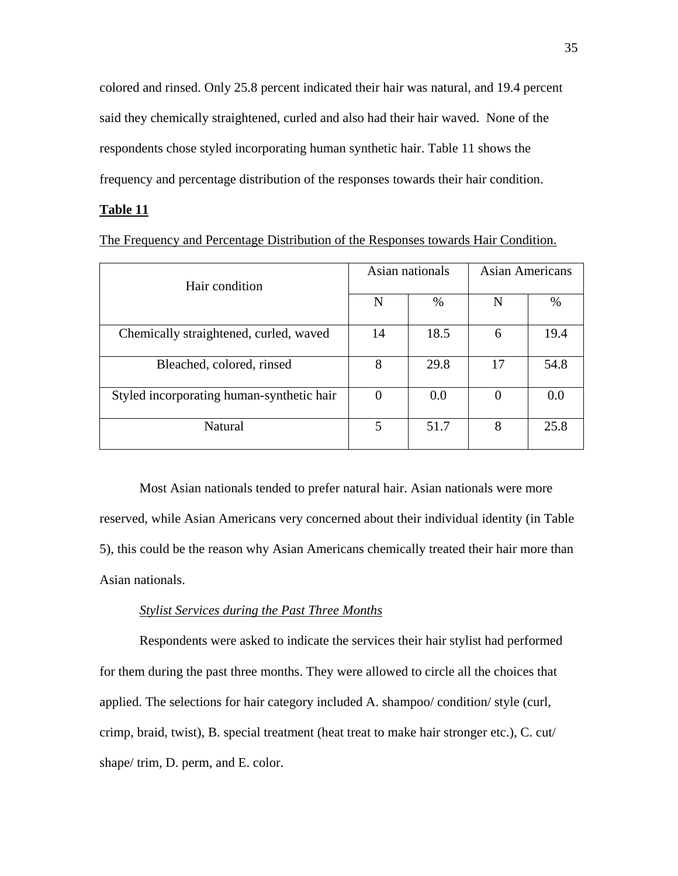colored and rinsed. Only 25.8 percent indicated their hair was natural, and 19.4 percent said they chemically straightened, curled and also had their hair waved. None of the respondents chose styled incorporating human synthetic hair. Table 11 shows the frequency and percentage distribution of the responses towards their hair condition.

## **Table 11**

The Frequency and Percentage Distribution of the Responses towards Hair Condition.

| Hair condition                            |          | Asian nationals<br><b>Asian Americans</b> |    |      |
|-------------------------------------------|----------|-------------------------------------------|----|------|
|                                           | N        | $\%$                                      | N  | $\%$ |
| Chemically straightened, curled, waved    | 14       | 18.5                                      | 6  | 19.4 |
| Bleached, colored, rinsed                 | 8        | 29.8                                      | 17 | 54.8 |
| Styled incorporating human-synthetic hair | $\theta$ | 0.0                                       |    | 0.0  |
| Natural                                   | 5        | 51.7                                      | 8  | 25.8 |

 Most Asian nationals tended to prefer natural hair. Asian nationals were more reserved, while Asian Americans very concerned about their individual identity (in Table 5), this could be the reason why Asian Americans chemically treated their hair more than Asian nationals.

## *Stylist Services during the Past Three Months*

 Respondents were asked to indicate the services their hair stylist had performed for them during the past three months. They were allowed to circle all the choices that applied. The selections for hair category included A. shampoo/ condition/ style (curl, crimp, braid, twist), B. special treatment (heat treat to make hair stronger etc.), C. cut/ shape/ trim, D. perm, and E. color.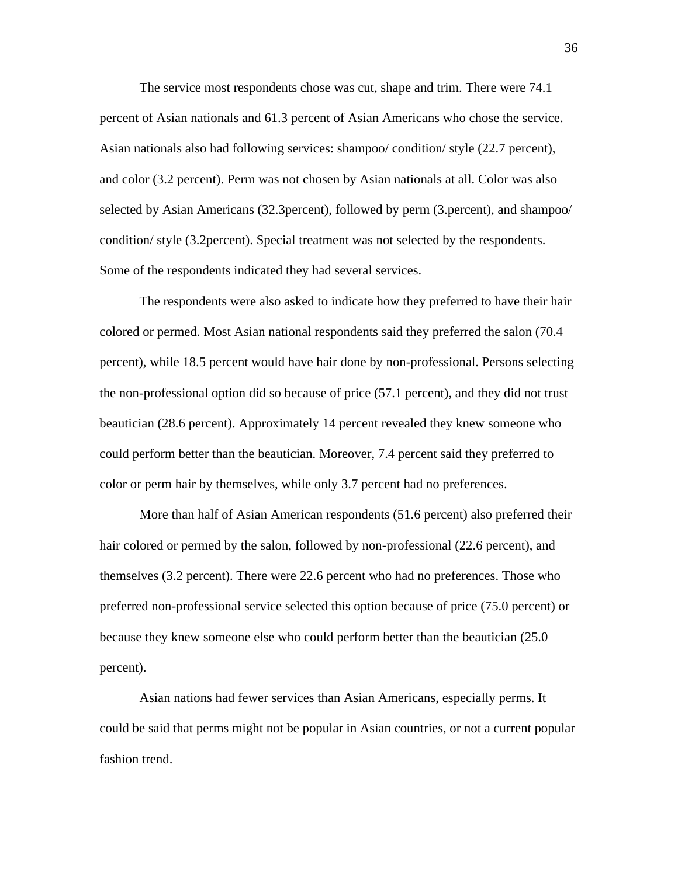The service most respondents chose was cut, shape and trim. There were 74.1 percent of Asian nationals and 61.3 percent of Asian Americans who chose the service. Asian nationals also had following services: shampoo/ condition/ style (22.7 percent), and color (3.2 percent). Perm was not chosen by Asian nationals at all. Color was also selected by Asian Americans (32.3percent), followed by perm (3.percent), and shampoo/ condition/ style (3.2percent). Special treatment was not selected by the respondents. Some of the respondents indicated they had several services.

The respondents were also asked to indicate how they preferred to have their hair colored or permed. Most Asian national respondents said they preferred the salon (70.4 percent), while 18.5 percent would have hair done by non-professional. Persons selecting the non-professional option did so because of price (57.1 percent), and they did not trust beautician (28.6 percent). Approximately 14 percent revealed they knew someone who could perform better than the beautician. Moreover, 7.4 percent said they preferred to color or perm hair by themselves, while only 3.7 percent had no preferences.

More than half of Asian American respondents (51.6 percent) also preferred their hair colored or permed by the salon, followed by non-professional (22.6 percent), and themselves (3.2 percent). There were 22.6 percent who had no preferences. Those who preferred non-professional service selected this option because of price (75.0 percent) or because they knew someone else who could perform better than the beautician (25.0 percent).

Asian nations had fewer services than Asian Americans, especially perms. It could be said that perms might not be popular in Asian countries, or not a current popular fashion trend.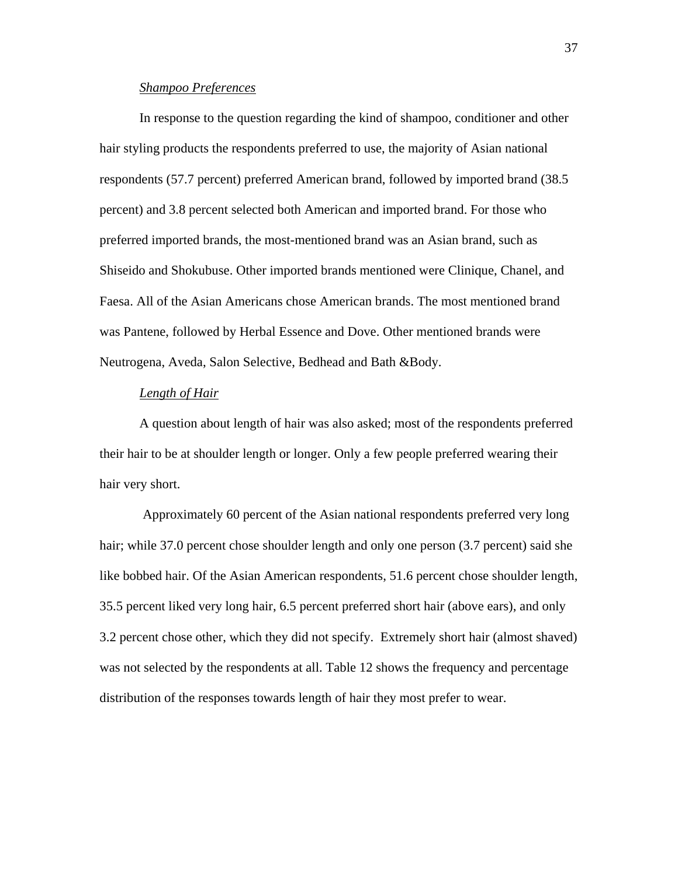## *Shampoo Preferences*

In response to the question regarding the kind of shampoo, conditioner and other hair styling products the respondents preferred to use, the majority of Asian national respondents (57.7 percent) preferred American brand, followed by imported brand (38.5 percent) and 3.8 percent selected both American and imported brand. For those who preferred imported brands, the most-mentioned brand was an Asian brand, such as Shiseido and Shokubuse. Other imported brands mentioned were Clinique, Chanel, and Faesa. All of the Asian Americans chose American brands. The most mentioned brand was Pantene, followed by Herbal Essence and Dove. Other mentioned brands were Neutrogena, Aveda, Salon Selective, Bedhead and Bath &Body.

## *Length of Hair*

A question about length of hair was also asked; most of the respondents preferred their hair to be at shoulder length or longer. Only a few people preferred wearing their hair very short.

 Approximately 60 percent of the Asian national respondents preferred very long hair; while 37.0 percent chose shoulder length and only one person (3.7 percent) said she like bobbed hair. Of the Asian American respondents, 51.6 percent chose shoulder length, 35.5 percent liked very long hair, 6.5 percent preferred short hair (above ears), and only 3.2 percent chose other, which they did not specify. Extremely short hair (almost shaved) was not selected by the respondents at all. Table 12 shows the frequency and percentage distribution of the responses towards length of hair they most prefer to wear.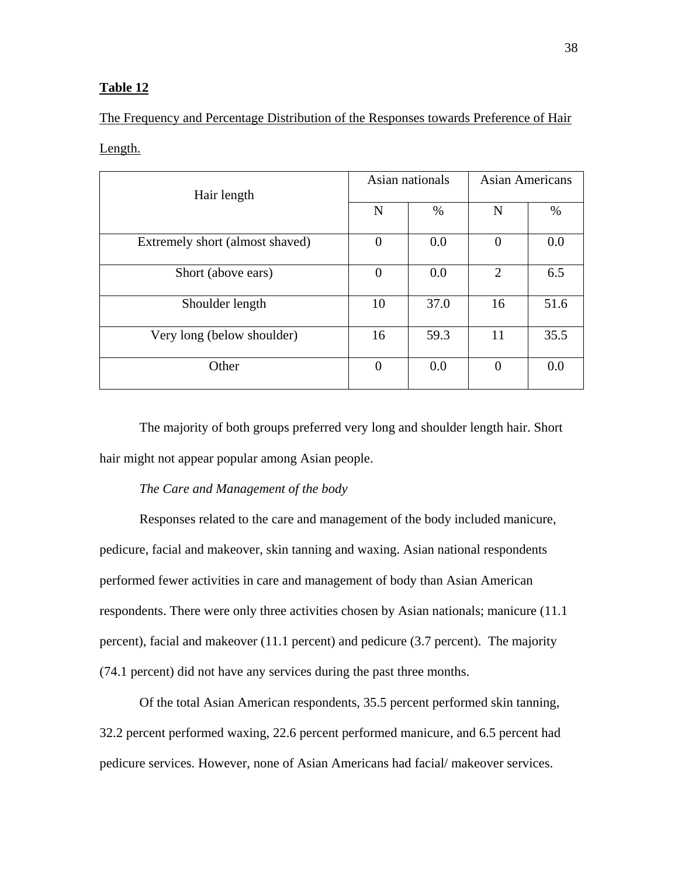The Frequency and Percentage Distribution of the Responses towards Preference of Hair

### Length.

| Hair length                     | Asian nationals |      | <b>Asian Americans</b> |      |
|---------------------------------|-----------------|------|------------------------|------|
|                                 | N               | %    | N                      | $\%$ |
| Extremely short (almost shaved) | $\Omega$        | 0.0  | $\overline{0}$         | 0.0  |
| Short (above ears)              | $\Omega$        | 0.0  | 2                      | 6.5  |
| Shoulder length                 | 10              | 37.0 | 16                     | 51.6 |
| Very long (below shoulder)      | 16              | 59.3 | 11                     | 35.5 |
| Other                           | $\Omega$        | 0.0  | $\overline{0}$         | 0.0  |

The majority of both groups preferred very long and shoulder length hair. Short hair might not appear popular among Asian people.

## *The Care and Management of the body*

Responses related to the care and management of the body included manicure, pedicure, facial and makeover, skin tanning and waxing. Asian national respondents performed fewer activities in care and management of body than Asian American respondents. There were only three activities chosen by Asian nationals; manicure (11.1 percent), facial and makeover (11.1 percent) and pedicure (3.7 percent). The majority (74.1 percent) did not have any services during the past three months.

Of the total Asian American respondents, 35.5 percent performed skin tanning, 32.2 percent performed waxing, 22.6 percent performed manicure, and 6.5 percent had pedicure services. However, none of Asian Americans had facial/ makeover services.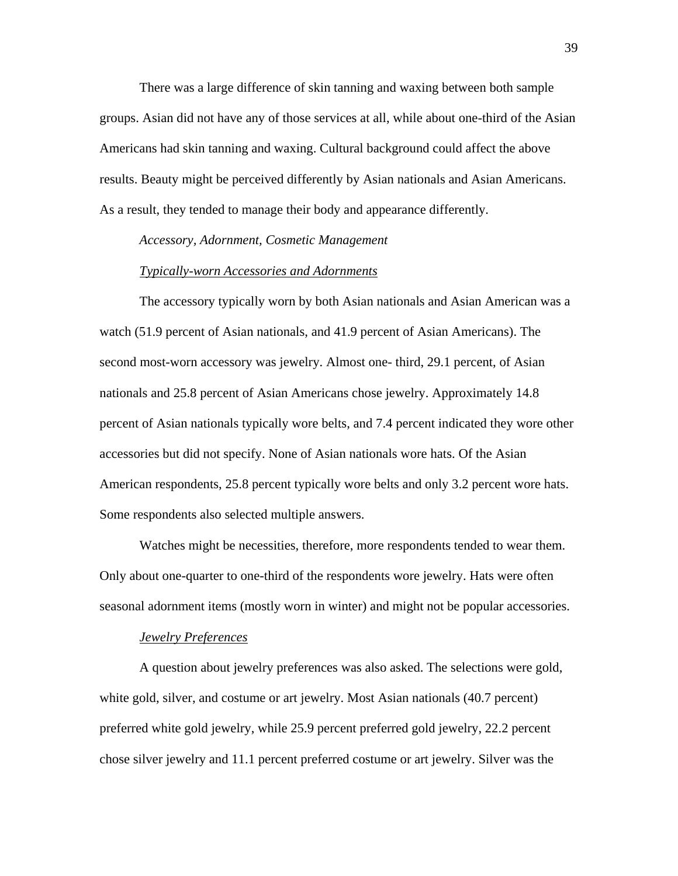There was a large difference of skin tanning and waxing between both sample groups. Asian did not have any of those services at all, while about one-third of the Asian Americans had skin tanning and waxing. Cultural background could affect the above results. Beauty might be perceived differently by Asian nationals and Asian Americans. As a result, they tended to manage their body and appearance differently.

*Accessory, Adornment, Cosmetic Management* 

#### *Typically-worn Accessories and Adornments*

The accessory typically worn by both Asian nationals and Asian American was a watch (51.9 percent of Asian nationals, and 41.9 percent of Asian Americans). The second most-worn accessory was jewelry. Almost one- third, 29.1 percent, of Asian nationals and 25.8 percent of Asian Americans chose jewelry. Approximately 14.8 percent of Asian nationals typically wore belts, and 7.4 percent indicated they wore other accessories but did not specify. None of Asian nationals wore hats. Of the Asian American respondents, 25.8 percent typically wore belts and only 3.2 percent wore hats. Some respondents also selected multiple answers.

Watches might be necessities, therefore, more respondents tended to wear them. Only about one-quarter to one-third of the respondents wore jewelry. Hats were often seasonal adornment items (mostly worn in winter) and might not be popular accessories.

#### *Jewelry Preferences*

A question about jewelry preferences was also asked. The selections were gold, white gold, silver, and costume or art jewelry. Most Asian nationals (40.7 percent) preferred white gold jewelry, while 25.9 percent preferred gold jewelry, 22.2 percent chose silver jewelry and 11.1 percent preferred costume or art jewelry. Silver was the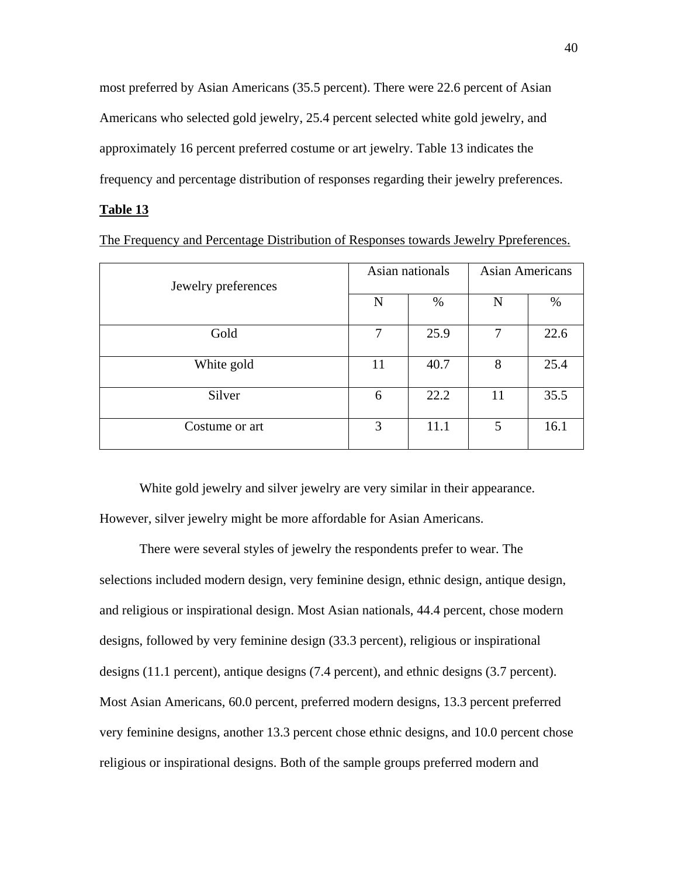most preferred by Asian Americans (35.5 percent). There were 22.6 percent of Asian Americans who selected gold jewelry, 25.4 percent selected white gold jewelry, and approximately 16 percent preferred costume or art jewelry. Table 13 indicates the frequency and percentage distribution of responses regarding their jewelry preferences.

#### **Table 13**

The Frequency and Percentage Distribution of Responses towards Jewelry Ppreferences.

| Jewelry preferences |    | Asian nationals | <b>Asian Americans</b> |      |
|---------------------|----|-----------------|------------------------|------|
|                     | N  | %               | N                      | $\%$ |
| Gold                | 7  | 25.9            | 7                      | 22.6 |
| White gold          | 11 | 40.7            | 8                      | 25.4 |
| Silver              | 6  | 22.2            | 11                     | 35.5 |
| Costume or art      | 3  | 11.1            | 5                      | 16.1 |

White gold jewelry and silver jewelry are very similar in their appearance. However, silver jewelry might be more affordable for Asian Americans.

There were several styles of jewelry the respondents prefer to wear. The selections included modern design, very feminine design, ethnic design, antique design, and religious or inspirational design. Most Asian nationals, 44.4 percent, chose modern designs, followed by very feminine design (33.3 percent), religious or inspirational designs (11.1 percent), antique designs (7.4 percent), and ethnic designs (3.7 percent). Most Asian Americans, 60.0 percent, preferred modern designs, 13.3 percent preferred very feminine designs, another 13.3 percent chose ethnic designs, and 10.0 percent chose religious or inspirational designs. Both of the sample groups preferred modern and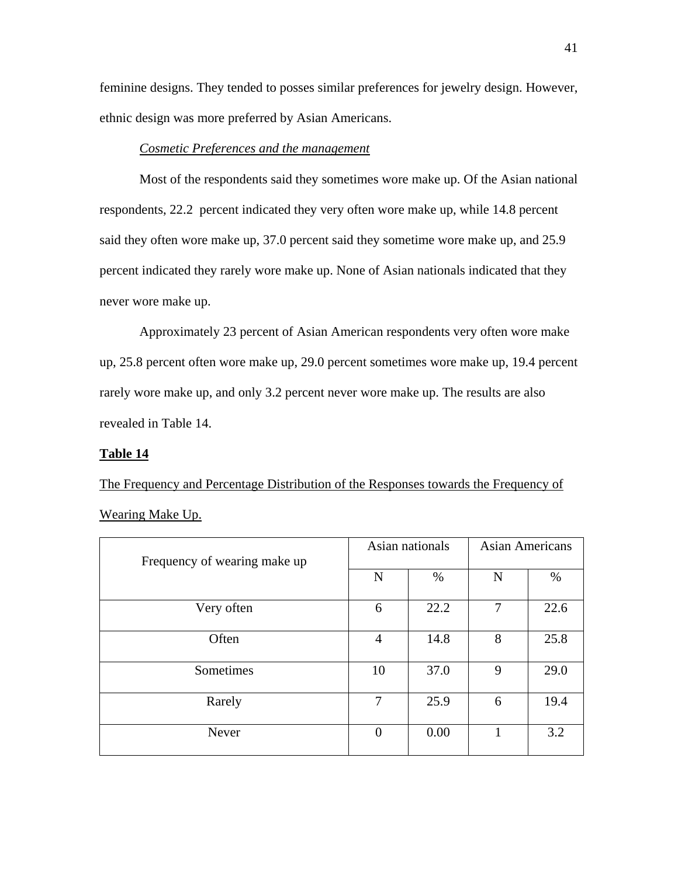feminine designs. They tended to posses similar preferences for jewelry design. However, ethnic design was more preferred by Asian Americans.

## *Cosmetic Preferences and the management*

 Most of the respondents said they sometimes wore make up. Of the Asian national respondents, 22.2 percent indicated they very often wore make up, while 14.8 percent said they often wore make up, 37.0 percent said they sometime wore make up, and 25.9 percent indicated they rarely wore make up. None of Asian nationals indicated that they never wore make up.

 Approximately 23 percent of Asian American respondents very often wore make up, 25.8 percent often wore make up, 29.0 percent sometimes wore make up, 19.4 percent rarely wore make up, and only 3.2 percent never wore make up. The results are also revealed in Table 14.

#### **Table 14**

The Frequency and Percentage Distribution of the Responses towards the Frequency of Wearing Make Up.

| Frequency of wearing make up | Asian nationals |      | <b>Asian Americans</b> |      |
|------------------------------|-----------------|------|------------------------|------|
|                              | N               | %    | N                      | %    |
| Very often                   | 6               | 22.2 | 7                      | 22.6 |
| Often                        | $\overline{4}$  | 14.8 | 8                      | 25.8 |
| Sometimes                    | 10              | 37.0 | 9                      | 29.0 |
| Rarely                       | $\overline{7}$  | 25.9 | 6                      | 19.4 |
| Never                        | $\theta$        | 0.00 |                        | 3.2  |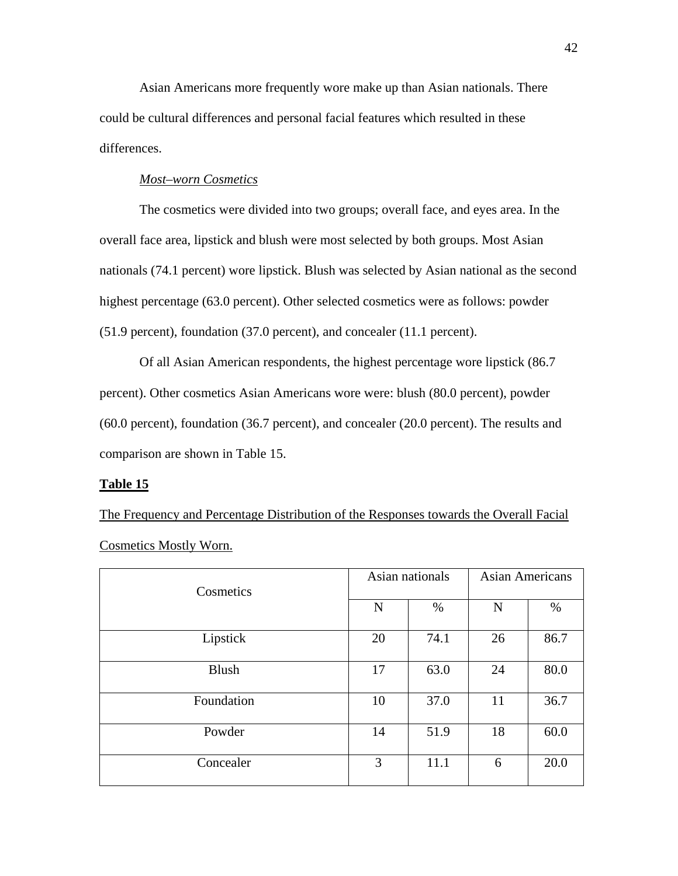Asian Americans more frequently wore make up than Asian nationals. There could be cultural differences and personal facial features which resulted in these differences.

## *Most–worn Cosmetics*

 The cosmetics were divided into two groups; overall face, and eyes area. In the overall face area, lipstick and blush were most selected by both groups. Most Asian nationals (74.1 percent) wore lipstick. Blush was selected by Asian national as the second highest percentage (63.0 percent). Other selected cosmetics were as follows: powder (51.9 percent), foundation (37.0 percent), and concealer (11.1 percent).

 Of all Asian American respondents, the highest percentage wore lipstick (86.7 percent). Other cosmetics Asian Americans wore were: blush (80.0 percent), powder (60.0 percent), foundation (36.7 percent), and concealer (20.0 percent). The results and comparison are shown in Table 15.

#### **Table 15**

The Frequency and Percentage Distribution of the Responses towards the Overall Facial Cosmetics Mostly Worn.

| Cosmetics    | Asian nationals |      | <b>Asian Americans</b> |      |
|--------------|-----------------|------|------------------------|------|
|              | N               | %    | N                      | %    |
| Lipstick     | 20              | 74.1 | 26                     | 86.7 |
| <b>Blush</b> | 17              | 63.0 | 24                     | 80.0 |
| Foundation   | 10              | 37.0 | 11                     | 36.7 |
| Powder       | 14              | 51.9 | 18                     | 60.0 |
| Concealer    | 3               | 11.1 | 6                      | 20.0 |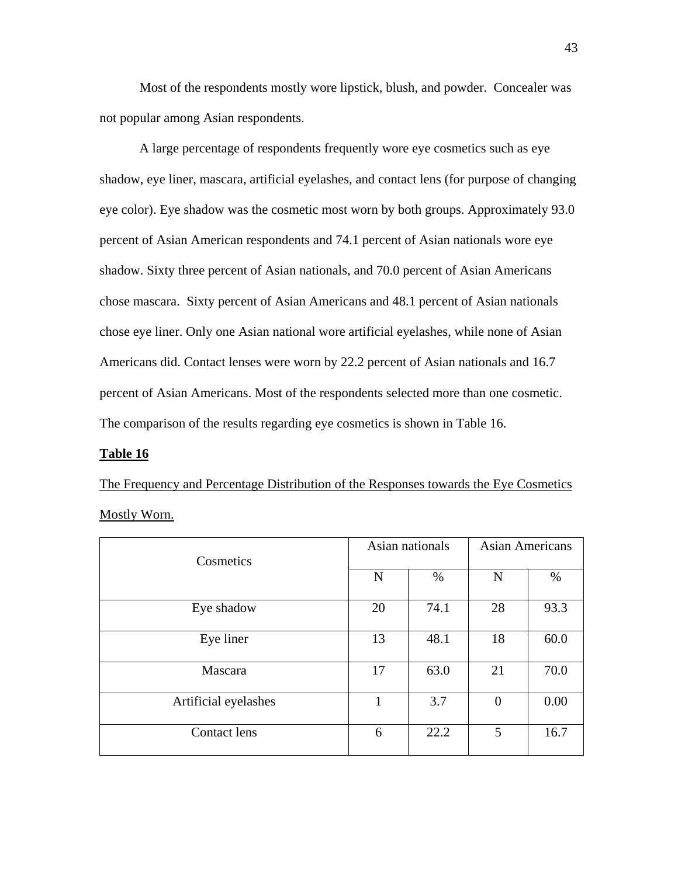Most of the respondents mostly wore lipstick, blush, and powder. Concealer was not popular among Asian respondents.

A large percentage of respondents frequently wore eye cosmetics such as eye shadow, eye liner, mascara, artificial eyelashes, and contact lens (for purpose of changing eye color). Eye shadow was the cosmetic most worn by both groups. Approximately 93.0 percent of Asian American respondents and 74.1 percent of Asian nationals wore eye shadow. Sixty three percent of Asian nationals, and 70.0 percent of Asian Americans chose mascara. Sixty percent of Asian Americans and 48.1 percent of Asian nationals chose eye liner. Only one Asian national wore artificial eyelashes, while none of Asian Americans did. Contact lenses were worn by 22.2 percent of Asian nationals and 16.7 percent of Asian Americans. Most of the respondents selected more than one cosmetic. The comparison of the results regarding eye cosmetics is shown in Table 16.

#### **Table 16**

The Frequency and Percentage Distribution of the Responses towards the Eye Cosmetics Mostly Worn.

| Cosmetics            | Asian nationals |      | <b>Asian Americans</b> |      |
|----------------------|-----------------|------|------------------------|------|
|                      | N               | $\%$ | $\mathbf N$            | %    |
| Eye shadow           | 20              | 74.1 | 28                     | 93.3 |
| Eye liner            | 13              | 48.1 | 18                     | 60.0 |
| Mascara              | 17              | 63.0 | 21                     | 70.0 |
| Artificial eyelashes | 1               | 3.7  | $\Omega$               | 0.00 |
| <b>Contact lens</b>  | 6               | 22.2 | 5                      | 16.7 |

43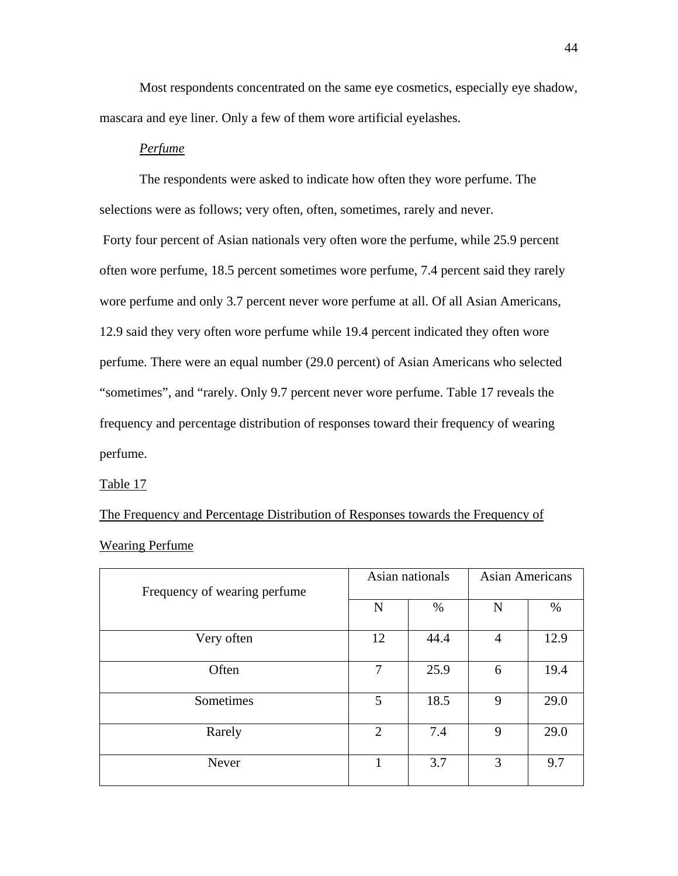Most respondents concentrated on the same eye cosmetics, especially eye shadow, mascara and eye liner. Only a few of them wore artificial eyelashes.

## *Perfume*

 The respondents were asked to indicate how often they wore perfume. The selections were as follows; very often, often, sometimes, rarely and never. Forty four percent of Asian nationals very often wore the perfume, while 25.9 percent often wore perfume, 18.5 percent sometimes wore perfume, 7.4 percent said they rarely wore perfume and only 3.7 percent never wore perfume at all. Of all Asian Americans, 12.9 said they very often wore perfume while 19.4 percent indicated they often wore perfume. There were an equal number (29.0 percent) of Asian Americans who selected "sometimes", and "rarely. Only 9.7 percent never wore perfume. Table 17 reveals the frequency and percentage distribution of responses toward their frequency of wearing perfume.

Table 17

The Frequency and Percentage Distribution of Responses towards the Frequency of Wearing Perfume

| Frequency of wearing perfume | Asian nationals |      | <b>Asian Americans</b> |      |
|------------------------------|-----------------|------|------------------------|------|
|                              | N               | $\%$ | N                      | %    |
| Very often                   | 12              | 44.4 | 4                      | 12.9 |
| Often                        | 7               | 25.9 | 6                      | 19.4 |
| Sometimes                    | 5               | 18.5 | 9                      | 29.0 |
| Rarely                       | $\overline{2}$  | 7.4  | 9                      | 29.0 |
| Never                        | 1               | 3.7  | 3                      | 9.7  |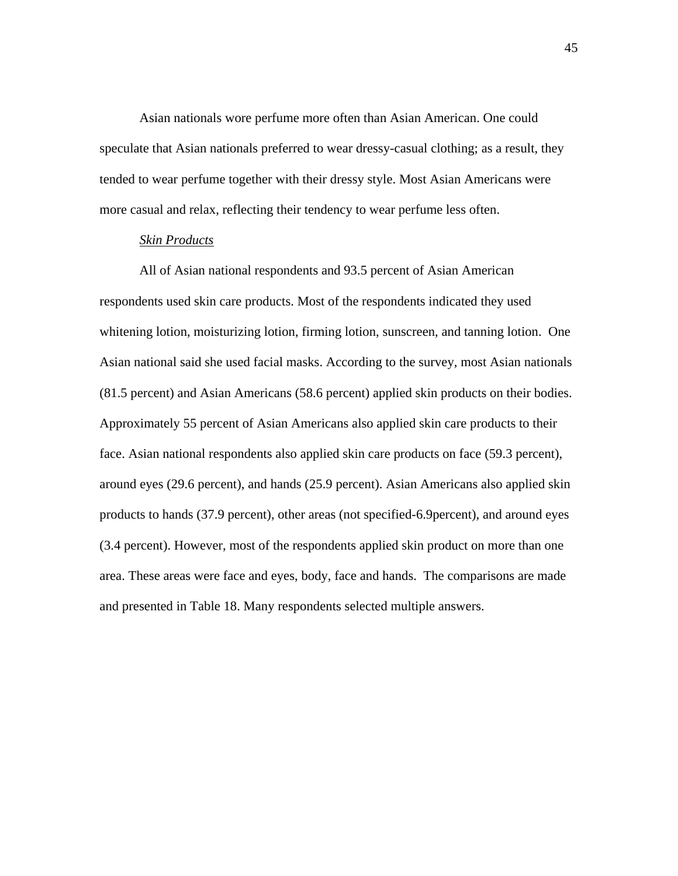Asian nationals wore perfume more often than Asian American. One could speculate that Asian nationals preferred to wear dressy-casual clothing; as a result, they tended to wear perfume together with their dressy style. Most Asian Americans were more casual and relax, reflecting their tendency to wear perfume less often.

## *Skin Products*

 All of Asian national respondents and 93.5 percent of Asian American respondents used skin care products. Most of the respondents indicated they used whitening lotion, moisturizing lotion, firming lotion, sunscreen, and tanning lotion. One Asian national said she used facial masks. According to the survey, most Asian nationals (81.5 percent) and Asian Americans (58.6 percent) applied skin products on their bodies. Approximately 55 percent of Asian Americans also applied skin care products to their face. Asian national respondents also applied skin care products on face (59.3 percent), around eyes (29.6 percent), and hands (25.9 percent). Asian Americans also applied skin products to hands (37.9 percent), other areas (not specified-6.9percent), and around eyes (3.4 percent). However, most of the respondents applied skin product on more than one area. These areas were face and eyes, body, face and hands. The comparisons are made and presented in Table 18. Many respondents selected multiple answers.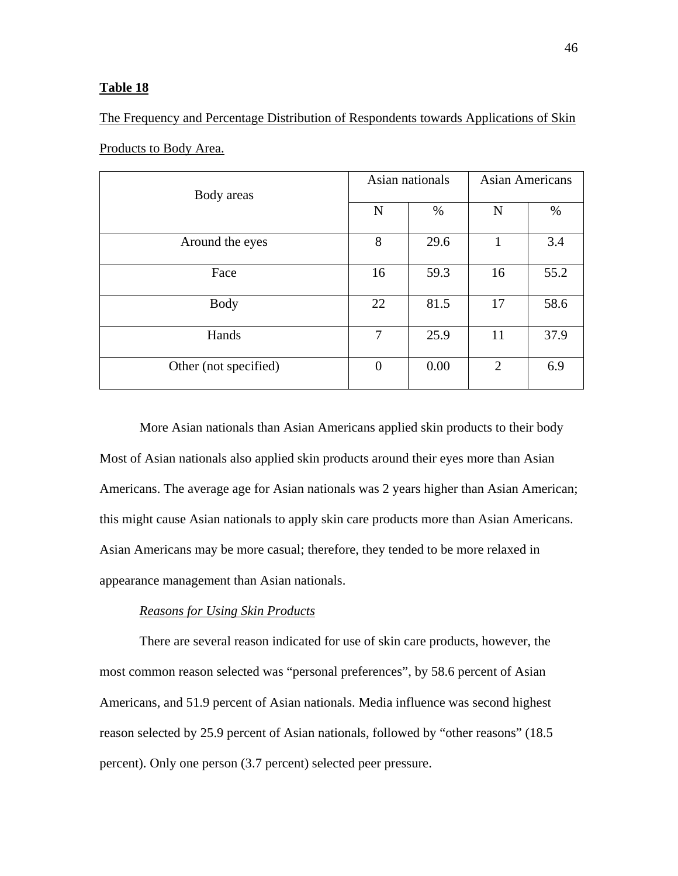The Frequency and Percentage Distribution of Respondents towards Applications of Skin

| Body areas            | Asian nationals |      | <b>Asian Americans</b> |      |
|-----------------------|-----------------|------|------------------------|------|
|                       | N               | $\%$ | $\mathbf N$            | %    |
| Around the eyes       | 8               | 29.6 | 1                      | 3.4  |
| Face                  | 16              | 59.3 | 16                     | 55.2 |
| <b>Body</b>           | 22              | 81.5 | 17                     | 58.6 |
| Hands                 | 7               | 25.9 | 11                     | 37.9 |
| Other (not specified) | $\theta$        | 0.00 | $\mathcal{D}_{\cdot}$  | 6.9  |

Products to Body Area.

 More Asian nationals than Asian Americans applied skin products to their body Most of Asian nationals also applied skin products around their eyes more than Asian Americans. The average age for Asian nationals was 2 years higher than Asian American; this might cause Asian nationals to apply skin care products more than Asian Americans. Asian Americans may be more casual; therefore, they tended to be more relaxed in appearance management than Asian nationals.

## *Reasons for Using Skin Products*

 There are several reason indicated for use of skin care products, however, the most common reason selected was "personal preferences", by 58.6 percent of Asian Americans, and 51.9 percent of Asian nationals. Media influence was second highest reason selected by 25.9 percent of Asian nationals, followed by "other reasons" (18.5 percent). Only one person (3.7 percent) selected peer pressure.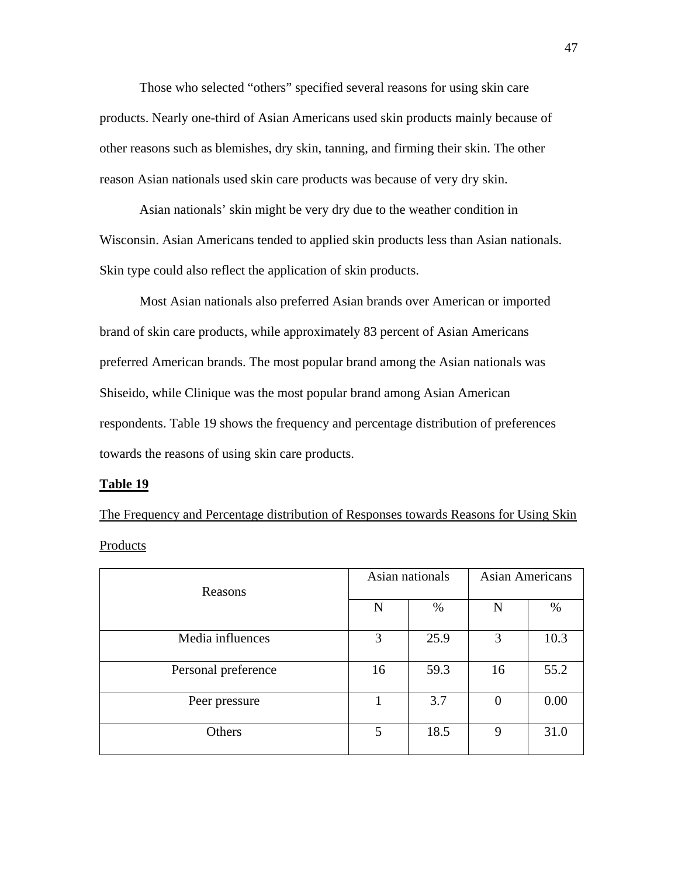Those who selected "others" specified several reasons for using skin care products. Nearly one-third of Asian Americans used skin products mainly because of other reasons such as blemishes, dry skin, tanning, and firming their skin. The other reason Asian nationals used skin care products was because of very dry skin.

 Asian nationals' skin might be very dry due to the weather condition in Wisconsin. Asian Americans tended to applied skin products less than Asian nationals. Skin type could also reflect the application of skin products.

Most Asian nationals also preferred Asian brands over American or imported brand of skin care products, while approximately 83 percent of Asian Americans preferred American brands. The most popular brand among the Asian nationals was Shiseido, while Clinique was the most popular brand among Asian American respondents. Table 19 shows the frequency and percentage distribution of preferences towards the reasons of using skin care products.

#### **Table 19**

The Frequency and Percentage distribution of Responses towards Reasons for Using Skin Products

| Reasons             | Asian nationals |      | <b>Asian Americans</b> |      |
|---------------------|-----------------|------|------------------------|------|
|                     | N               | $\%$ | N                      | $\%$ |
| Media influences    | 3               | 25.9 | 3                      | 10.3 |
| Personal preference | 16              | 59.3 | 16                     | 55.2 |
| Peer pressure       |                 | 3.7  | $\overline{0}$         | 0.00 |
| Others              | 5               | 18.5 | 9                      | 31.0 |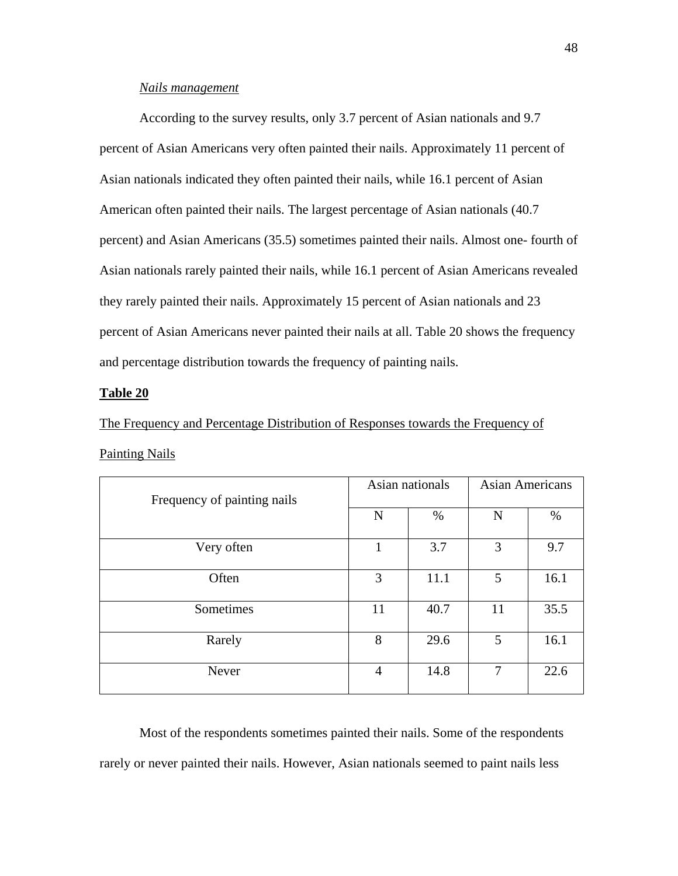## *Nails management*

 According to the survey results, only 3.7 percent of Asian nationals and 9.7 percent of Asian Americans very often painted their nails. Approximately 11 percent of Asian nationals indicated they often painted their nails, while 16.1 percent of Asian American often painted their nails. The largest percentage of Asian nationals (40.7 percent) and Asian Americans (35.5) sometimes painted their nails. Almost one- fourth of Asian nationals rarely painted their nails, while 16.1 percent of Asian Americans revealed they rarely painted their nails. Approximately 15 percent of Asian nationals and 23 percent of Asian Americans never painted their nails at all. Table 20 shows the frequency and percentage distribution towards the frequency of painting nails.

#### **Table 20**

The Frequency and Percentage Distribution of Responses towards the Frequency of Painting Nails

| Frequency of painting nails | Asian nationals |      | <b>Asian Americans</b> |      |
|-----------------------------|-----------------|------|------------------------|------|
|                             | N               | %    | N                      | $\%$ |
| Very often                  | 1               | 3.7  | 3                      | 9.7  |
| Often                       | 3               | 11.1 | 5                      | 16.1 |
| Sometimes                   | 11              | 40.7 | 11                     | 35.5 |
| Rarely                      | 8               | 29.6 | 5                      | 16.1 |
| Never                       | $\overline{4}$  | 14.8 | 7                      | 22.6 |

 Most of the respondents sometimes painted their nails. Some of the respondents rarely or never painted their nails. However, Asian nationals seemed to paint nails less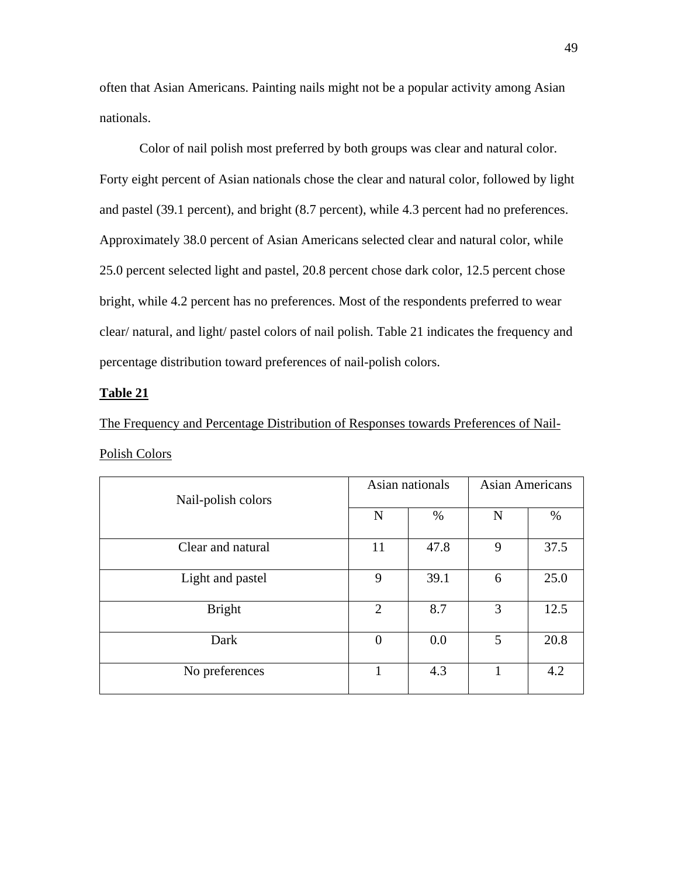often that Asian Americans. Painting nails might not be a popular activity among Asian nationals.

 Color of nail polish most preferred by both groups was clear and natural color. Forty eight percent of Asian nationals chose the clear and natural color, followed by light and pastel (39.1 percent), and bright (8.7 percent), while 4.3 percent had no preferences. Approximately 38.0 percent of Asian Americans selected clear and natural color, while 25.0 percent selected light and pastel, 20.8 percent chose dark color, 12.5 percent chose bright, while 4.2 percent has no preferences. Most of the respondents preferred to wear clear/ natural, and light/ pastel colors of nail polish. Table 21 indicates the frequency and percentage distribution toward preferences of nail-polish colors.

### **Table 21**

The Frequency and Percentage Distribution of Responses towards Preferences of Nail-Polish Colors

| Nail-polish colors | Asian nationals |      | <b>Asian Americans</b> |      |
|--------------------|-----------------|------|------------------------|------|
|                    | N               | %    | $\mathbf N$            | %    |
| Clear and natural  | 11              | 47.8 | 9                      | 37.5 |
| Light and pastel   | 9               | 39.1 | 6                      | 25.0 |
| <b>Bright</b>      | 2               | 8.7  | 3                      | 12.5 |
| Dark               | $\overline{0}$  | 0.0  | 5                      | 20.8 |
| No preferences     | 1               | 4.3  | 1                      | 4.2  |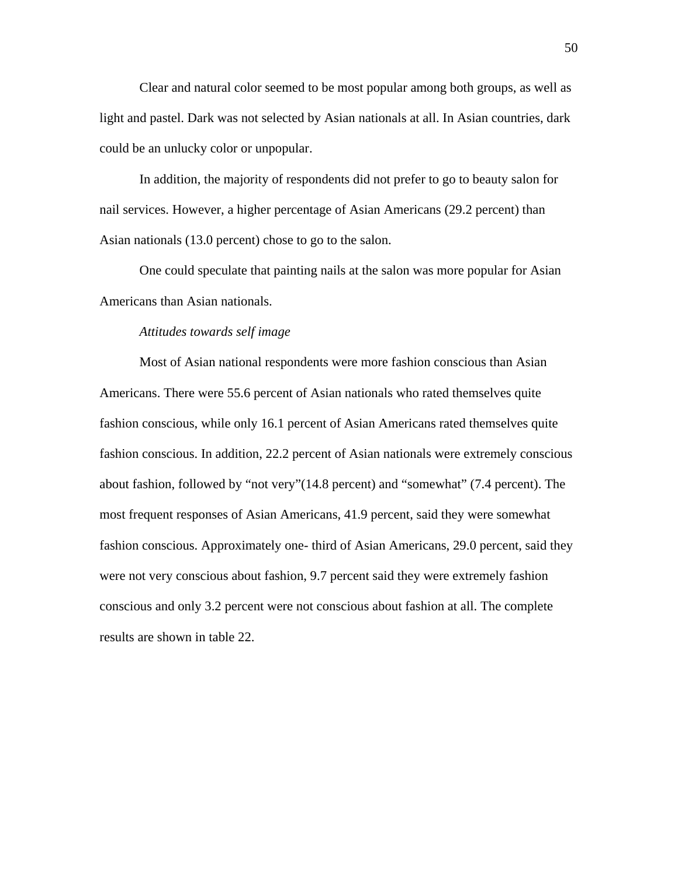Clear and natural color seemed to be most popular among both groups, as well as light and pastel. Dark was not selected by Asian nationals at all. In Asian countries, dark could be an unlucky color or unpopular.

In addition, the majority of respondents did not prefer to go to beauty salon for nail services. However, a higher percentage of Asian Americans (29.2 percent) than Asian nationals (13.0 percent) chose to go to the salon.

One could speculate that painting nails at the salon was more popular for Asian Americans than Asian nationals.

#### *Attitudes towards self image*

Most of Asian national respondents were more fashion conscious than Asian Americans. There were 55.6 percent of Asian nationals who rated themselves quite fashion conscious, while only 16.1 percent of Asian Americans rated themselves quite fashion conscious. In addition, 22.2 percent of Asian nationals were extremely conscious about fashion, followed by "not very"(14.8 percent) and "somewhat" (7.4 percent). The most frequent responses of Asian Americans, 41.9 percent, said they were somewhat fashion conscious. Approximately one- third of Asian Americans, 29.0 percent, said they were not very conscious about fashion, 9.7 percent said they were extremely fashion conscious and only 3.2 percent were not conscious about fashion at all. The complete results are shown in table 22.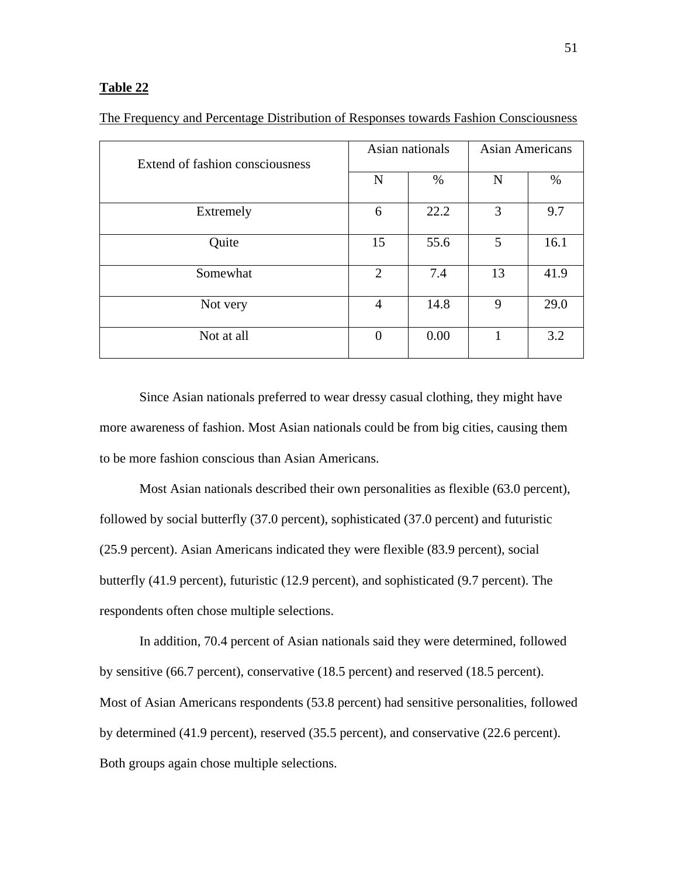| Extend of fashion consciousness | Asian nationals  |      | <b>Asian Americans</b> |      |
|---------------------------------|------------------|------|------------------------|------|
|                                 | N                | %    | N                      | %    |
| Extremely                       | 6                | 22.2 | 3                      | 9.7  |
| Quite                           | 15               | 55.6 | 5                      | 16.1 |
| Somewhat                        | $\overline{2}$   | 7.4  | 13                     | 41.9 |
| Not very                        | $\overline{4}$   | 14.8 | 9                      | 29.0 |
| Not at all                      | $\boldsymbol{0}$ | 0.00 |                        | 3.2  |

The Frequency and Percentage Distribution of Responses towards Fashion Consciousness

Since Asian nationals preferred to wear dressy casual clothing, they might have more awareness of fashion. Most Asian nationals could be from big cities, causing them to be more fashion conscious than Asian Americans.

Most Asian nationals described their own personalities as flexible (63.0 percent), followed by social butterfly (37.0 percent), sophisticated (37.0 percent) and futuristic (25.9 percent). Asian Americans indicated they were flexible (83.9 percent), social butterfly (41.9 percent), futuristic (12.9 percent), and sophisticated (9.7 percent). The respondents often chose multiple selections.

In addition, 70.4 percent of Asian nationals said they were determined, followed by sensitive (66.7 percent), conservative (18.5 percent) and reserved (18.5 percent). Most of Asian Americans respondents (53.8 percent) had sensitive personalities, followed by determined (41.9 percent), reserved (35.5 percent), and conservative (22.6 percent). Both groups again chose multiple selections.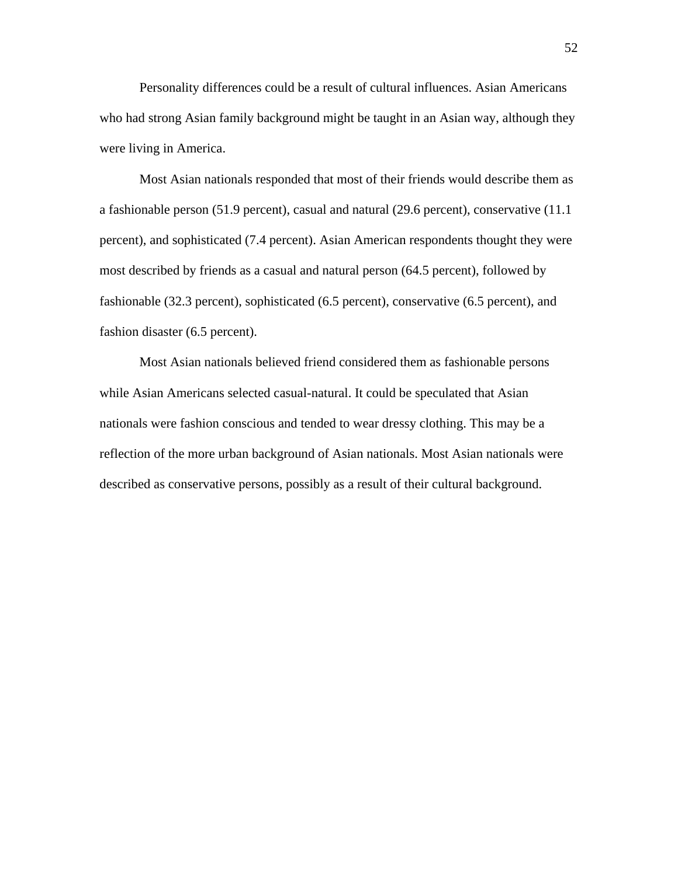Personality differences could be a result of cultural influences. Asian Americans who had strong Asian family background might be taught in an Asian way, although they were living in America.

Most Asian nationals responded that most of their friends would describe them as a fashionable person (51.9 percent), casual and natural (29.6 percent), conservative (11.1 percent), and sophisticated (7.4 percent). Asian American respondents thought they were most described by friends as a casual and natural person (64.5 percent), followed by fashionable (32.3 percent), sophisticated (6.5 percent), conservative (6.5 percent), and fashion disaster (6.5 percent).

Most Asian nationals believed friend considered them as fashionable persons while Asian Americans selected casual-natural. It could be speculated that Asian nationals were fashion conscious and tended to wear dressy clothing. This may be a reflection of the more urban background of Asian nationals. Most Asian nationals were described as conservative persons, possibly as a result of their cultural background.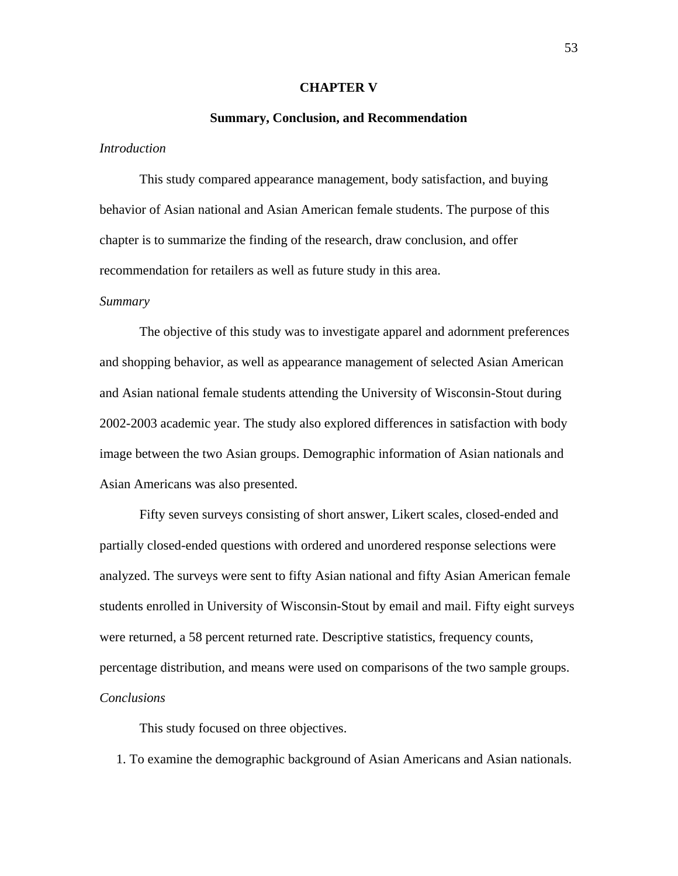#### **CHAPTER V**

#### **Summary, Conclusion, and Recommendation**

## *Introduction*

 This study compared appearance management, body satisfaction, and buying behavior of Asian national and Asian American female students. The purpose of this chapter is to summarize the finding of the research, draw conclusion, and offer recommendation for retailers as well as future study in this area.

#### *Summary*

The objective of this study was to investigate apparel and adornment preferences and shopping behavior, as well as appearance management of selected Asian American and Asian national female students attending the University of Wisconsin-Stout during 2002-2003 academic year. The study also explored differences in satisfaction with body image between the two Asian groups. Demographic information of Asian nationals and Asian Americans was also presented.

Fifty seven surveys consisting of short answer, Likert scales, closed-ended and partially closed-ended questions with ordered and unordered response selections were analyzed. The surveys were sent to fifty Asian national and fifty Asian American female students enrolled in University of Wisconsin-Stout by email and mail. Fifty eight surveys were returned, a 58 percent returned rate. Descriptive statistics, frequency counts, percentage distribution, and means were used on comparisons of the two sample groups. *Conclusions*

This study focused on three objectives.

1. To examine the demographic background of Asian Americans and Asian nationals.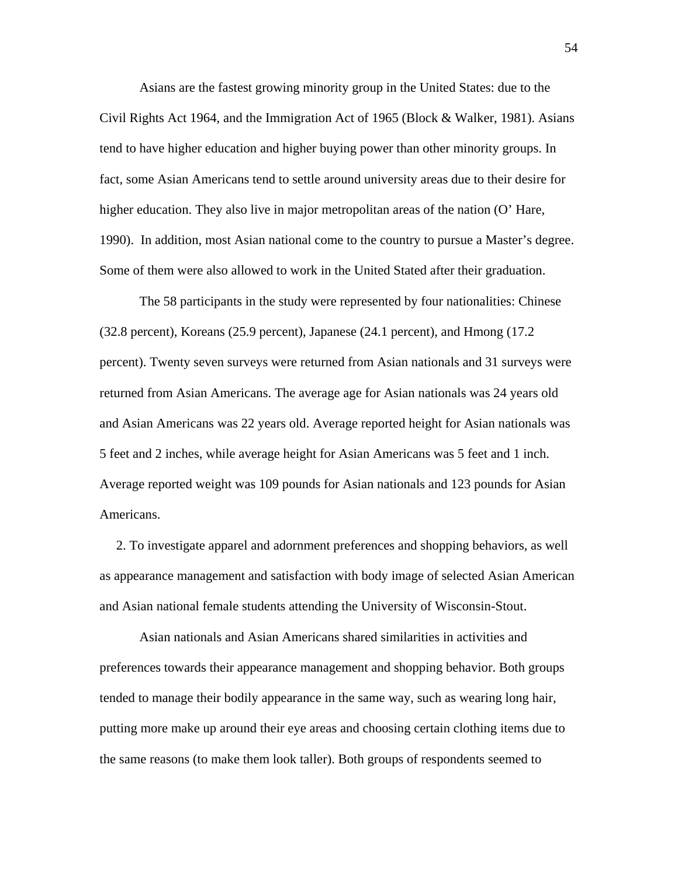Asians are the fastest growing minority group in the United States: due to the Civil Rights Act 1964, and the Immigration Act of 1965 (Block & Walker, 1981). Asians tend to have higher education and higher buying power than other minority groups. In fact, some Asian Americans tend to settle around university areas due to their desire for higher education. They also live in major metropolitan areas of the nation (O' Hare, 1990). In addition, most Asian national come to the country to pursue a Master's degree. Some of them were also allowed to work in the United Stated after their graduation.

The 58 participants in the study were represented by four nationalities: Chinese (32.8 percent), Koreans (25.9 percent), Japanese (24.1 percent), and Hmong (17.2 percent). Twenty seven surveys were returned from Asian nationals and 31 surveys were returned from Asian Americans. The average age for Asian nationals was 24 years old and Asian Americans was 22 years old. Average reported height for Asian nationals was 5 feet and 2 inches, while average height for Asian Americans was 5 feet and 1 inch. Average reported weight was 109 pounds for Asian nationals and 123 pounds for Asian Americans.

 2. To investigate apparel and adornment preferences and shopping behaviors, as well as appearance management and satisfaction with body image of selected Asian American and Asian national female students attending the University of Wisconsin-Stout.

 Asian nationals and Asian Americans shared similarities in activities and preferences towards their appearance management and shopping behavior. Both groups tended to manage their bodily appearance in the same way, such as wearing long hair, putting more make up around their eye areas and choosing certain clothing items due to the same reasons (to make them look taller). Both groups of respondents seemed to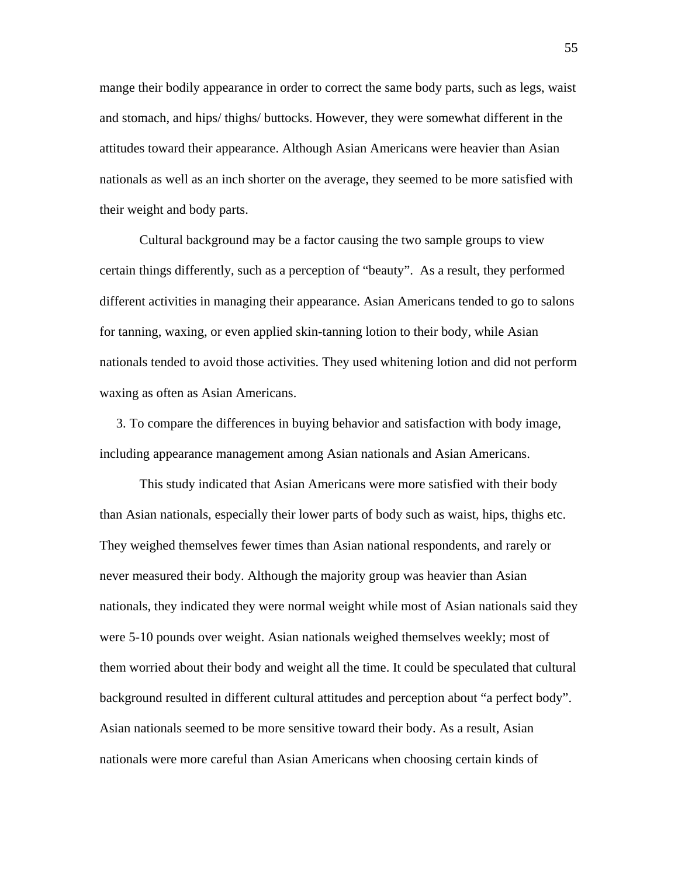mange their bodily appearance in order to correct the same body parts, such as legs, waist and stomach, and hips/ thighs/ buttocks. However, they were somewhat different in the attitudes toward their appearance. Although Asian Americans were heavier than Asian nationals as well as an inch shorter on the average, they seemed to be more satisfied with their weight and body parts.

Cultural background may be a factor causing the two sample groups to view certain things differently, such as a perception of "beauty". As a result, they performed different activities in managing their appearance. Asian Americans tended to go to salons for tanning, waxing, or even applied skin-tanning lotion to their body, while Asian nationals tended to avoid those activities. They used whitening lotion and did not perform waxing as often as Asian Americans.

 3. To compare the differences in buying behavior and satisfaction with body image, including appearance management among Asian nationals and Asian Americans.

This study indicated that Asian Americans were more satisfied with their body than Asian nationals, especially their lower parts of body such as waist, hips, thighs etc. They weighed themselves fewer times than Asian national respondents, and rarely or never measured their body. Although the majority group was heavier than Asian nationals, they indicated they were normal weight while most of Asian nationals said they were 5-10 pounds over weight. Asian nationals weighed themselves weekly; most of them worried about their body and weight all the time. It could be speculated that cultural background resulted in different cultural attitudes and perception about "a perfect body". Asian nationals seemed to be more sensitive toward their body. As a result, Asian nationals were more careful than Asian Americans when choosing certain kinds of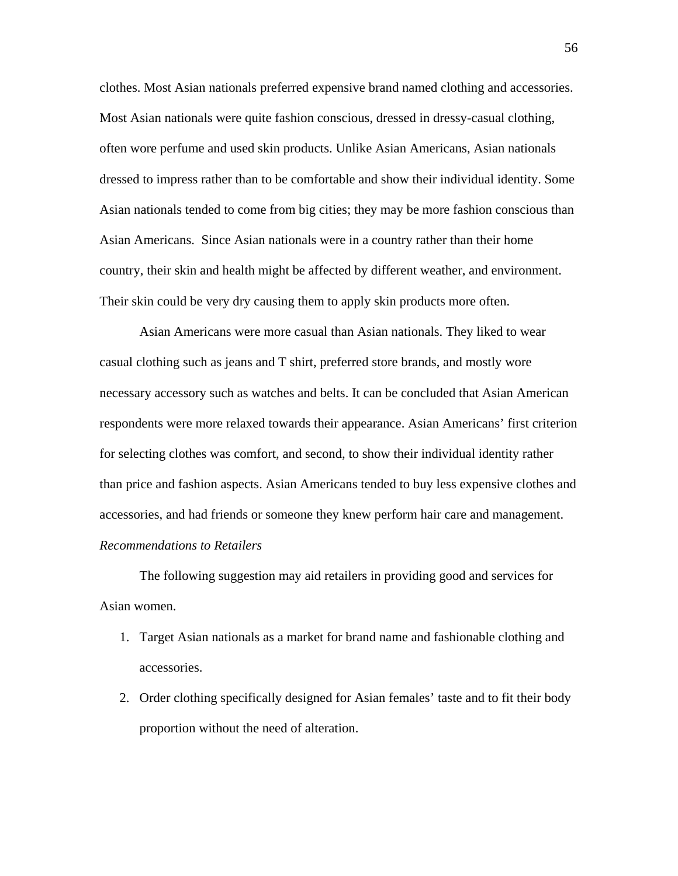clothes. Most Asian nationals preferred expensive brand named clothing and accessories. Most Asian nationals were quite fashion conscious, dressed in dressy-casual clothing, often wore perfume and used skin products. Unlike Asian Americans, Asian nationals dressed to impress rather than to be comfortable and show their individual identity. Some Asian nationals tended to come from big cities; they may be more fashion conscious than Asian Americans. Since Asian nationals were in a country rather than their home country, their skin and health might be affected by different weather, and environment. Their skin could be very dry causing them to apply skin products more often.

Asian Americans were more casual than Asian nationals. They liked to wear casual clothing such as jeans and T shirt, preferred store brands, and mostly wore necessary accessory such as watches and belts. It can be concluded that Asian American respondents were more relaxed towards their appearance. Asian Americans' first criterion for selecting clothes was comfort, and second, to show their individual identity rather than price and fashion aspects. Asian Americans tended to buy less expensive clothes and accessories, and had friends or someone they knew perform hair care and management. *Recommendations to Retailers* 

The following suggestion may aid retailers in providing good and services for Asian women.

- 1. Target Asian nationals as a market for brand name and fashionable clothing and accessories.
- 2. Order clothing specifically designed for Asian females' taste and to fit their body proportion without the need of alteration.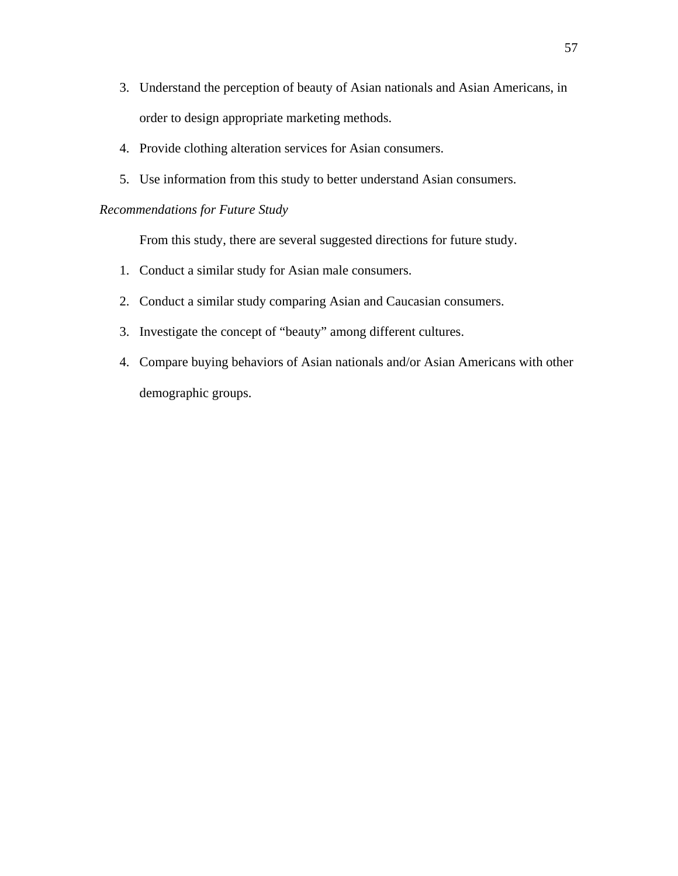- 3. Understand the perception of beauty of Asian nationals and Asian Americans, in order to design appropriate marketing methods.
- 4. Provide clothing alteration services for Asian consumers.
- 5. Use information from this study to better understand Asian consumers.

## *Recommendations for Future Study*

From this study, there are several suggested directions for future study.

- 1. Conduct a similar study for Asian male consumers.
- 2. Conduct a similar study comparing Asian and Caucasian consumers.
- 3. Investigate the concept of "beauty" among different cultures.
- 4. Compare buying behaviors of Asian nationals and/or Asian Americans with other demographic groups.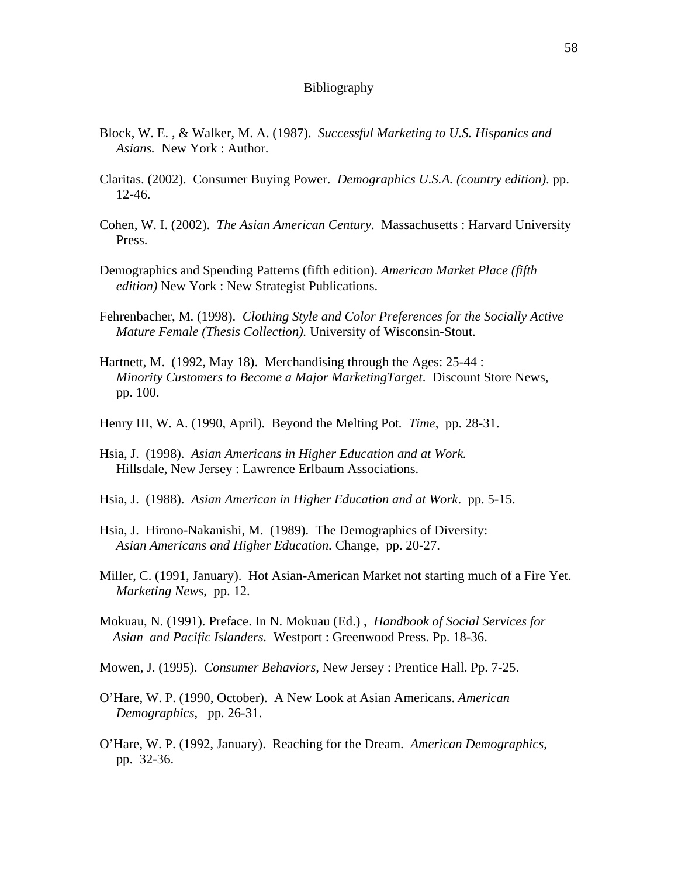#### Bibliography

- Block, W. E. , & Walker, M. A. (1987). *Successful Marketing to U.S. Hispanics and Asians.* New York : Author.
- Claritas. (2002). Consumer Buying Power. *Demographics U.S.A. (country edition)*. pp. 12-46.
- Cohen, W. I. (2002). *The Asian American Century*. Massachusetts : Harvard University Press.
- Demographics and Spending Patterns (fifth edition). *American Market Place (fifth edition)* New York : New Strategist Publications.
- Fehrenbacher, M. (1998). *Clothing Style and Color Preferences for the Socially Active Mature Female (Thesis Collection).* University of Wisconsin-Stout.
- Hartnett, M. (1992, May 18). Merchandising through the Ages: 25-44 : *Minority Customers to Become a Major MarketingTarget*. Discount Store News, pp. 100.
- Henry III, W. A. (1990, April). Beyond the Melting Pot*. Time*, pp. 28-31.
- Hsia, J. (1998). *Asian Americans in Higher Education and at Work.* Hillsdale, New Jersey : Lawrence Erlbaum Associations.
- Hsia, J. (1988). *Asian American in Higher Education and at Work*. pp. 5-15.
- Hsia, J. Hirono-Nakanishi, M. (1989). The Demographics of Diversity: *Asian Americans and Higher Education.* Change, pp. 20-27.
- Miller, C. (1991, January). Hot Asian-American Market not starting much of a Fire Yet.  *Marketing News*, pp. 12.
- Mokuau, N. (1991). Preface. In N. Mokuau (Ed.) , *Handbook of Social Services for Asian and Pacific Islanders.* Westport : Greenwood Press. Pp. 18-36.
- Mowen, J. (1995). *Consumer Behaviors,* New Jersey : Prentice Hall. Pp. 7-25.
- O'Hare, W. P. (1990, October). A New Look at Asian Americans. *American Demographics*, pp. 26-31.
- O'Hare, W. P. (1992, January). Reaching for the Dream. *American Demographics*, pp. 32-36.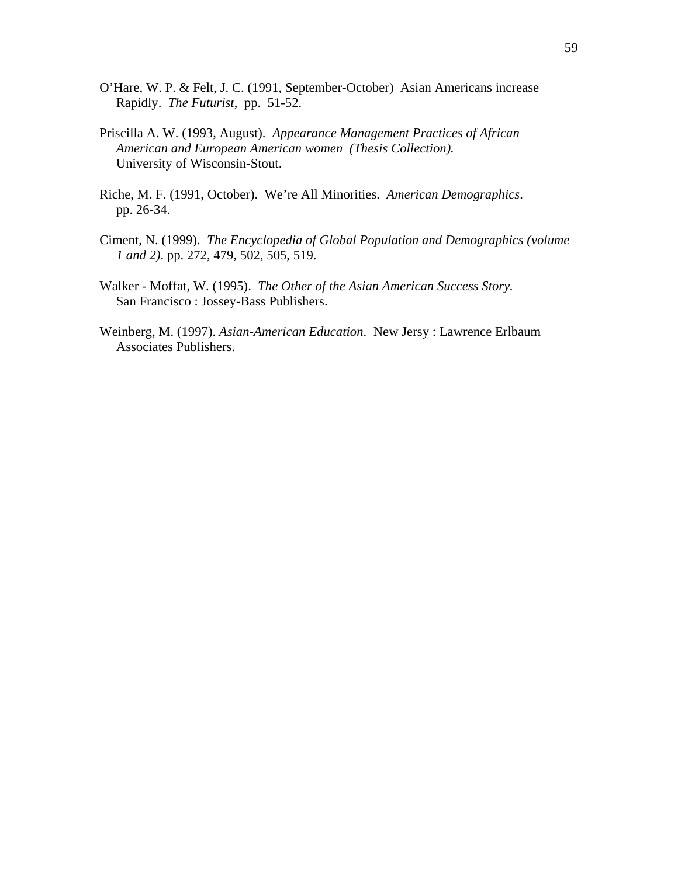- O'Hare, W. P. & Felt, J. C. (1991, September-October) Asian Americans increase Rapidly. *The Futurist*, pp. 51-52.
- Priscilla A. W. (1993, August). *Appearance Management Practices of African American and European American women (Thesis Collection).*  University of Wisconsin-Stout.
- Riche, M. F. (1991, October). We're All Minorities. *American Demographics*. pp. 26-34.
- Ciment, N. (1999). *The Encyclopedia of Global Population and Demographics (volume 1 and 2)*. pp. 272, 479, 502, 505, 519.
- Walker Moffat, W. (1995). *The Other of the Asian American Success Story.* San Francisco : Jossey-Bass Publishers.
- Weinberg, M. (1997). *Asian-American Education*. New Jersy : Lawrence Erlbaum Associates Publishers.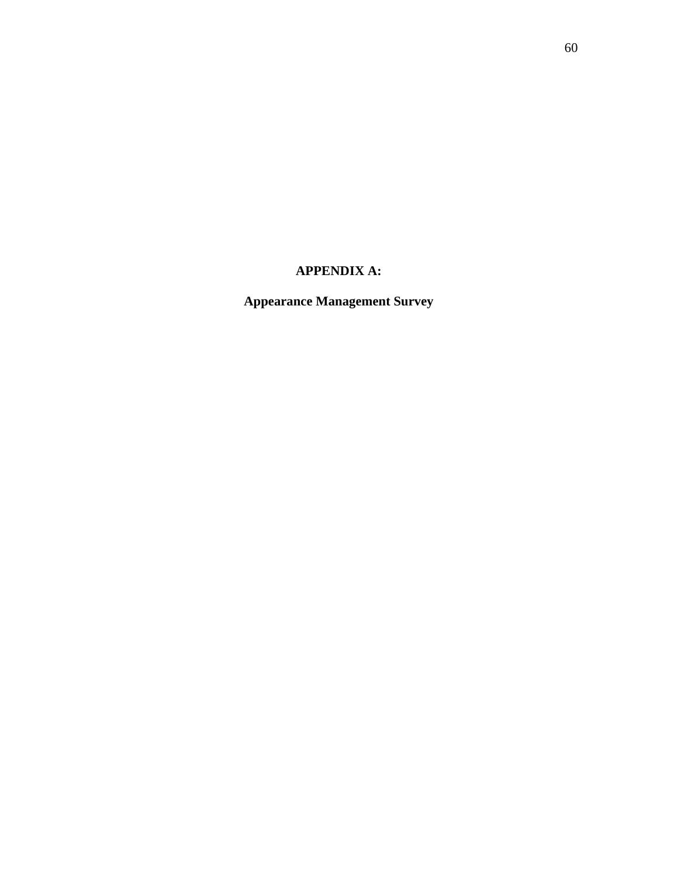# **APPENDIX A:**

**Appearance Management Survey**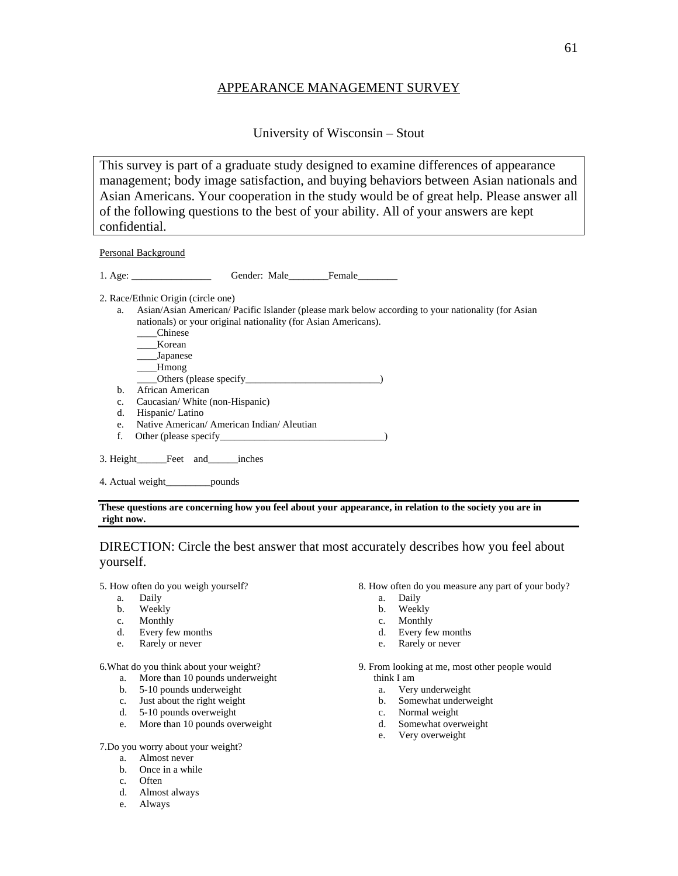### APPEARANCE MANAGEMENT SURVEY

University of Wisconsin – Stout

This survey is part of a graduate study designed to examine differences of appearance management; body image satisfaction, and buying behaviors between Asian nationals and Asian Americans. Your cooperation in the study would be of great help. Please answer all of the following questions to the best of your ability. All of your answers are kept confidential.

Personal Background

1. Age: Gender: Male Female

2. Race/Ethnic Origin (circle one)

- a. Asian/Asian American/ Pacific Islander (please mark below according to your nationality (for Asian nationals) or your original nationality (for Asian Americans).
	- \_\_\_\_Chinese
	- \_\_\_\_Korean
	- \_\_\_\_Japanese
	- \_\_\_\_Hmong
	- \_\_\_\_Others (please specify\_\_\_\_\_\_\_\_\_\_\_\_\_\_\_\_\_\_\_\_\_\_\_\_\_\_\_)
- b. African American
- c. Caucasian/ White (non-Hispanic)
- d. Hispanic/ Latino
- e. Native American/ American Indian/ Aleutian
- f. Other (please specify\_\_\_\_\_\_\_\_\_\_\_\_\_\_\_\_\_\_\_\_\_\_\_\_\_\_\_\_\_\_\_\_\_)
- 3. Height Feet and inches
- 4. Actual weight\_\_\_\_\_\_\_\_\_pounds

#### **These questions are concerning how you feel about your appearance, in relation to the society you are in right now.**

## DIRECTION: Circle the best answer that most accurately describes how you feel about yourself.

5. How often do you weigh yourself?

- a. Daily
- b. Weekly
- c. Monthly
- d. Every few months
- e. Rarely or never

6.What do you think about your weight?

- a. More than 10 pounds underweight
- b. 5-10 pounds underweight
- c. Just about the right weight
- d. 5-10 pounds overweight
- e. More than 10 pounds overweight

7.Do you worry about your weight?

- a. Almost never
- b. Once in a while
- c. Often
- d. Almost always
- e. Always
- 8. How often do you measure any part of your body?
	- a. Daily
	- b. Weekly
	- c. Monthly
	- d. Every few months
	- e. Rarely or never

9. From looking at me, most other people would think I am

- a. Very underweight
- b. Somewhat underweight
- c. Normal weight
- d. Somewhat overweight
- e. Very overweight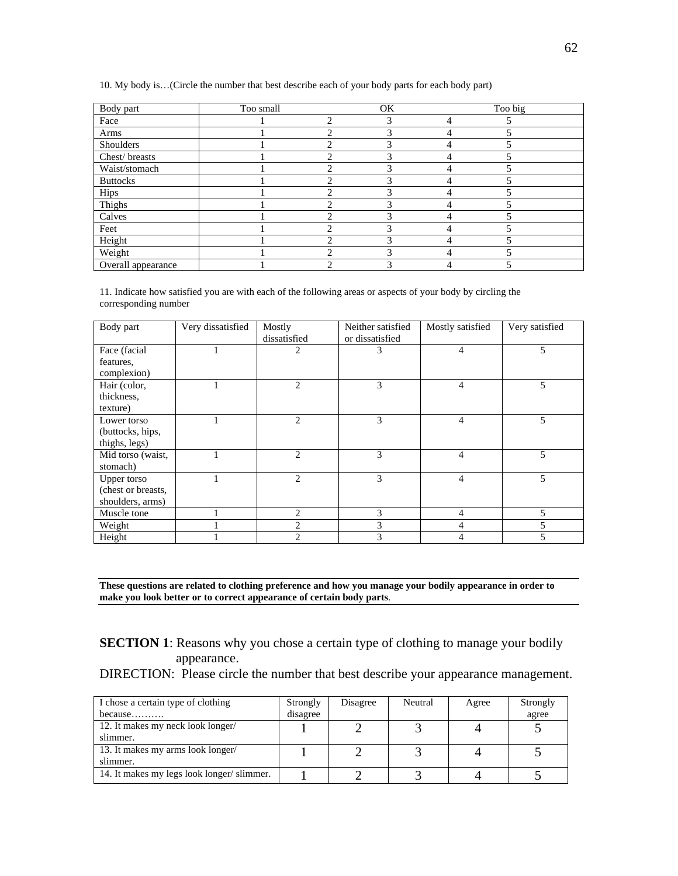10. My body is…(Circle the number that best describe each of your body parts for each body part)

| Body part          | Too small |   | <b>OK</b> | Too big |  |
|--------------------|-----------|---|-----------|---------|--|
| Face               |           | ↑ |           |         |  |
| Arms               |           |   |           |         |  |
| Shoulders          |           | ↑ |           |         |  |
| Chest/breasts      |           |   |           |         |  |
| Waist/stomach      |           | ◠ | っ         |         |  |
| <b>Buttocks</b>    |           | ◠ |           |         |  |
| Hips               |           |   |           |         |  |
| Thighs             |           |   |           |         |  |
| Calves             |           | ◠ |           |         |  |
| Feet               |           |   |           |         |  |
| Height             |           |   |           |         |  |
| Weight             |           |   |           |         |  |
| Overall appearance |           | ◠ | 3         |         |  |

11. Indicate how satisfied you are with each of the following areas or aspects of your body by circling the corresponding number

| Body part                                             | Very dissatisfied | Mostly<br>dissatisfied | Neither satisfied<br>or dissatisfied | Mostly satisfied | Very satisfied |
|-------------------------------------------------------|-------------------|------------------------|--------------------------------------|------------------|----------------|
| Face (facial<br>features.                             | -1                | 2                      | 3                                    | 4                | 5              |
| complexion)                                           |                   |                        |                                      |                  |                |
| Hair (color,<br>thickness,<br>texture)                |                   | 2                      | 3                                    | 4                | 5              |
| Lower torso<br>(buttocks, hips,<br>thighs, legs)      |                   | $\overline{c}$         | 3                                    | $\overline{4}$   | 5              |
| Mid torso (waist,<br>stomach)                         |                   | $\overline{2}$         | 3                                    | $\overline{4}$   | 5              |
| Upper torso<br>(chest or breasts,<br>shoulders, arms) |                   | $\overline{2}$         | 3                                    | $\overline{4}$   | 5              |
| Muscle tone                                           |                   | $\overline{c}$         | 3                                    | 4                | 5              |
| Weight                                                |                   | $\mathfrak{D}$         | 3                                    | 4                | 5              |
| Height                                                |                   | っ                      | 3                                    | 4                |                |

**These questions are related to clothing preference and how you manage your bodily appearance in order to make you look better or to correct appearance of certain body parts**.

**SECTION 1**: Reasons why you chose a certain type of clothing to manage your bodily appearance.

DIRECTION: Please circle the number that best describe your appearance management.

| I chose a certain type of clothing        | Strongly | Disagree | Neutral | Agree | Strongly |
|-------------------------------------------|----------|----------|---------|-------|----------|
| because                                   | disagree |          |         |       | agree    |
| 12. It makes my neck look longer/         |          |          |         |       |          |
| slimmer.                                  |          |          |         |       |          |
| 13. It makes my arms look longer/         |          |          |         |       |          |
| slimmer.                                  |          |          |         |       |          |
| 14. It makes my legs look longer/slimmer. |          |          |         |       |          |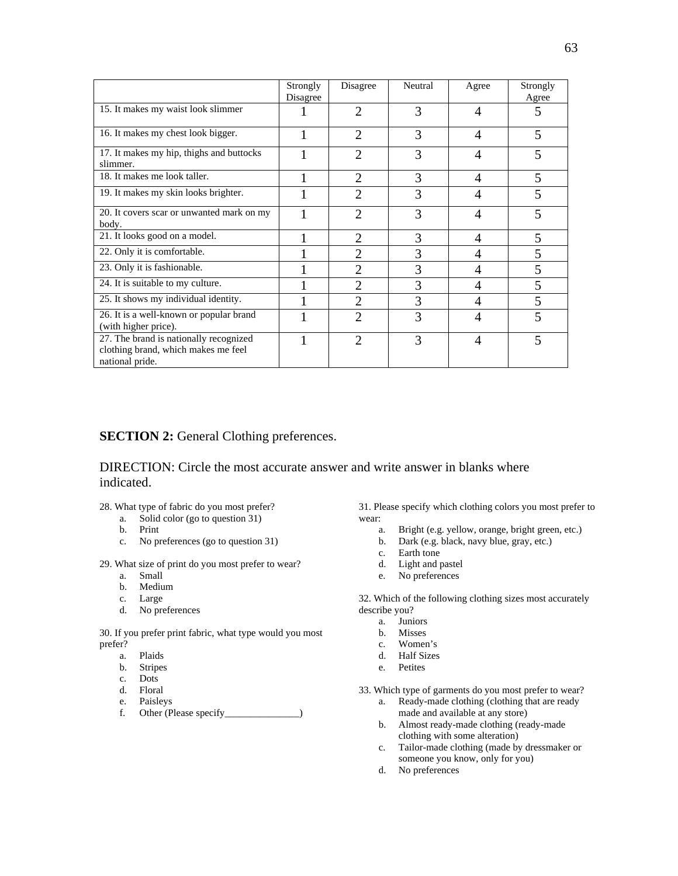|                                                                                                  | Strongly<br>Disagree | Disagree                 | Neutral | Agree          | Strongly<br>Agree |
|--------------------------------------------------------------------------------------------------|----------------------|--------------------------|---------|----------------|-------------------|
| 15. It makes my waist look slimmer                                                               |                      | $\mathfrak{D}$           | 3       | $\overline{A}$ | 5                 |
| 16. It makes my chest look bigger.                                                               |                      | $\overline{2}$           | 3       | $\overline{A}$ | 5                 |
| 17. It makes my hip, thighs and buttocks<br>slimmer.                                             |                      | $\overline{2}$           | 3       | 4              | 5                 |
| 18. It makes me look taller.                                                                     |                      | $\overline{2}$           | 3       | $\overline{A}$ | 5                 |
| 19. It makes my skin looks brighter.                                                             |                      | $\overline{2}$           | 3       | 4              | 5                 |
| 20. It covers scar or unwanted mark on my<br>body.                                               |                      | $\mathfrak{D}$           | 3       | $\overline{4}$ | 5                 |
| 21. It looks good on a model.                                                                    |                      | $\overline{2}$           | 3       | $\overline{4}$ | 5                 |
| 22. Only it is comfortable.                                                                      |                      | $\mathfrak{D}_{1}^{(1)}$ | 3       | 4              | 5                 |
| 23. Only it is fashionable.                                                                      |                      | $\mathfrak{D}_{1}^{(1)}$ | 3       | 4              | 5                 |
| 24. It is suitable to my culture.                                                                |                      | $\mathfrak{D}$           | 3       | 4              | 5                 |
| 25. It shows my individual identity.                                                             |                      | $\mathfrak{D}$           | 3       | 4              | 5                 |
| 26. It is a well-known or popular brand<br>(with higher price).                                  |                      | 2                        | 3       | 4              | 5                 |
| 27. The brand is nationally recognized<br>clothing brand, which makes me feel<br>national pride. |                      | $\mathfrak{D}$           | 3       | 4              | 5                 |

## **SECTION 2:** General Clothing preferences.

## DIRECTION: Circle the most accurate answer and write answer in blanks where indicated.

- 28. What type of fabric do you most prefer?
	- a. Solid color (go to question 31)
	- Print
	- c. No preferences (go to question 31)

29. What size of print do you most prefer to wear?

- a. Small
- b. Medium
- c. Large
- d. No preferences

30. If you prefer print fabric, what type would you most prefer?

- a. Plaids
- b. Stripes
- c. Dots
- d. Floral
- e. Paisleys
- f. Other (Please specify\_\_\_\_\_\_\_\_\_\_\_\_\_\_\_)

31. Please specify which clothing colors you most prefer to wear:

- a. Bright (e.g. yellow, orange, bright green, etc.)
- b. Dark (e.g. black, navy blue, gray, etc.)
- c. Earth tone
- d. Light and pastel
- e. No preferences

32. Which of the following clothing sizes most accurately describe you?

- a. Juniors
- b. Misses
- c. Women's
- d. Half Sizes
- e. Petites

33. Which type of garments do you most prefer to wear?

- a. Ready-made clothing (clothing that are ready made and available at any store)
- b. Almost ready-made clothing (ready-made clothing with some alteration)
- c. Tailor-made clothing (made by dressmaker or someone you know, only for you)
- d. No preferences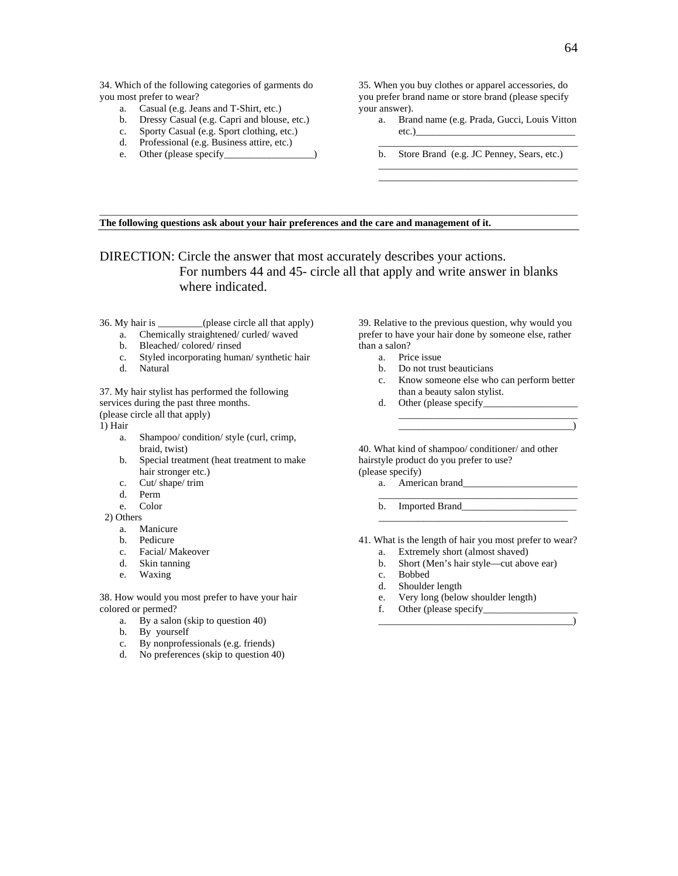34. Which of the following categories of garments do you most prefer to wear?

- a. Casual (e.g. Jeans and T-Shirt, etc.)
- b. Dressy Casual (e.g. Capri and blouse, etc.)
- c. Sporty Casual (e.g. Sport clothing, etc.)
- d. Professional (e.g. Business attire, etc.)
- e. Other (please specify

35. When you buy clothes or apparel accessories, do you prefer brand name or store brand (please specify your answer).

- a. Brand name (e.g. Prada, Gucci, Louis Vitton etc.)\_\_\_\_\_\_\_\_\_\_\_\_\_\_\_\_\_\_\_\_\_\_\_\_\_\_\_\_\_\_\_\_
	- \_\_\_\_\_\_\_\_\_\_\_\_\_\_\_\_\_\_\_\_\_\_\_\_\_\_\_\_\_\_\_\_\_\_\_\_\_\_\_\_ b. Store Brand (e.g. JC Penney, Sears, etc.) \_\_\_\_\_\_\_\_\_\_\_\_\_\_\_\_\_\_\_\_\_\_\_\_\_\_\_\_\_\_\_\_\_\_\_\_\_\_\_\_

\_\_\_\_\_\_\_\_\_\_\_\_\_\_\_\_\_\_\_\_\_\_\_\_\_\_\_\_\_\_\_\_\_\_\_\_\_\_\_\_

**The following questions ask about your hair preferences and the care and management of it.** 

DIRECTION: Circle the answer that most accurately describes your actions. For numbers 44 and 45- circle all that apply and write answer in blanks where indicated.

 $\Box$  . The contribution of the contribution of the contribution of the contribution of the contribution of the contribution of the contribution of the contribution of the contribution of the contribution of the contributi

36. My hair is \_\_\_\_\_\_\_\_\_(please circle all that apply)

- a. Chemically straightened/ curled/ waved
- b. Bleached/ colored/ rinsed
- Styled incorporating human/ synthetic hair c. Styled is<br>d. Natural
- 

37. My hair stylist has performed the following services during the past three months. (please circle all that apply)

1) Hair

- a. Shampoo/ condition/ style (curl, crimp, braid, twist)
- b. Special treatment (heat treatment to make hair stronger etc.)
- c. Cut/ shape/ trim
- d. Perm
- e. Color

2) Others

- a. Manicure
- b. Pedicure
- c. Facial/ Makeover
- d. Skin tanning
- e. Waxing

38. How would you most prefer to have your hair colored or permed?

- a. By a salon (skip to question 40)
- b. By yourself
- c. By nonprofessionals (e.g. friends)
- d. No preferences (skip to question 40)

39. Relative to the previous question, why would you prefer to have your hair done by someone else, rather than a salon?

- a. Price issue
- b. Do not trust beauticians
- c. Know someone else who can perform better than a beauty salon stylist.

 $\overline{\phantom{a}}$  , and the contract of the contract of the contract of  $\overline{\phantom{a}}$  ,  $\overline{\phantom{a}}$ 

\_\_\_\_\_\_\_\_\_\_\_\_\_\_\_\_\_\_\_\_\_\_\_\_\_\_\_\_\_\_\_\_\_\_\_\_

d. Other (please specify

40. What kind of shampoo/ conditioner/ and other hairstyle product do you prefer to use? (please specify)

a. American brand

b. Imported Brand\_\_\_\_\_\_\_\_\_\_\_\_\_\_\_\_\_\_\_\_\_\_\_

 $\overline{\phantom{a}}$  ,  $\overline{\phantom{a}}$  ,  $\overline{\phantom{a}}$  ,  $\overline{\phantom{a}}$  ,  $\overline{\phantom{a}}$  ,  $\overline{\phantom{a}}$  ,  $\overline{\phantom{a}}$  ,  $\overline{\phantom{a}}$  ,  $\overline{\phantom{a}}$  ,  $\overline{\phantom{a}}$  ,  $\overline{\phantom{a}}$  ,  $\overline{\phantom{a}}$  ,  $\overline{\phantom{a}}$  ,  $\overline{\phantom{a}}$  ,  $\overline{\phantom{a}}$  ,  $\overline{\phantom{a}}$ 

\_\_\_\_\_\_\_\_\_\_\_\_\_\_\_\_\_\_\_\_\_\_\_\_\_\_\_\_\_\_\_\_\_\_\_\_\_\_\_\_

- 41. What is the length of hair you most prefer to wear? a. Extremely short (almost shaved)
	-
	- b. Short (Men's hair style—cut above ear)
	- c. Bobbed
	- d. Shoulder length
	- e. Very long (below shoulder length)
	- f. Other (please specify\_\_\_\_\_\_\_\_\_\_\_\_\_\_\_\_\_\_\_ \_\_\_\_\_\_\_\_\_\_\_\_\_\_\_\_\_\_\_\_\_\_\_\_\_\_\_\_\_\_\_\_\_\_\_\_\_\_\_)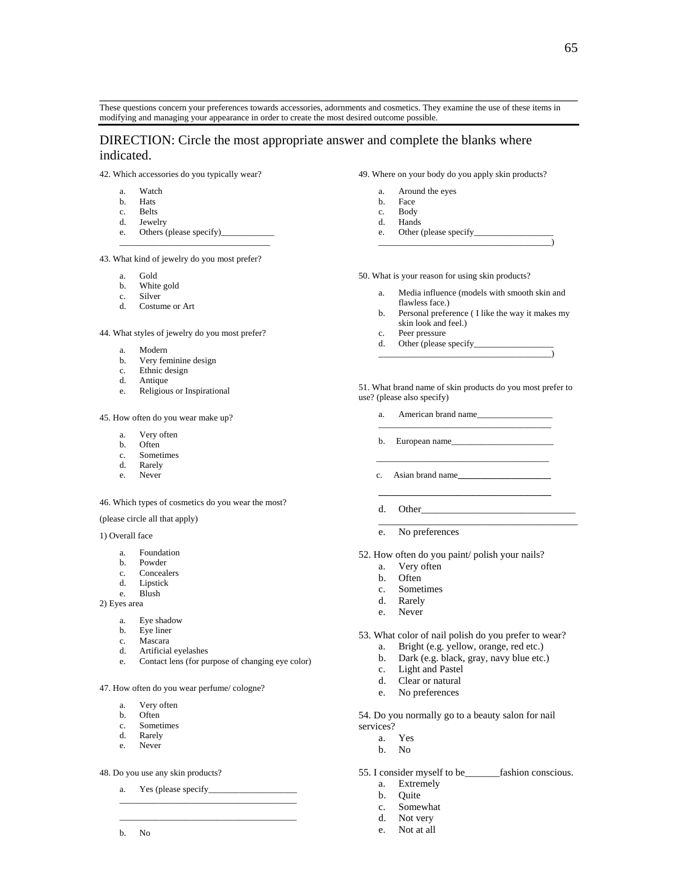These questions concern your preferences towards accessories, adornments and cosmetics. They examine the use of these items in modifying and managing your appearance in order to create the most desired outcome possible.

**\_\_\_\_\_\_\_\_\_\_\_\_\_\_\_\_\_\_\_\_\_\_\_\_\_\_\_\_\_\_\_\_\_\_\_\_\_\_\_\_\_\_\_\_\_\_\_\_\_\_\_\_\_\_\_\_\_\_\_\_\_\_\_\_\_\_\_\_\_\_\_\_\_\_\_\_\_\_\_\_\_\_\_\_\_\_\_\_\_\_\_\_\_\_\_\_** 

## DIRECTION: Circle the most appropriate answer and complete the blanks where indicated.

42. Which accessories do you typically wear?

- a. Watch
- b. Hats
- c. Belts
- d. Jewelry
- e. Others (please specify)\_\_\_\_\_\_\_\_\_\_\_\_

\_\_\_\_\_\_\_\_\_\_\_\_\_\_\_\_\_\_\_\_\_\_\_\_\_\_\_\_\_\_\_\_\_\_

43. What kind of jewelry do you most prefer?

- 
- a. Gold b. White gold<br>c. Silver
- Silver
- d. Costume or Art

44. What styles of jewelry do you most prefer?

- a. Modern
- b. Very feminine design
- c. Ethnic design
- d. Antique
- e. Religious or Inspirational

45. How often do you wear make up?

- a. Very often
- b. Often
- c. Sometimes
- d. Rarely
- e. Never

46. Which types of cosmetics do you wear the most?

(please circle all that apply)

1) Overall face

- a. Foundation
- b. Powder
- c. Concealers
- d. Lipstick
- e. Blush

2) Eyes area

- a. Eye shadow
- b. Eye liner
- c. Mascara
- d. Artificial eyelashes
- e. Contact lens (for purpose of changing eye color)

47. How often do you wear perfume/ cologne?

- a. Very often
- b. Often
- c. Sometimes<br>d. Rarely
- Rarely
- e. Never

48. Do you use any skin products?

a. Yes (please specify\_\_\_\_\_\_\_\_\_\_\_\_\_\_\_\_\_\_\_\_ \_\_\_\_\_\_\_\_\_\_\_\_\_\_\_\_\_\_\_\_\_\_\_\_\_\_\_\_\_\_\_\_\_\_\_\_\_\_\_\_

 $\_$ 

b. No

49. Where on your body do you apply skin products?

- a. Around the eyes
- b. Face
- c. Body
- d. Hands
- e. Other (please specify\_ \_\_\_\_\_\_\_\_\_\_\_\_\_\_\_\_\_\_\_\_\_\_\_\_\_\_\_\_\_\_\_\_\_\_\_\_\_\_\_)

50. What is your reason for using skin products?

- a. Media influence (models with smooth skin and flawless face.)
- b. Personal preference ( I like the way it makes my skin look and feel.)
- c. Peer pressure
- d. Other (please specify\_ \_\_\_\_\_\_\_\_\_\_\_\_\_\_\_\_\_\_\_\_\_\_\_\_\_\_\_\_\_\_\_\_\_\_\_\_\_\_\_)

51. What brand name of skin products do you most prefer to use? (please also specify)

 $\_$ 

- a. American brand name\_\_\_\_\_\_\_\_\_\_\_\_\_\_\_\_\_
- b. European name $\qquad \qquad$
- $\overline{\phantom{a}}$  , and the contract of the contract of the contract of the contract of the contract of the contract of the contract of the contract of the contract of the contract of the contract of the contract of the contrac c. Asian brand name**\_\_\_\_\_\_\_\_\_\_\_\_\_\_\_\_\_\_\_\_\_**
- **\_\_\_\_\_\_\_\_\_\_\_\_\_\_\_\_\_\_\_\_\_\_\_\_\_\_\_\_\_\_\_\_\_\_\_\_\_\_\_**  d. Other
	- \_\_\_\_\_\_\_\_\_\_\_\_\_\_\_\_\_\_\_\_\_\_\_\_\_\_\_\_\_\_\_\_\_\_\_\_\_\_\_\_
	- e. No preferences
- 52. How often do you paint/ polish your nails?
	-
	-
	-
	- d. Rarely
	- e. Never
- 53. What color of nail polish do you prefer to wear?
	- a. Bright (e.g. yellow, orange, red etc.)
	- b. Dark (e.g. black, gray, navy blue etc.)
	- c. Light and Pastel
	- d. Clear or natural
	- e. No preferences

54. Do you normally go to a beauty salon for nail services?

- a. Yes
- b. No
- 55. I consider myself to be\_\_\_\_\_\_\_fashion conscious.
	- a. Extremely
	- b. Quite
	- c. Somewhat
	- d. Not very
	- e. Not at all

## a. Very often

- b. Often
- c. Sometimes
-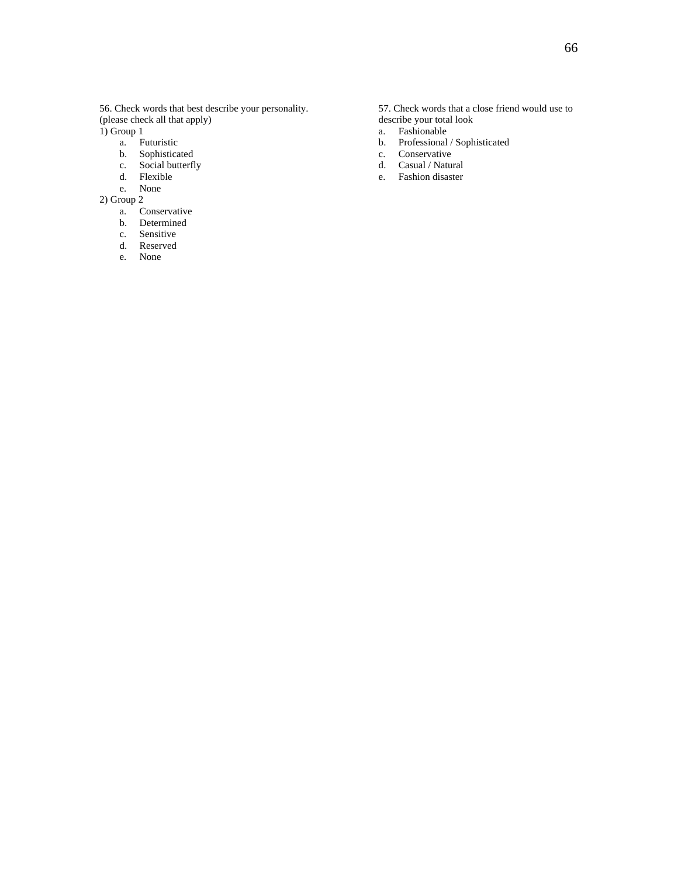56. Check words that best describe your personality. (please check all that apply)

 $1)$  Group 1

- a. Futuristic
- b. Sophisticated c. Social butterfly
- 
- d. Flexible e. None

2) Group 2

- a. Conservative
- b. Determined
- c. Sensitive
- d. Reserved
- e. None

57. Check words that a close friend would use to describe your total look

- a. Fashionable
- b. Professional / Sophisticated
- c. Conservative
- d. Casual / Natural
- e. Fashion disaster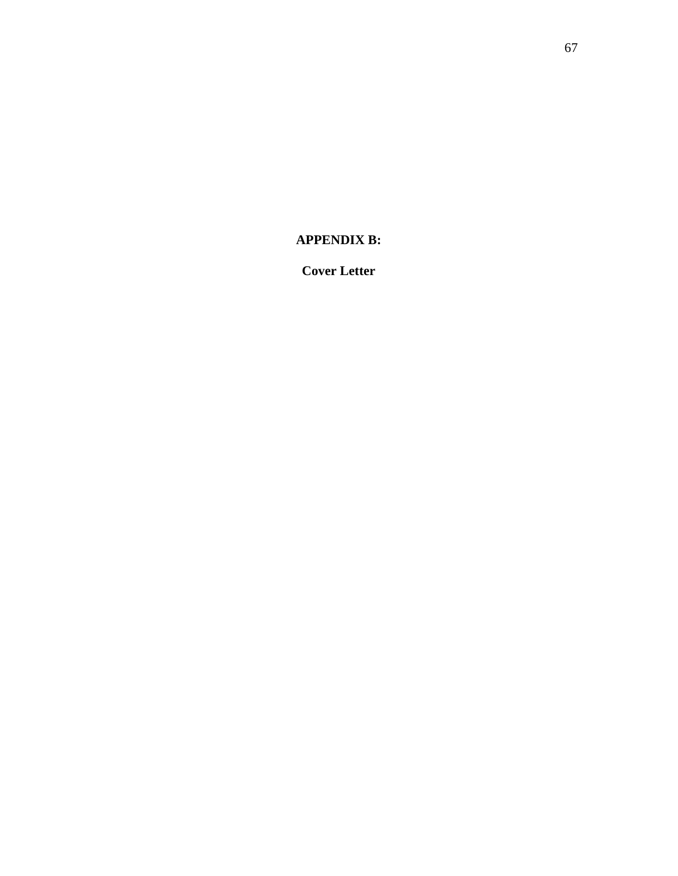**APPENDIX B:** 

**Cover Letter**